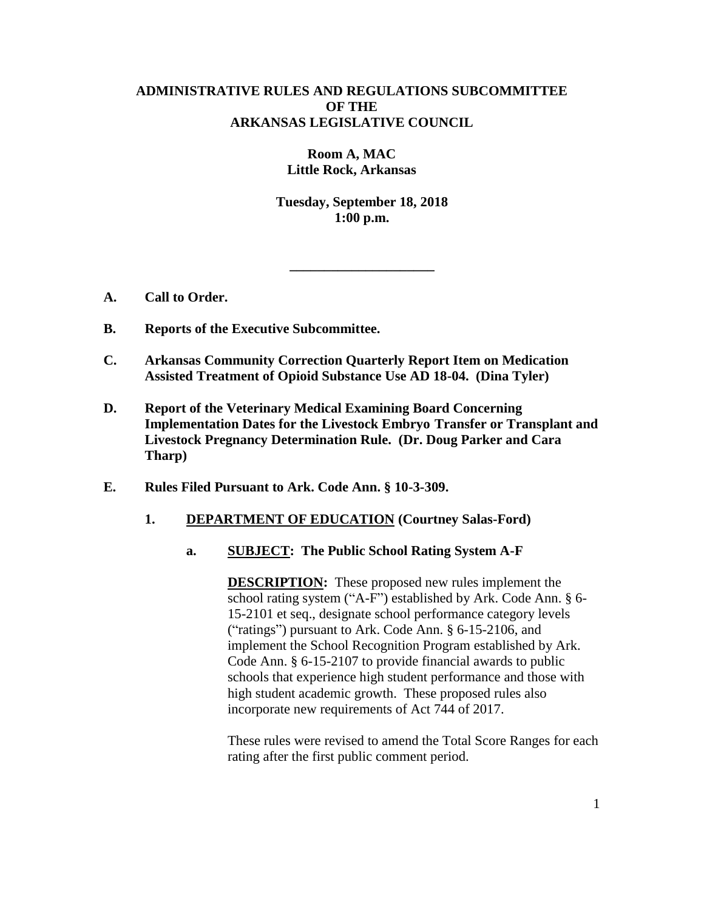## **ADMINISTRATIVE RULES AND REGULATIONS SUBCOMMITTEE OF THE ARKANSAS LEGISLATIVE COUNCIL**

**Room A, MAC Little Rock, Arkansas**

**Tuesday, September 18, 2018 1:00 p.m.**

**\_\_\_\_\_\_\_\_\_\_\_\_\_\_\_\_\_\_\_\_\_**

- **A. Call to Order.**
- **B. Reports of the Executive Subcommittee.**
- **C. Arkansas Community Correction Quarterly Report Item on Medication Assisted Treatment of Opioid Substance Use AD 18-04. (Dina Tyler)**
- **D. Report of the Veterinary Medical Examining Board Concerning Implementation Dates for the Livestock Embryo Transfer or Transplant and Livestock Pregnancy Determination Rule. (Dr. Doug Parker and Cara Tharp)**
- **E. Rules Filed Pursuant to Ark. Code Ann. § 10-3-309.**

## **1. DEPARTMENT OF EDUCATION (Courtney Salas-Ford)**

**a. SUBJECT: The Public School Rating System A-F**

**DESCRIPTION:** These proposed new rules implement the school rating system ("A-F") established by Ark. Code Ann. § 6- 15-2101 et seq., designate school performance category levels ("ratings") pursuant to Ark. Code Ann. § 6-15-2106, and implement the School Recognition Program established by Ark. Code Ann. § 6-15-2107 to provide financial awards to public schools that experience high student performance and those with high student academic growth. These proposed rules also incorporate new requirements of Act 744 of 2017.

These rules were revised to amend the Total Score Ranges for each rating after the first public comment period.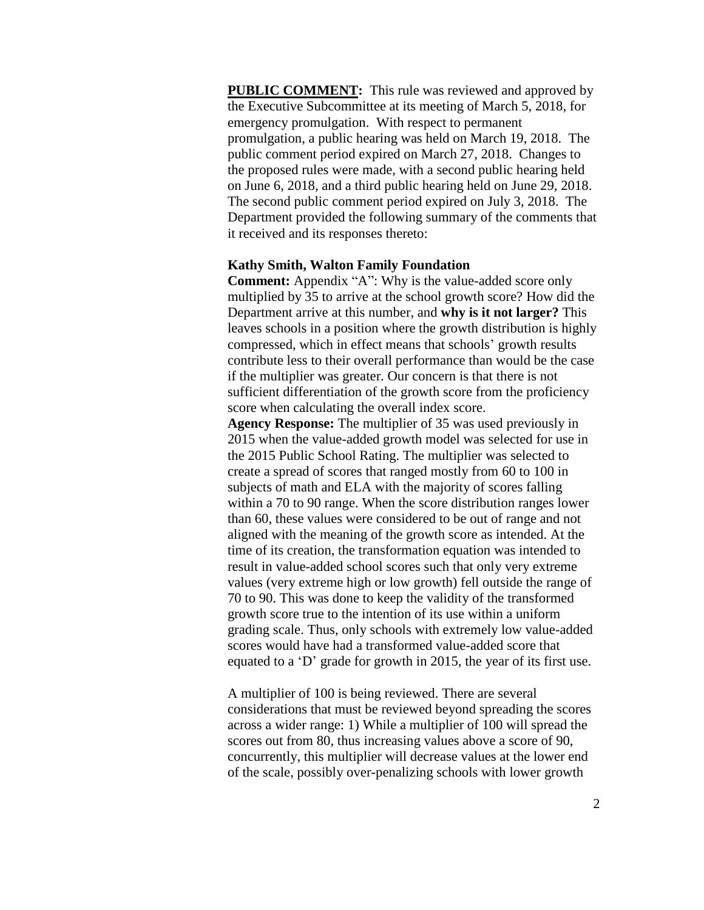**PUBLIC COMMENT:** This rule was reviewed and approved by the Executive Subcommittee at its meeting of March 5, 2018, for emergency promulgation. With respect to permanent promulgation, a public hearing was held on March 19, 2018. The public comment period expired on March 27, 2018. Changes to the proposed rules were made, with a second public hearing held on June 6, 2018, and a third public hearing held on June 29, 2018. The second public comment period expired on July 3, 2018. The Department provided the following summary of the comments that it received and its responses thereto:

### **Kathy Smith, Walton Family Foundation**

**Comment:** Appendix "A": Why is the value-added score only multiplied by 35 to arrive at the school growth score? How did the Department arrive at this number, and **why is it not larger?** This leaves schools in a position where the growth distribution is highly compressed, which in effect means that schools' growth results contribute less to their overall performance than would be the case if the multiplier was greater. Our concern is that there is not sufficient differentiation of the growth score from the proficiency score when calculating the overall index score.

**Agency Response:** The multiplier of 35 was used previously in 2015 when the value-added growth model was selected for use in the 2015 Public School Rating. The multiplier was selected to create a spread of scores that ranged mostly from 60 to 100 in subjects of math and ELA with the majority of scores falling within a 70 to 90 range. When the score distribution ranges lower than 60, these values were considered to be out of range and not aligned with the meaning of the growth score as intended. At the time of its creation, the transformation equation was intended to result in value-added school scores such that only very extreme values (very extreme high or low growth) fell outside the range of 70 to 90. This was done to keep the validity of the transformed growth score true to the intention of its use within a uniform grading scale. Thus, only schools with extremely low value-added scores would have had a transformed value-added score that equated to a 'D' grade for growth in 2015, the year of its first use.

A multiplier of 100 is being reviewed. There are several considerations that must be reviewed beyond spreading the scores across a wider range: 1) While a multiplier of 100 will spread the scores out from 80, thus increasing values above a score of 90, concurrently, this multiplier will decrease values at the lower end of the scale, possibly over-penalizing schools with lower growth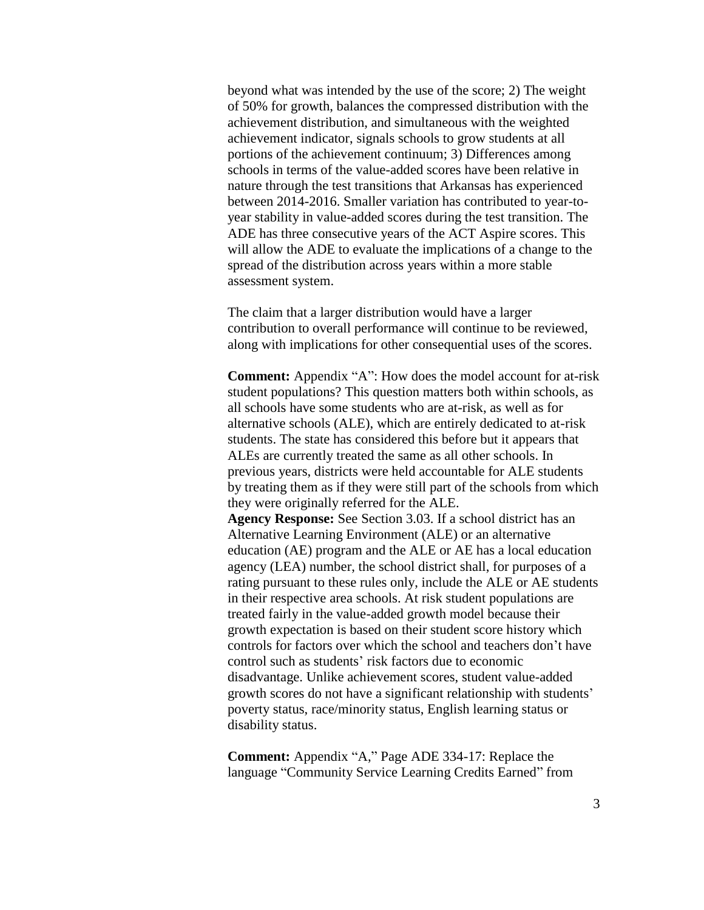beyond what was intended by the use of the score; 2) The weight of 50% for growth, balances the compressed distribution with the achievement distribution, and simultaneous with the weighted achievement indicator, signals schools to grow students at all portions of the achievement continuum; 3) Differences among schools in terms of the value-added scores have been relative in nature through the test transitions that Arkansas has experienced between 2014-2016. Smaller variation has contributed to year-toyear stability in value-added scores during the test transition. The ADE has three consecutive years of the ACT Aspire scores. This will allow the ADE to evaluate the implications of a change to the spread of the distribution across years within a more stable assessment system.

The claim that a larger distribution would have a larger contribution to overall performance will continue to be reviewed, along with implications for other consequential uses of the scores.

**Comment:** Appendix "A": How does the model account for at-risk student populations? This question matters both within schools, as all schools have some students who are at-risk, as well as for alternative schools (ALE), which are entirely dedicated to at-risk students. The state has considered this before but it appears that ALEs are currently treated the same as all other schools. In previous years, districts were held accountable for ALE students by treating them as if they were still part of the schools from which they were originally referred for the ALE.

**Agency Response:** See Section 3.03. If a school district has an Alternative Learning Environment (ALE) or an alternative education (AE) program and the ALE or AE has a local education agency (LEA) number, the school district shall, for purposes of a rating pursuant to these rules only, include the ALE or AE students in their respective area schools. At risk student populations are treated fairly in the value-added growth model because their growth expectation is based on their student score history which controls for factors over which the school and teachers don't have control such as students' risk factors due to economic disadvantage. Unlike achievement scores, student value-added growth scores do not have a significant relationship with students' poverty status, race/minority status, English learning status or disability status.

**Comment:** Appendix "A," Page ADE 334-17: Replace the language "Community Service Learning Credits Earned" from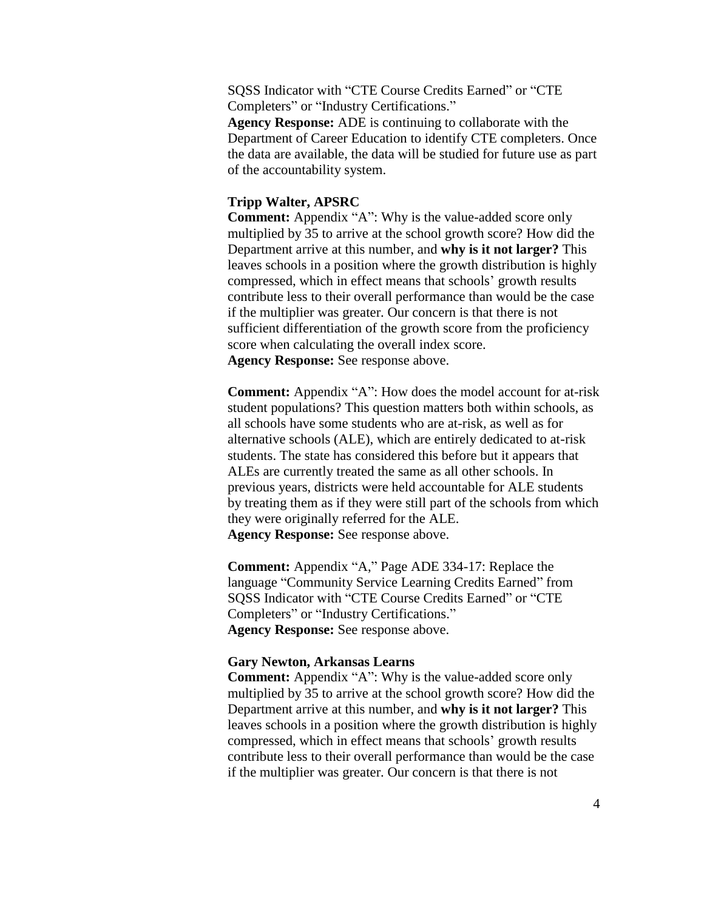SQSS Indicator with "CTE Course Credits Earned" or "CTE Completers" or "Industry Certifications."

**Agency Response:** ADE is continuing to collaborate with the Department of Career Education to identify CTE completers. Once the data are available, the data will be studied for future use as part of the accountability system.

## **Tripp Walter, APSRC**

**Comment:** Appendix "A": Why is the value-added score only multiplied by 35 to arrive at the school growth score? How did the Department arrive at this number, and **why is it not larger?** This leaves schools in a position where the growth distribution is highly compressed, which in effect means that schools' growth results contribute less to their overall performance than would be the case if the multiplier was greater. Our concern is that there is not sufficient differentiation of the growth score from the proficiency score when calculating the overall index score. **Agency Response:** See response above.

**Comment:** Appendix "A": How does the model account for at-risk student populations? This question matters both within schools, as all schools have some students who are at-risk, as well as for alternative schools (ALE), which are entirely dedicated to at-risk students. The state has considered this before but it appears that ALEs are currently treated the same as all other schools. In previous years, districts were held accountable for ALE students by treating them as if they were still part of the schools from which they were originally referred for the ALE. **Agency Response:** See response above.

**Comment:** Appendix "A," Page ADE 334-17: Replace the language "Community Service Learning Credits Earned" from SQSS Indicator with "CTE Course Credits Earned" or "CTE Completers" or "Industry Certifications." **Agency Response:** See response above.

### **Gary Newton, Arkansas Learns**

**Comment:** Appendix "A": Why is the value-added score only multiplied by 35 to arrive at the school growth score? How did the Department arrive at this number, and **why is it not larger?** This leaves schools in a position where the growth distribution is highly compressed, which in effect means that schools' growth results contribute less to their overall performance than would be the case if the multiplier was greater. Our concern is that there is not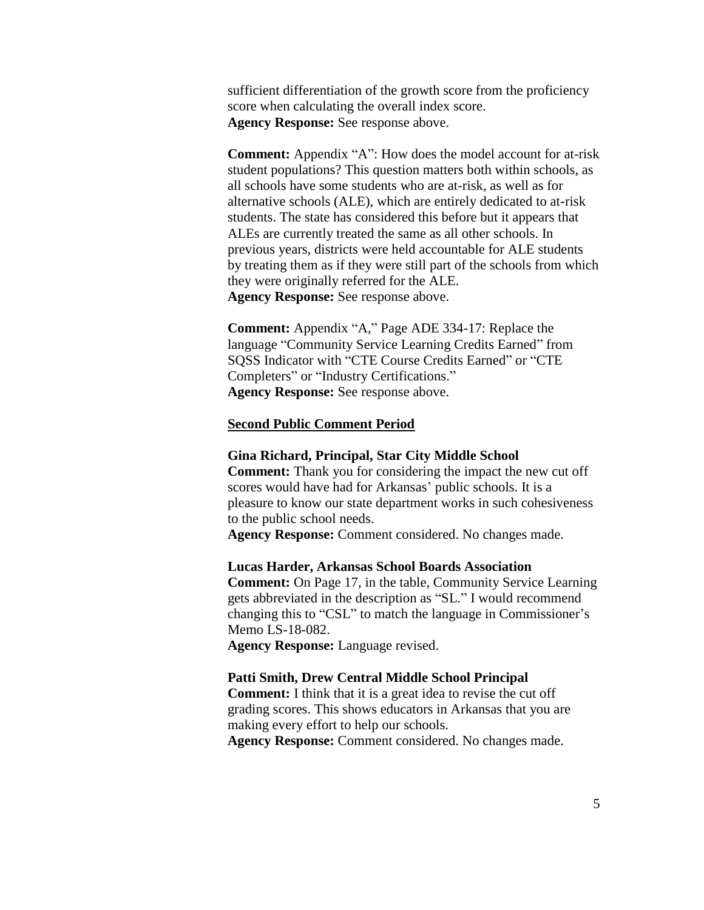sufficient differentiation of the growth score from the proficiency score when calculating the overall index score. **Agency Response:** See response above.

**Comment:** Appendix "A": How does the model account for at-risk student populations? This question matters both within schools, as all schools have some students who are at-risk, as well as for alternative schools (ALE), which are entirely dedicated to at-risk students. The state has considered this before but it appears that ALEs are currently treated the same as all other schools. In previous years, districts were held accountable for ALE students by treating them as if they were still part of the schools from which they were originally referred for the ALE. **Agency Response:** See response above.

**Comment:** Appendix "A," Page ADE 334-17: Replace the language "Community Service Learning Credits Earned" from SQSS Indicator with "CTE Course Credits Earned" or "CTE Completers" or "Industry Certifications." **Agency Response:** See response above.

### **Second Public Comment Period**

#### **Gina Richard, Principal, Star City Middle School**

**Comment:** Thank you for considering the impact the new cut off scores would have had for Arkansas' public schools. It is a pleasure to know our state department works in such cohesiveness to the public school needs.

**Agency Response:** Comment considered. No changes made.

#### **Lucas Harder, Arkansas School Boards Association**

**Comment:** On Page 17, in the table, Community Service Learning gets abbreviated in the description as "SL." I would recommend changing this to "CSL" to match the language in Commissioner's Memo LS-18-082.

**Agency Response:** Language revised.

### **Patti Smith, Drew Central Middle School Principal**

**Comment:** I think that it is a great idea to revise the cut off grading scores. This shows educators in Arkansas that you are making every effort to help our schools.

**Agency Response:** Comment considered. No changes made.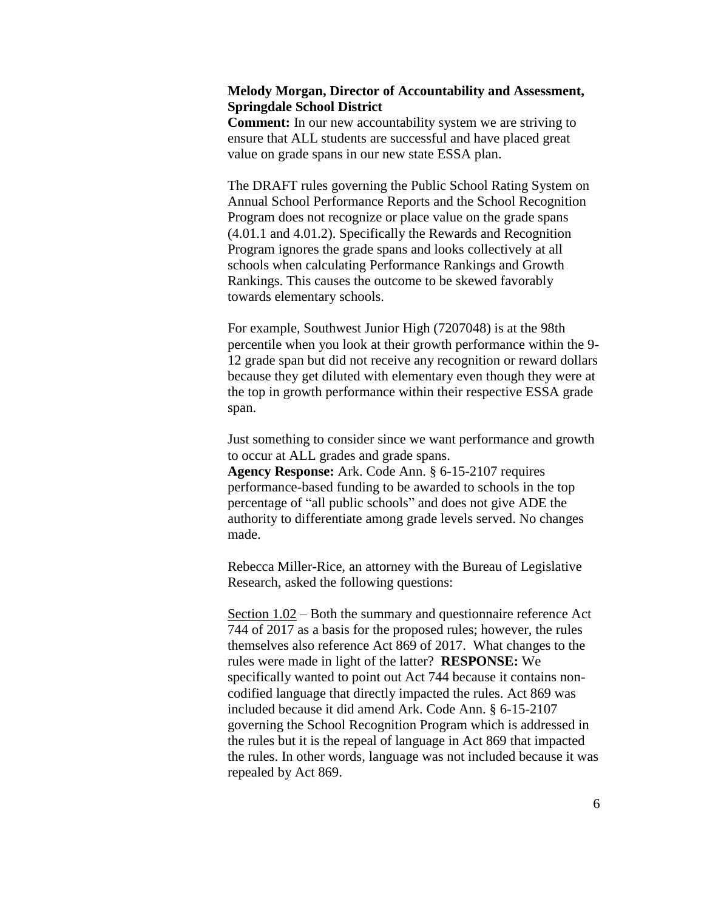## **Melody Morgan, Director of Accountability and Assessment, Springdale School District**

**Comment:** In our new accountability system we are striving to ensure that ALL students are successful and have placed great value on grade spans in our new state ESSA plan.

The DRAFT rules governing the Public School Rating System on Annual School Performance Reports and the School Recognition Program does not recognize or place value on the grade spans (4.01.1 and 4.01.2). Specifically the Rewards and Recognition Program ignores the grade spans and looks collectively at all schools when calculating Performance Rankings and Growth Rankings. This causes the outcome to be skewed favorably towards elementary schools.

For example, Southwest Junior High (7207048) is at the 98th percentile when you look at their growth performance within the 9- 12 grade span but did not receive any recognition or reward dollars because they get diluted with elementary even though they were at the top in growth performance within their respective ESSA grade span.

Just something to consider since we want performance and growth to occur at ALL grades and grade spans.

**Agency Response:** Ark. Code Ann. § 6-15-2107 requires performance-based funding to be awarded to schools in the top percentage of "all public schools" and does not give ADE the authority to differentiate among grade levels served. No changes made.

Rebecca Miller-Rice, an attorney with the Bureau of Legislative Research, asked the following questions:

Section 1.02 – Both the summary and questionnaire reference Act 744 of 2017 as a basis for the proposed rules; however, the rules themselves also reference Act 869 of 2017. What changes to the rules were made in light of the latter? **RESPONSE:** We specifically wanted to point out Act 744 because it contains noncodified language that directly impacted the rules. Act 869 was included because it did amend Ark. Code Ann. § 6-15-2107 governing the School Recognition Program which is addressed in the rules but it is the repeal of language in Act 869 that impacted the rules. In other words, language was not included because it was repealed by Act 869.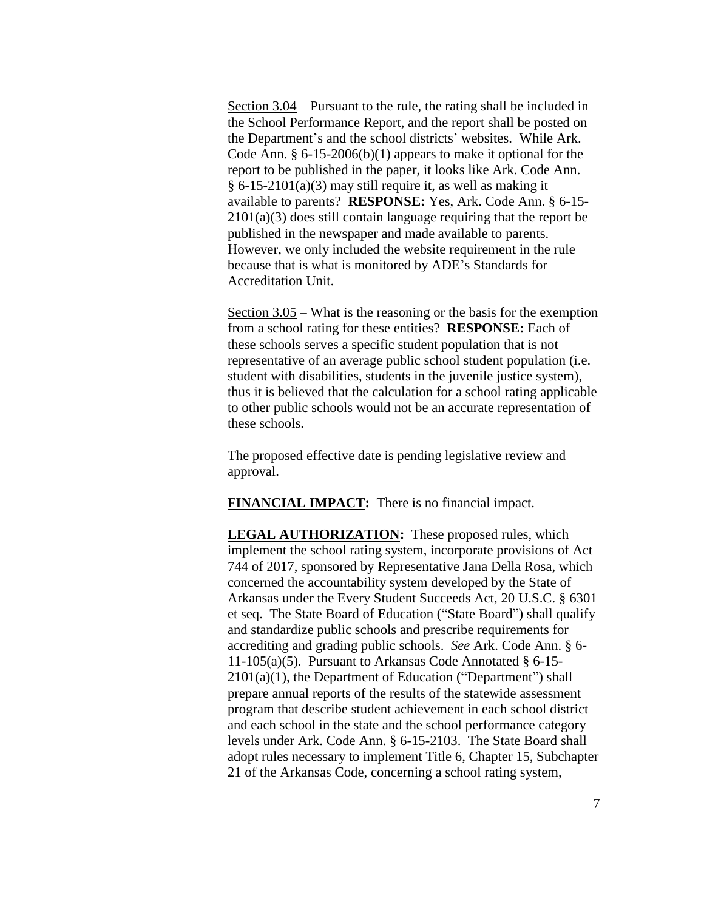Section 3.04 – Pursuant to the rule, the rating shall be included in the School Performance Report, and the report shall be posted on the Department's and the school districts' websites. While Ark. Code Ann.  $§ 6-15-2006(b)(1)$  appears to make it optional for the report to be published in the paper, it looks like Ark. Code Ann.  $§ 6-15-2101(a)(3)$  may still require it, as well as making it available to parents? **RESPONSE:** Yes, Ark. Code Ann. § 6-15- 2101(a)(3) does still contain language requiring that the report be published in the newspaper and made available to parents. However, we only included the website requirement in the rule because that is what is monitored by ADE's Standards for Accreditation Unit.

Section 3.05 – What is the reasoning or the basis for the exemption from a school rating for these entities? **RESPONSE:** Each of these schools serves a specific student population that is not representative of an average public school student population (i.e. student with disabilities, students in the juvenile justice system), thus it is believed that the calculation for a school rating applicable to other public schools would not be an accurate representation of these schools.

The proposed effective date is pending legislative review and approval.

**FINANCIAL IMPACT:** There is no financial impact.

**LEGAL AUTHORIZATION:** These proposed rules, which implement the school rating system, incorporate provisions of Act 744 of 2017, sponsored by Representative Jana Della Rosa, which concerned the accountability system developed by the State of Arkansas under the Every Student Succeeds Act, 20 U.S.C. § 6301 et seq. The State Board of Education ("State Board") shall qualify and standardize public schools and prescribe requirements for accrediting and grading public schools. *See* Ark. Code Ann. § 6- 11-105(a)(5). Pursuant to Arkansas Code Annotated § 6-15- 2101(a)(1), the Department of Education ("Department") shall prepare annual reports of the results of the statewide assessment program that describe student achievement in each school district and each school in the state and the school performance category levels under Ark. Code Ann. § 6-15-2103. The State Board shall adopt rules necessary to implement Title 6, Chapter 15, Subchapter 21 of the Arkansas Code, concerning a school rating system,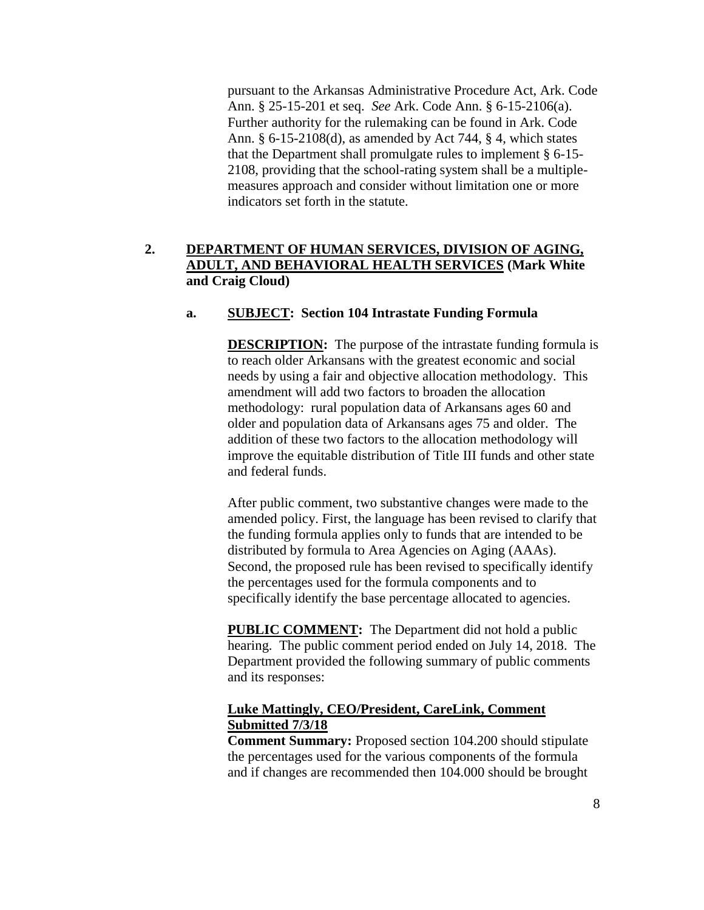pursuant to the Arkansas Administrative Procedure Act, Ark. Code Ann. § 25-15-201 et seq. *See* Ark. Code Ann. § 6-15-2106(a). Further authority for the rulemaking can be found in Ark. Code Ann. § 6-15-2108(d), as amended by Act 744, § 4, which states that the Department shall promulgate rules to implement § 6-15- 2108, providing that the school-rating system shall be a multiplemeasures approach and consider without limitation one or more indicators set forth in the statute.

# **2. DEPARTMENT OF HUMAN SERVICES, DIVISION OF AGING, ADULT, AND BEHAVIORAL HEALTH SERVICES (Mark White and Craig Cloud)**

## **a. SUBJECT: Section 104 Intrastate Funding Formula**

**DESCRIPTION:** The purpose of the intrastate funding formula is to reach older Arkansans with the greatest economic and social needs by using a fair and objective allocation methodology. This amendment will add two factors to broaden the allocation methodology: rural population data of Arkansans ages 60 and older and population data of Arkansans ages 75 and older. The addition of these two factors to the allocation methodology will improve the equitable distribution of Title III funds and other state and federal funds.

After public comment, two substantive changes were made to the amended policy. First, the language has been revised to clarify that the funding formula applies only to funds that are intended to be distributed by formula to Area Agencies on Aging (AAAs). Second, the proposed rule has been revised to specifically identify the percentages used for the formula components and to specifically identify the base percentage allocated to agencies.

**PUBLIC COMMENT:** The Department did not hold a public hearing. The public comment period ended on July 14, 2018. The Department provided the following summary of public comments and its responses:

## **Luke Mattingly, CEO/President, CareLink, Comment Submitted 7/3/18**

**Comment Summary:** Proposed section 104.200 should stipulate the percentages used for the various components of the formula and if changes are recommended then 104.000 should be brought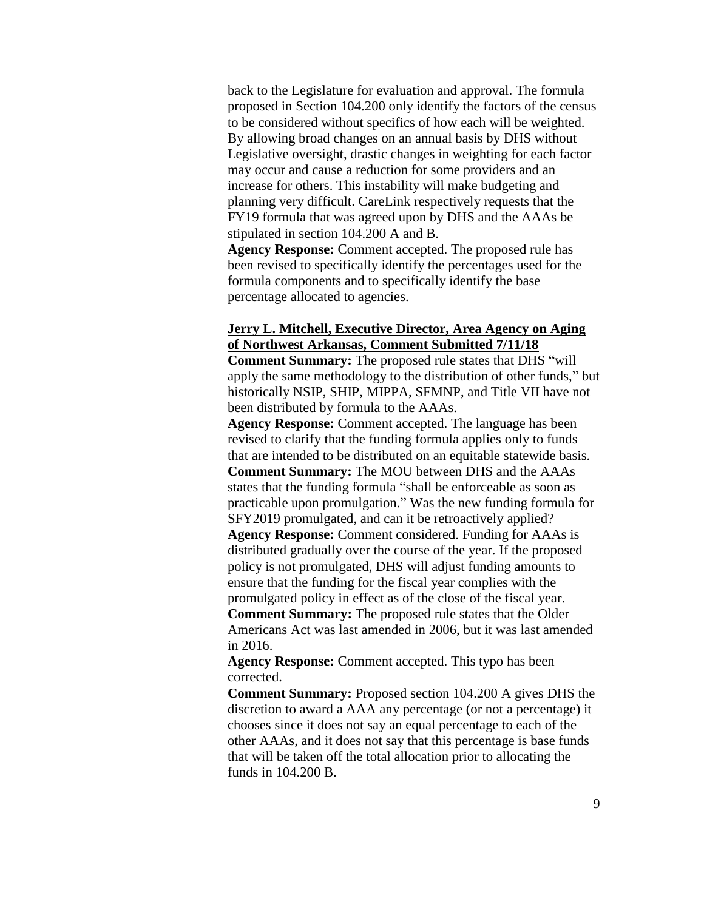back to the Legislature for evaluation and approval. The formula proposed in Section 104.200 only identify the factors of the census to be considered without specifics of how each will be weighted. By allowing broad changes on an annual basis by DHS without Legislative oversight, drastic changes in weighting for each factor may occur and cause a reduction for some providers and an increase for others. This instability will make budgeting and planning very difficult. CareLink respectively requests that the FY19 formula that was agreed upon by DHS and the AAAs be stipulated in section 104.200 A and B.

**Agency Response:** Comment accepted. The proposed rule has been revised to specifically identify the percentages used for the formula components and to specifically identify the base percentage allocated to agencies.

## **Jerry L. Mitchell, Executive Director, Area Agency on Aging of Northwest Arkansas, Comment Submitted 7/11/18**

**Comment Summary:** The proposed rule states that DHS "will apply the same methodology to the distribution of other funds," but historically NSIP, SHIP, MIPPA, SFMNP, and Title VII have not been distributed by formula to the AAAs.

**Agency Response:** Comment accepted. The language has been revised to clarify that the funding formula applies only to funds that are intended to be distributed on an equitable statewide basis. **Comment Summary:** The MOU between DHS and the AAAs states that the funding formula "shall be enforceable as soon as practicable upon promulgation." Was the new funding formula for SFY2019 promulgated, and can it be retroactively applied? **Agency Response:** Comment considered. Funding for AAAs is distributed gradually over the course of the year. If the proposed policy is not promulgated, DHS will adjust funding amounts to ensure that the funding for the fiscal year complies with the promulgated policy in effect as of the close of the fiscal year. **Comment Summary:** The proposed rule states that the Older Americans Act was last amended in 2006, but it was last amended in 2016.

**Agency Response:** Comment accepted. This typo has been corrected.

**Comment Summary:** Proposed section 104.200 A gives DHS the discretion to award a AAA any percentage (or not a percentage) it chooses since it does not say an equal percentage to each of the other AAAs, and it does not say that this percentage is base funds that will be taken off the total allocation prior to allocating the funds in 104.200 B.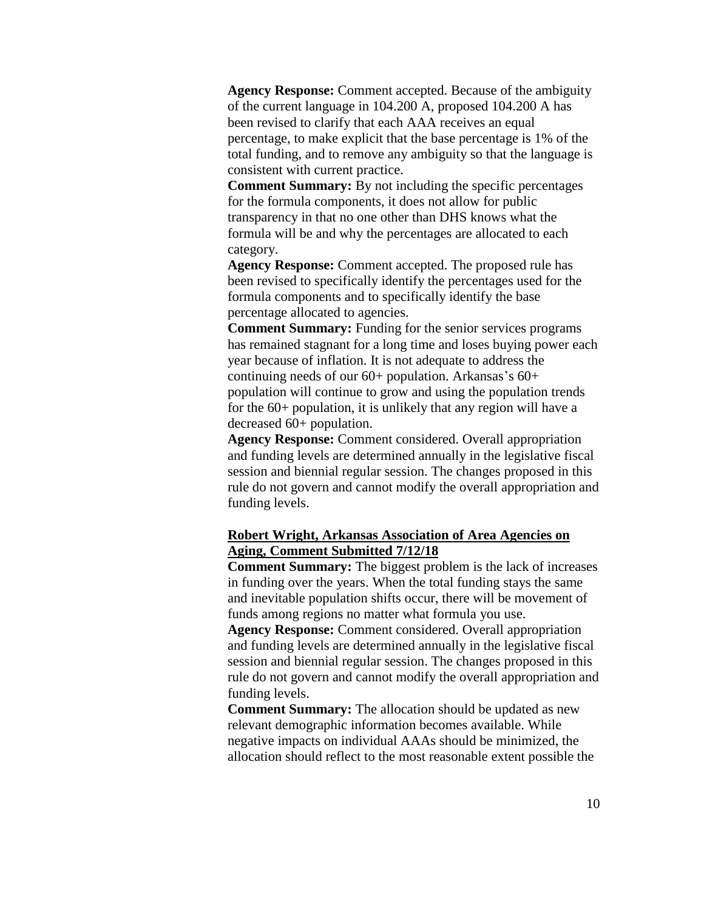**Agency Response:** Comment accepted. Because of the ambiguity of the current language in 104.200 A, proposed 104.200 A has been revised to clarify that each AAA receives an equal percentage, to make explicit that the base percentage is 1% of the total funding, and to remove any ambiguity so that the language is consistent with current practice.

**Comment Summary:** By not including the specific percentages for the formula components, it does not allow for public transparency in that no one other than DHS knows what the formula will be and why the percentages are allocated to each category.

**Agency Response:** Comment accepted. The proposed rule has been revised to specifically identify the percentages used for the formula components and to specifically identify the base percentage allocated to agencies.

**Comment Summary:** Funding for the senior services programs has remained stagnant for a long time and loses buying power each year because of inflation. It is not adequate to address the continuing needs of our  $60+$  population. Arkansas's  $60+$ population will continue to grow and using the population trends for the 60+ population, it is unlikely that any region will have a decreased 60+ population.

**Agency Response:** Comment considered. Overall appropriation and funding levels are determined annually in the legislative fiscal session and biennial regular session. The changes proposed in this rule do not govern and cannot modify the overall appropriation and funding levels.

## **Robert Wright, Arkansas Association of Area Agencies on Aging, Comment Submitted 7/12/18**

**Comment Summary:** The biggest problem is the lack of increases in funding over the years. When the total funding stays the same and inevitable population shifts occur, there will be movement of funds among regions no matter what formula you use.

**Agency Response:** Comment considered. Overall appropriation and funding levels are determined annually in the legislative fiscal session and biennial regular session. The changes proposed in this rule do not govern and cannot modify the overall appropriation and funding levels.

**Comment Summary:** The allocation should be updated as new relevant demographic information becomes available. While negative impacts on individual AAAs should be minimized, the allocation should reflect to the most reasonable extent possible the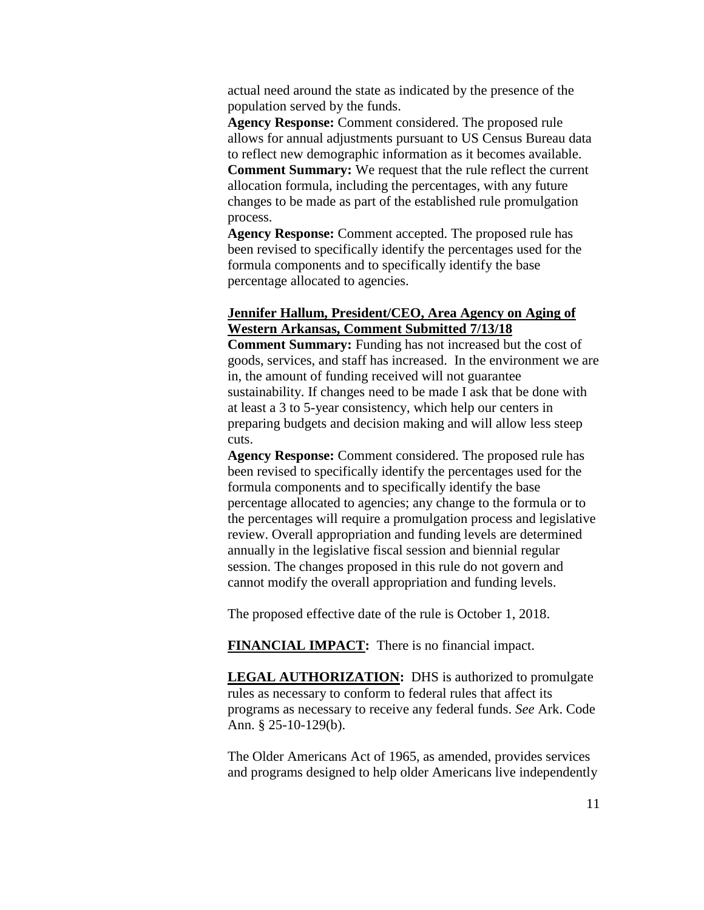actual need around the state as indicated by the presence of the population served by the funds.

**Agency Response:** Comment considered. The proposed rule allows for annual adjustments pursuant to US Census Bureau data to reflect new demographic information as it becomes available. **Comment Summary:** We request that the rule reflect the current allocation formula, including the percentages, with any future changes to be made as part of the established rule promulgation process.

**Agency Response:** Comment accepted. The proposed rule has been revised to specifically identify the percentages used for the formula components and to specifically identify the base percentage allocated to agencies.

## **Jennifer Hallum, President/CEO, Area Agency on Aging of Western Arkansas, Comment Submitted 7/13/18**

**Comment Summary:** Funding has not increased but the cost of goods, services, and staff has increased. In the environment we are in, the amount of funding received will not guarantee sustainability. If changes need to be made I ask that be done with at least a 3 to 5-year consistency, which help our centers in preparing budgets and decision making and will allow less steep cuts.

**Agency Response:** Comment considered. The proposed rule has been revised to specifically identify the percentages used for the formula components and to specifically identify the base percentage allocated to agencies; any change to the formula or to the percentages will require a promulgation process and legislative review. Overall appropriation and funding levels are determined annually in the legislative fiscal session and biennial regular session. The changes proposed in this rule do not govern and cannot modify the overall appropriation and funding levels.

The proposed effective date of the rule is October 1, 2018.

**FINANCIAL IMPACT:** There is no financial impact.

**LEGAL AUTHORIZATION:** DHS is authorized to promulgate rules as necessary to conform to federal rules that affect its programs as necessary to receive any federal funds. *See* Ark. Code Ann. § 25-10-129(b).

The Older Americans Act of 1965, as amended, provides services and programs designed to help older Americans live independently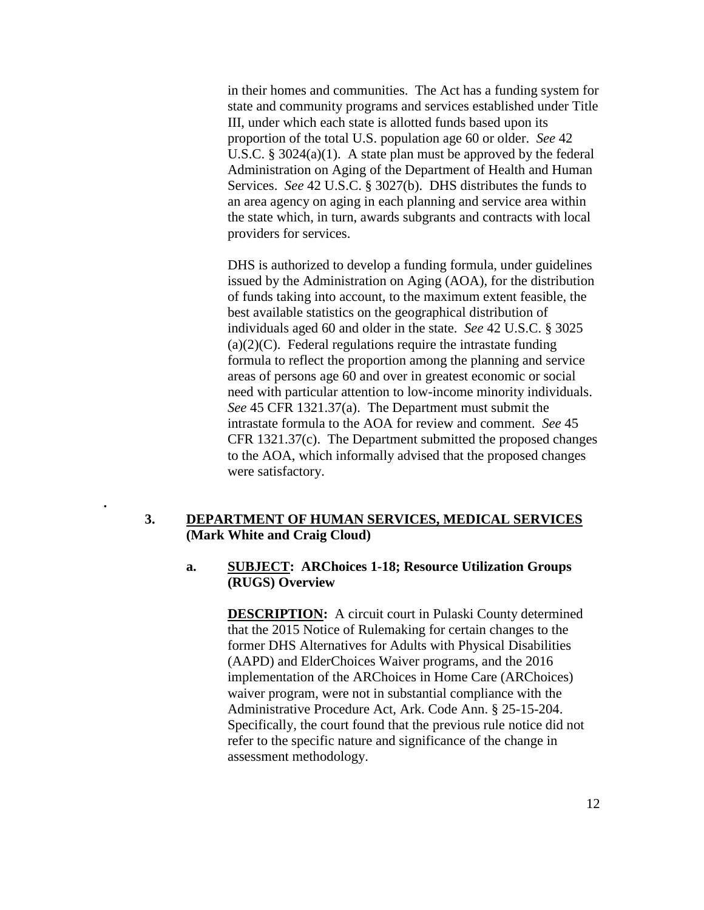in their homes and communities. The Act has a funding system for state and community programs and services established under Title III, under which each state is allotted funds based upon its proportion of the total U.S. population age 60 or older. *See* 42 U.S.C. § 3024(a)(1). A state plan must be approved by the federal Administration on Aging of the Department of Health and Human Services. *See* 42 U.S.C. § 3027(b). DHS distributes the funds to an area agency on aging in each planning and service area within the state which, in turn, awards subgrants and contracts with local providers for services.

DHS is authorized to develop a funding formula, under guidelines issued by the Administration on Aging (AOA), for the distribution of funds taking into account, to the maximum extent feasible, the best available statistics on the geographical distribution of individuals aged 60 and older in the state. *See* 42 U.S.C. § 3025  $(a)(2)(C)$ . Federal regulations require the intrastate funding formula to reflect the proportion among the planning and service areas of persons age 60 and over in greatest economic or social need with particular attention to low-income minority individuals. *See* 45 CFR 1321.37(a). The Department must submit the intrastate formula to the AOA for review and comment. *See* 45 CFR 1321.37(c). The Department submitted the proposed changes to the AOA, which informally advised that the proposed changes were satisfactory.

## **3. DEPARTMENT OF HUMAN SERVICES, MEDICAL SERVICES (Mark White and Craig Cloud)**

**.** 

## **a. SUBJECT: ARChoices 1-18; Resource Utilization Groups (RUGS) Overview**

**DESCRIPTION:** A circuit court in Pulaski County determined that the 2015 Notice of Rulemaking for certain changes to the former DHS Alternatives for Adults with Physical Disabilities (AAPD) and ElderChoices Waiver programs, and the 2016 implementation of the ARChoices in Home Care (ARChoices) waiver program, were not in substantial compliance with the Administrative Procedure Act, Ark. Code Ann. § 25-15-204. Specifically, the court found that the previous rule notice did not refer to the specific nature and significance of the change in assessment methodology.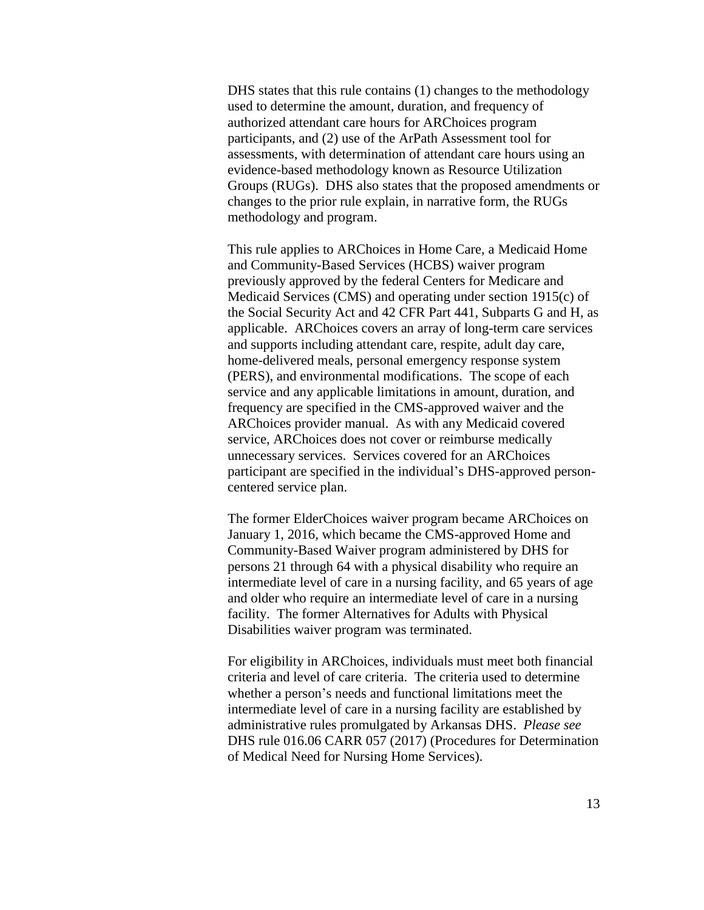DHS states that this rule contains (1) changes to the methodology used to determine the amount, duration, and frequency of authorized attendant care hours for ARChoices program participants, and (2) use of the ArPath Assessment tool for assessments, with determination of attendant care hours using an evidence-based methodology known as Resource Utilization Groups (RUGs). DHS also states that the proposed amendments or changes to the prior rule explain, in narrative form, the RUGs methodology and program.

This rule applies to ARChoices in Home Care, a Medicaid Home and Community-Based Services (HCBS) waiver program previously approved by the federal Centers for Medicare and Medicaid Services (CMS) and operating under section 1915(c) of the Social Security Act and 42 CFR Part 441, Subparts G and H, as applicable. ARChoices covers an array of long-term care services and supports including attendant care, respite, adult day care, home-delivered meals, personal emergency response system (PERS), and environmental modifications. The scope of each service and any applicable limitations in amount, duration, and frequency are specified in the CMS-approved waiver and the ARChoices provider manual. As with any Medicaid covered service, ARChoices does not cover or reimburse medically unnecessary services. Services covered for an ARChoices participant are specified in the individual's DHS-approved personcentered service plan.

The former ElderChoices waiver program became ARChoices on January 1, 2016, which became the CMS-approved Home and Community-Based Waiver program administered by DHS for persons 21 through 64 with a physical disability who require an intermediate level of care in a nursing facility, and 65 years of age and older who require an intermediate level of care in a nursing facility. The former Alternatives for Adults with Physical Disabilities waiver program was terminated.

For eligibility in ARChoices, individuals must meet both financial criteria and level of care criteria. The criteria used to determine whether a person's needs and functional limitations meet the intermediate level of care in a nursing facility are established by administrative rules promulgated by Arkansas DHS. *Please see* DHS rule 016.06 CARR 057 (2017) (Procedures for Determination of Medical Need for Nursing Home Services).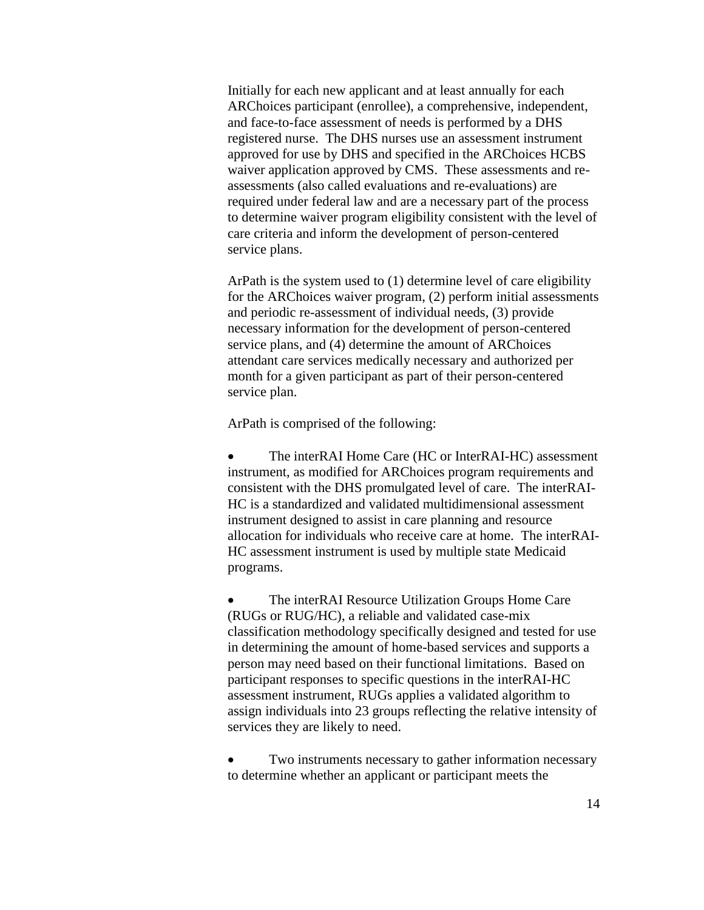Initially for each new applicant and at least annually for each ARChoices participant (enrollee), a comprehensive, independent, and face-to-face assessment of needs is performed by a DHS registered nurse. The DHS nurses use an assessment instrument approved for use by DHS and specified in the ARChoices HCBS waiver application approved by CMS. These assessments and reassessments (also called evaluations and re-evaluations) are required under federal law and are a necessary part of the process to determine waiver program eligibility consistent with the level of care criteria and inform the development of person-centered service plans.

ArPath is the system used to (1) determine level of care eligibility for the ARChoices waiver program, (2) perform initial assessments and periodic re-assessment of individual needs, (3) provide necessary information for the development of person-centered service plans, and (4) determine the amount of ARChoices attendant care services medically necessary and authorized per month for a given participant as part of their person-centered service plan.

ArPath is comprised of the following:

 The interRAI Home Care (HC or InterRAI-HC) assessment instrument, as modified for ARChoices program requirements and consistent with the DHS promulgated level of care. The interRAI-HC is a standardized and validated multidimensional assessment instrument designed to assist in care planning and resource allocation for individuals who receive care at home. The interRAI-HC assessment instrument is used by multiple state Medicaid programs.

 The interRAI Resource Utilization Groups Home Care (RUGs or RUG/HC), a reliable and validated case-mix classification methodology specifically designed and tested for use in determining the amount of home-based services and supports a person may need based on their functional limitations. Based on participant responses to specific questions in the interRAI-HC assessment instrument, RUGs applies a validated algorithm to assign individuals into 23 groups reflecting the relative intensity of services they are likely to need.

 Two instruments necessary to gather information necessary to determine whether an applicant or participant meets the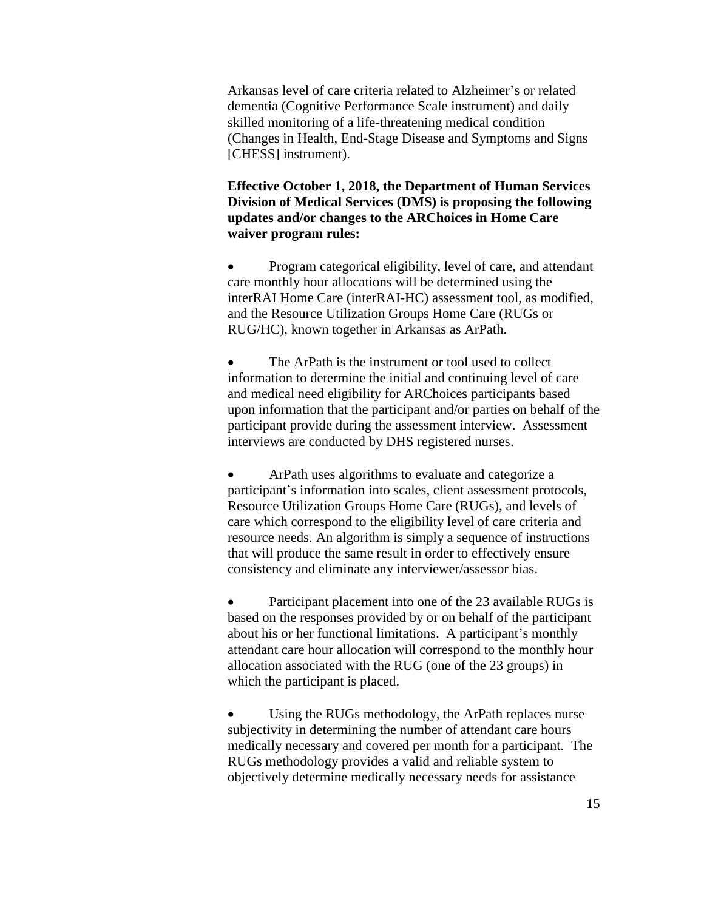Arkansas level of care criteria related to Alzheimer's or related dementia (Cognitive Performance Scale instrument) and daily skilled monitoring of a life-threatening medical condition (Changes in Health, End-Stage Disease and Symptoms and Signs [CHESS] instrument).

**Effective October 1, 2018, the Department of Human Services Division of Medical Services (DMS) is proposing the following updates and/or changes to the ARChoices in Home Care waiver program rules:**

 Program categorical eligibility, level of care, and attendant care monthly hour allocations will be determined using the interRAI Home Care (interRAI-HC) assessment tool, as modified, and the Resource Utilization Groups Home Care (RUGs or RUG/HC), known together in Arkansas as ArPath.

• The ArPath is the instrument or tool used to collect information to determine the initial and continuing level of care and medical need eligibility for ARChoices participants based upon information that the participant and/or parties on behalf of the participant provide during the assessment interview. Assessment interviews are conducted by DHS registered nurses.

 ArPath uses algorithms to evaluate and categorize a participant's information into scales, client assessment protocols, Resource Utilization Groups Home Care (RUGs), and levels of care which correspond to the eligibility level of care criteria and resource needs. An algorithm is simply a sequence of instructions that will produce the same result in order to effectively ensure consistency and eliminate any interviewer/assessor bias.

 Participant placement into one of the 23 available RUGs is based on the responses provided by or on behalf of the participant about his or her functional limitations. A participant's monthly attendant care hour allocation will correspond to the monthly hour allocation associated with the RUG (one of the 23 groups) in which the participant is placed.

• Using the RUGs methodology, the ArPath replaces nurse subjectivity in determining the number of attendant care hours medically necessary and covered per month for a participant. The RUGs methodology provides a valid and reliable system to objectively determine medically necessary needs for assistance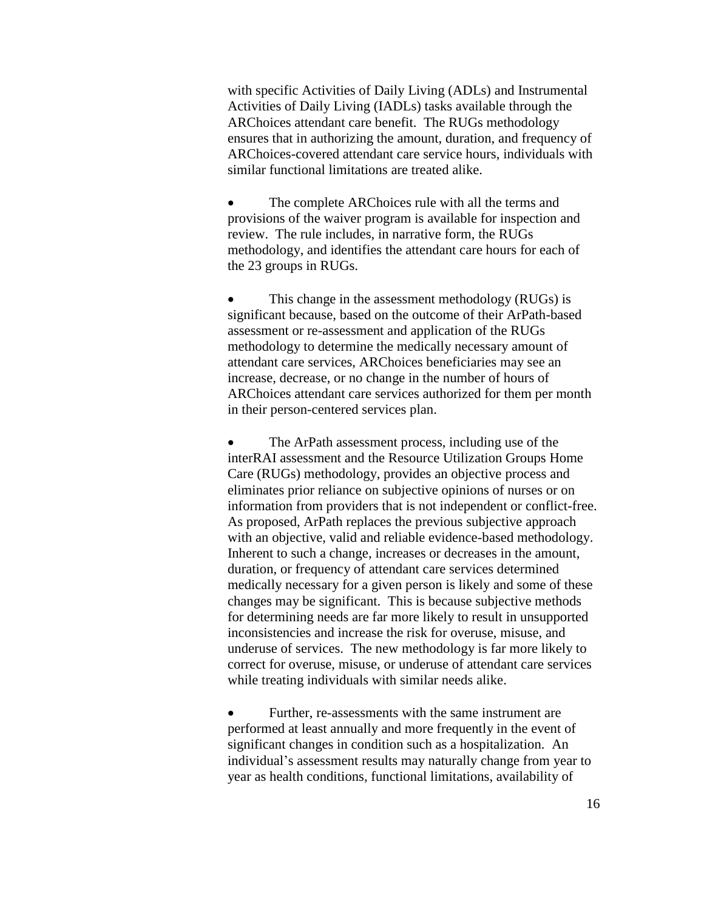with specific Activities of Daily Living (ADLs) and Instrumental Activities of Daily Living (IADLs) tasks available through the ARChoices attendant care benefit. The RUGs methodology ensures that in authorizing the amount, duration, and frequency of ARChoices-covered attendant care service hours, individuals with similar functional limitations are treated alike.

• The complete ARChoices rule with all the terms and provisions of the waiver program is available for inspection and review. The rule includes, in narrative form, the RUGs methodology, and identifies the attendant care hours for each of the 23 groups in RUGs.

• This change in the assessment methodology (RUGs) is significant because, based on the outcome of their ArPath-based assessment or re-assessment and application of the RUGs methodology to determine the medically necessary amount of attendant care services, ARChoices beneficiaries may see an increase, decrease, or no change in the number of hours of ARChoices attendant care services authorized for them per month in their person-centered services plan.

 The ArPath assessment process, including use of the interRAI assessment and the Resource Utilization Groups Home Care (RUGs) methodology, provides an objective process and eliminates prior reliance on subjective opinions of nurses or on information from providers that is not independent or conflict-free. As proposed, ArPath replaces the previous subjective approach with an objective, valid and reliable evidence-based methodology. Inherent to such a change, increases or decreases in the amount, duration, or frequency of attendant care services determined medically necessary for a given person is likely and some of these changes may be significant. This is because subjective methods for determining needs are far more likely to result in unsupported inconsistencies and increase the risk for overuse, misuse, and underuse of services. The new methodology is far more likely to correct for overuse, misuse, or underuse of attendant care services while treating individuals with similar needs alike.

• Further, re-assessments with the same instrument are performed at least annually and more frequently in the event of significant changes in condition such as a hospitalization. An individual's assessment results may naturally change from year to year as health conditions, functional limitations, availability of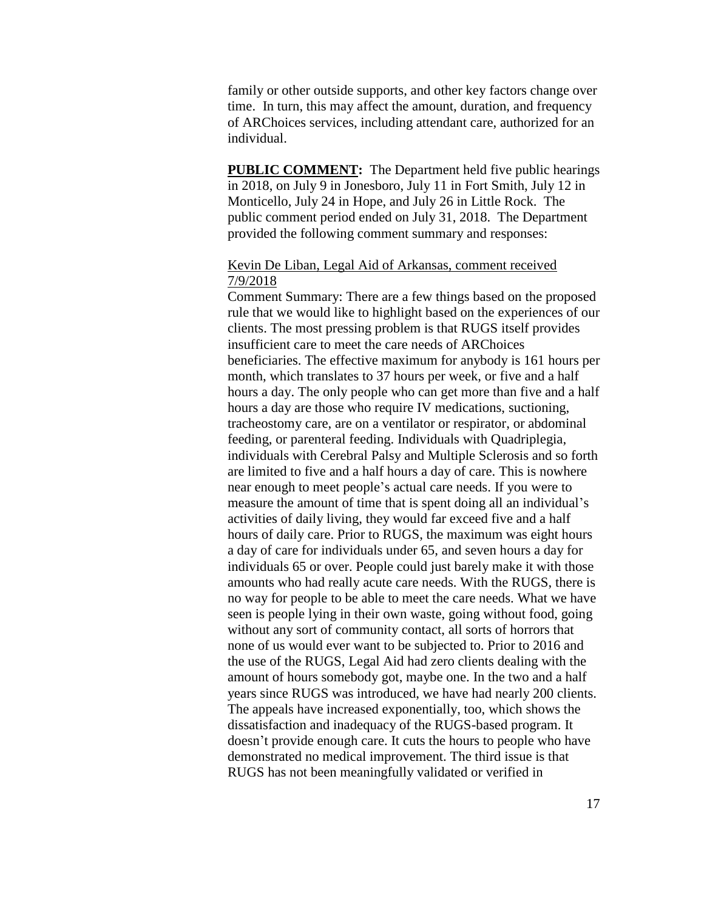family or other outside supports, and other key factors change over time. In turn, this may affect the amount, duration, and frequency of ARChoices services, including attendant care, authorized for an individual.

**PUBLIC COMMENT:** The Department held five public hearings in 2018, on July 9 in Jonesboro, July 11 in Fort Smith, July 12 in Monticello, July 24 in Hope, and July 26 in Little Rock. The public comment period ended on July 31, 2018. The Department provided the following comment summary and responses:

## Kevin De Liban, Legal Aid of Arkansas, comment received 7/9/2018

Comment Summary: There are a few things based on the proposed rule that we would like to highlight based on the experiences of our clients. The most pressing problem is that RUGS itself provides insufficient care to meet the care needs of ARChoices beneficiaries. The effective maximum for anybody is 161 hours per month, which translates to 37 hours per week, or five and a half hours a day. The only people who can get more than five and a half hours a day are those who require IV medications, suctioning, tracheostomy care, are on a ventilator or respirator, or abdominal feeding, or parenteral feeding. Individuals with Quadriplegia, individuals with Cerebral Palsy and Multiple Sclerosis and so forth are limited to five and a half hours a day of care. This is nowhere near enough to meet people's actual care needs. If you were to measure the amount of time that is spent doing all an individual's activities of daily living, they would far exceed five and a half hours of daily care. Prior to RUGS, the maximum was eight hours a day of care for individuals under 65, and seven hours a day for individuals 65 or over. People could just barely make it with those amounts who had really acute care needs. With the RUGS, there is no way for people to be able to meet the care needs. What we have seen is people lying in their own waste, going without food, going without any sort of community contact, all sorts of horrors that none of us would ever want to be subjected to. Prior to 2016 and the use of the RUGS, Legal Aid had zero clients dealing with the amount of hours somebody got, maybe one. In the two and a half years since RUGS was introduced, we have had nearly 200 clients. The appeals have increased exponentially, too, which shows the dissatisfaction and inadequacy of the RUGS-based program. It doesn't provide enough care. It cuts the hours to people who have demonstrated no medical improvement. The third issue is that RUGS has not been meaningfully validated or verified in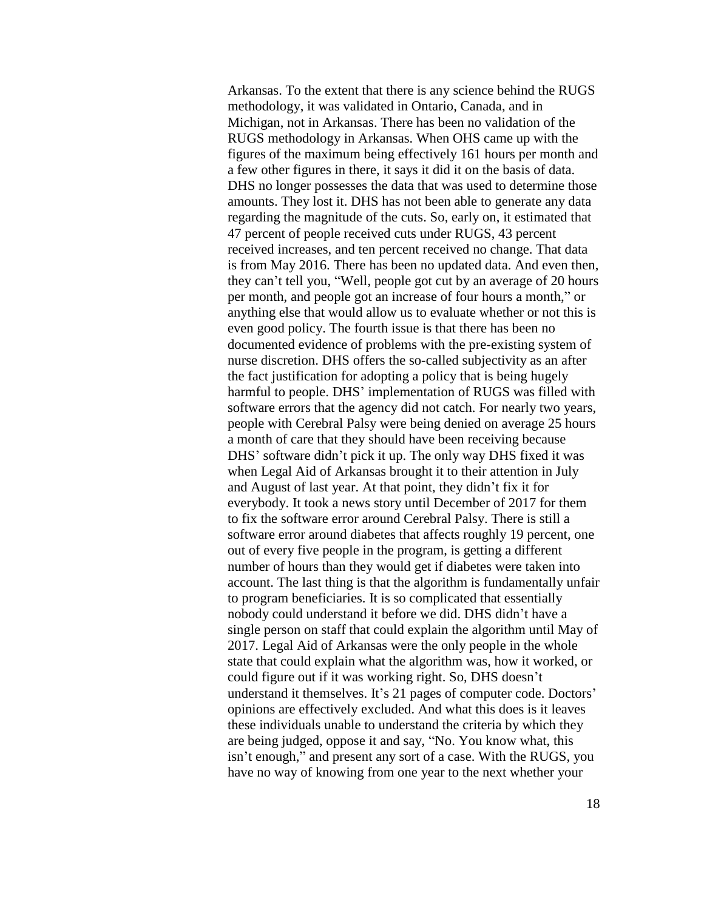Arkansas. To the extent that there is any science behind the RUGS methodology, it was validated in Ontario, Canada, and in Michigan, not in Arkansas. There has been no validation of the RUGS methodology in Arkansas. When OHS came up with the figures of the maximum being effectively 161 hours per month and a few other figures in there, it says it did it on the basis of data. DHS no longer possesses the data that was used to determine those amounts. They lost it. DHS has not been able to generate any data regarding the magnitude of the cuts. So, early on, it estimated that 47 percent of people received cuts under RUGS, 43 percent received increases, and ten percent received no change. That data is from May 2016. There has been no updated data. And even then, they can't tell you, "Well, people got cut by an average of 20 hours per month, and people got an increase of four hours a month," or anything else that would allow us to evaluate whether or not this is even good policy. The fourth issue is that there has been no documented evidence of problems with the pre-existing system of nurse discretion. DHS offers the so-called subjectivity as an after the fact justification for adopting a policy that is being hugely harmful to people. DHS' implementation of RUGS was filled with software errors that the agency did not catch. For nearly two years, people with Cerebral Palsy were being denied on average 25 hours a month of care that they should have been receiving because DHS' software didn't pick it up. The only way DHS fixed it was when Legal Aid of Arkansas brought it to their attention in July and August of last year. At that point, they didn't fix it for everybody. It took a news story until December of 2017 for them to fix the software error around Cerebral Palsy. There is still a software error around diabetes that affects roughly 19 percent, one out of every five people in the program, is getting a different number of hours than they would get if diabetes were taken into account. The last thing is that the algorithm is fundamentally unfair to program beneficiaries. It is so complicated that essentially nobody could understand it before we did. DHS didn't have a single person on staff that could explain the algorithm until May of 2017. Legal Aid of Arkansas were the only people in the whole state that could explain what the algorithm was, how it worked, or could figure out if it was working right. So, DHS doesn't understand it themselves. It's 21 pages of computer code. Doctors' opinions are effectively excluded. And what this does is it leaves these individuals unable to understand the criteria by which they are being judged, oppose it and say, "No. You know what, this isn't enough," and present any sort of a case. With the RUGS, you have no way of knowing from one year to the next whether your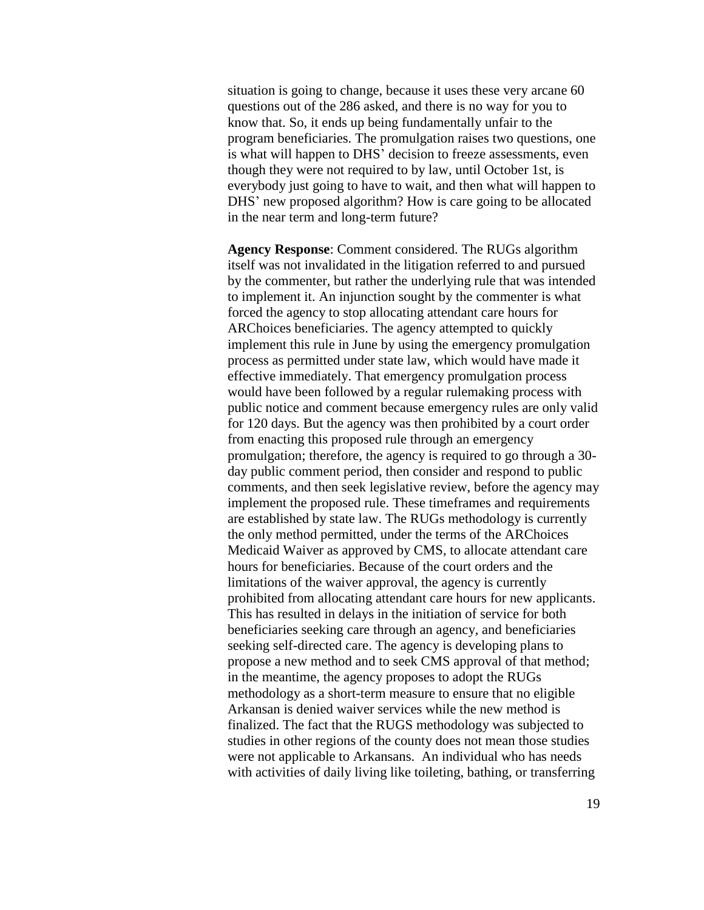situation is going to change, because it uses these very arcane 60 questions out of the 286 asked, and there is no way for you to know that. So, it ends up being fundamentally unfair to the program beneficiaries. The promulgation raises two questions, one is what will happen to DHS' decision to freeze assessments, even though they were not required to by law, until October 1st, is everybody just going to have to wait, and then what will happen to DHS' new proposed algorithm? How is care going to be allocated in the near term and long-term future?

**Agency Response**: Comment considered. The RUGs algorithm itself was not invalidated in the litigation referred to and pursued by the commenter, but rather the underlying rule that was intended to implement it. An injunction sought by the commenter is what forced the agency to stop allocating attendant care hours for ARChoices beneficiaries. The agency attempted to quickly implement this rule in June by using the emergency promulgation process as permitted under state law, which would have made it effective immediately. That emergency promulgation process would have been followed by a regular rulemaking process with public notice and comment because emergency rules are only valid for 120 days. But the agency was then prohibited by a court order from enacting this proposed rule through an emergency promulgation; therefore, the agency is required to go through a 30 day public comment period, then consider and respond to public comments, and then seek legislative review, before the agency may implement the proposed rule. These timeframes and requirements are established by state law. The RUGs methodology is currently the only method permitted, under the terms of the ARChoices Medicaid Waiver as approved by CMS, to allocate attendant care hours for beneficiaries. Because of the court orders and the limitations of the waiver approval, the agency is currently prohibited from allocating attendant care hours for new applicants. This has resulted in delays in the initiation of service for both beneficiaries seeking care through an agency, and beneficiaries seeking self-directed care. The agency is developing plans to propose a new method and to seek CMS approval of that method; in the meantime, the agency proposes to adopt the RUGs methodology as a short-term measure to ensure that no eligible Arkansan is denied waiver services while the new method is finalized. The fact that the RUGS methodology was subjected to studies in other regions of the county does not mean those studies were not applicable to Arkansans. An individual who has needs with activities of daily living like toileting, bathing, or transferring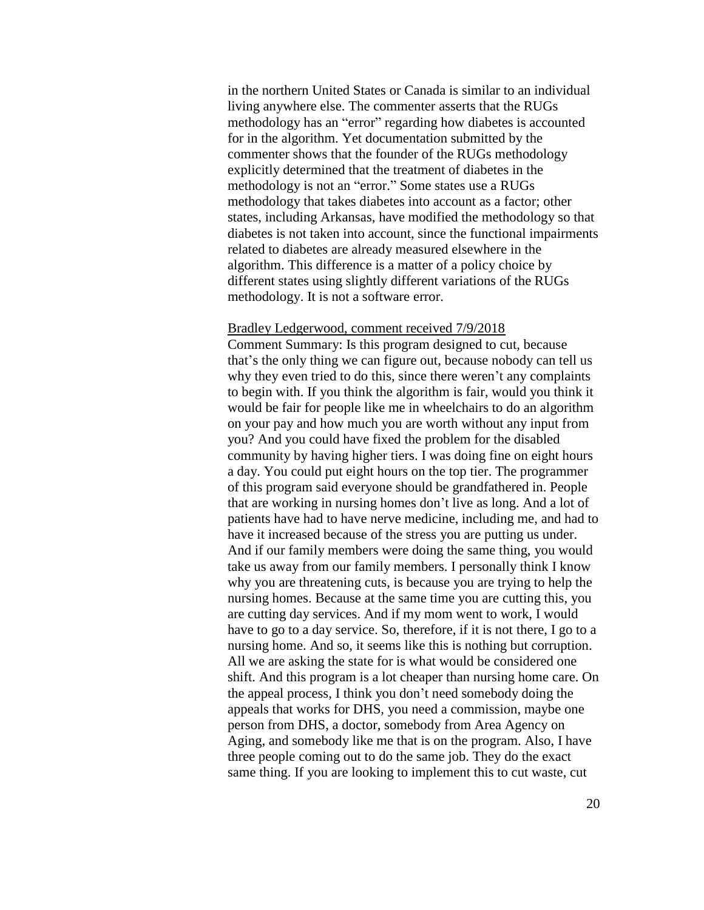in the northern United States or Canada is similar to an individual living anywhere else. The commenter asserts that the RUGs methodology has an "error" regarding how diabetes is accounted for in the algorithm. Yet documentation submitted by the commenter shows that the founder of the RUGs methodology explicitly determined that the treatment of diabetes in the methodology is not an "error." Some states use a RUGs methodology that takes diabetes into account as a factor; other states, including Arkansas, have modified the methodology so that diabetes is not taken into account, since the functional impairments related to diabetes are already measured elsewhere in the algorithm. This difference is a matter of a policy choice by different states using slightly different variations of the RUGs methodology. It is not a software error.

### Bradley Ledgerwood, comment received 7/9/2018

Comment Summary: Is this program designed to cut, because that's the only thing we can figure out, because nobody can tell us why they even tried to do this, since there weren't any complaints to begin with. If you think the algorithm is fair, would you think it would be fair for people like me in wheelchairs to do an algorithm on your pay and how much you are worth without any input from you? And you could have fixed the problem for the disabled community by having higher tiers. I was doing fine on eight hours a day. You could put eight hours on the top tier. The programmer of this program said everyone should be grandfathered in. People that are working in nursing homes don't live as long. And a lot of patients have had to have nerve medicine, including me, and had to have it increased because of the stress you are putting us under. And if our family members were doing the same thing, you would take us away from our family members. I personally think I know why you are threatening cuts, is because you are trying to help the nursing homes. Because at the same time you are cutting this, you are cutting day services. And if my mom went to work, I would have to go to a day service. So, therefore, if it is not there, I go to a nursing home. And so, it seems like this is nothing but corruption. All we are asking the state for is what would be considered one shift. And this program is a lot cheaper than nursing home care. On the appeal process, I think you don't need somebody doing the appeals that works for DHS, you need a commission, maybe one person from DHS, a doctor, somebody from Area Agency on Aging, and somebody like me that is on the program. Also, I have three people coming out to do the same job. They do the exact same thing. If you are looking to implement this to cut waste, cut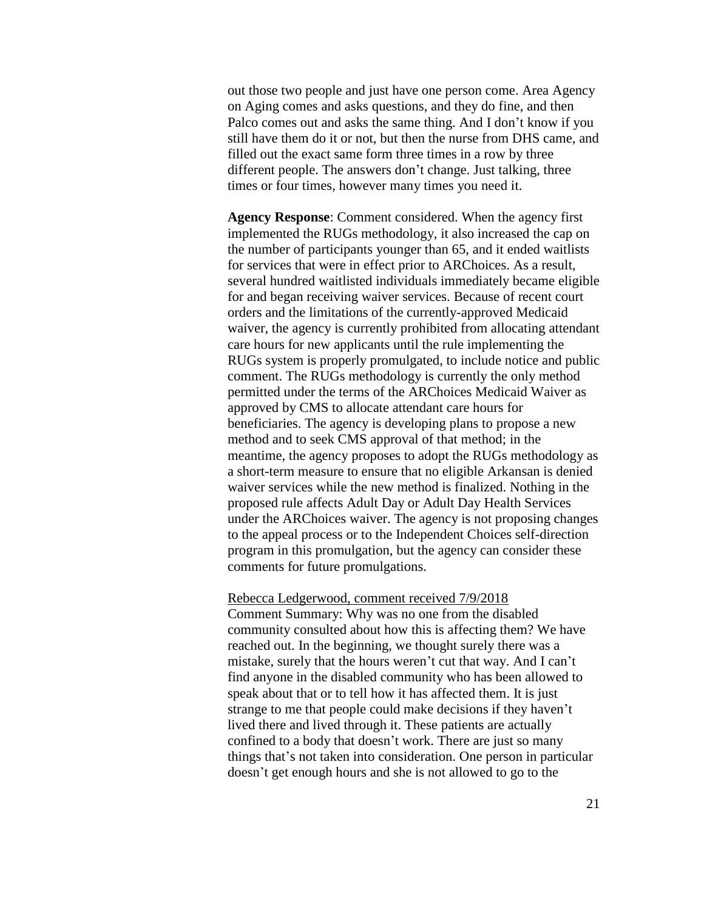out those two people and just have one person come. Area Agency on Aging comes and asks questions, and they do fine, and then Palco comes out and asks the same thing. And I don't know if you still have them do it or not, but then the nurse from DHS came, and filled out the exact same form three times in a row by three different people. The answers don't change. Just talking, three times or four times, however many times you need it.

**Agency Response**: Comment considered. When the agency first implemented the RUGs methodology, it also increased the cap on the number of participants younger than 65, and it ended waitlists for services that were in effect prior to ARChoices. As a result, several hundred waitlisted individuals immediately became eligible for and began receiving waiver services. Because of recent court orders and the limitations of the currently-approved Medicaid waiver, the agency is currently prohibited from allocating attendant care hours for new applicants until the rule implementing the RUGs system is properly promulgated, to include notice and public comment. The RUGs methodology is currently the only method permitted under the terms of the ARChoices Medicaid Waiver as approved by CMS to allocate attendant care hours for beneficiaries. The agency is developing plans to propose a new method and to seek CMS approval of that method; in the meantime, the agency proposes to adopt the RUGs methodology as a short-term measure to ensure that no eligible Arkansan is denied waiver services while the new method is finalized. Nothing in the proposed rule affects Adult Day or Adult Day Health Services under the ARChoices waiver. The agency is not proposing changes to the appeal process or to the Independent Choices self-direction program in this promulgation, but the agency can consider these comments for future promulgations.

#### Rebecca Ledgerwood, comment received 7/9/2018

Comment Summary: Why was no one from the disabled community consulted about how this is affecting them? We have reached out. In the beginning, we thought surely there was a mistake, surely that the hours weren't cut that way. And I can't find anyone in the disabled community who has been allowed to speak about that or to tell how it has affected them. It is just strange to me that people could make decisions if they haven't lived there and lived through it. These patients are actually confined to a body that doesn't work. There are just so many things that's not taken into consideration. One person in particular doesn't get enough hours and she is not allowed to go to the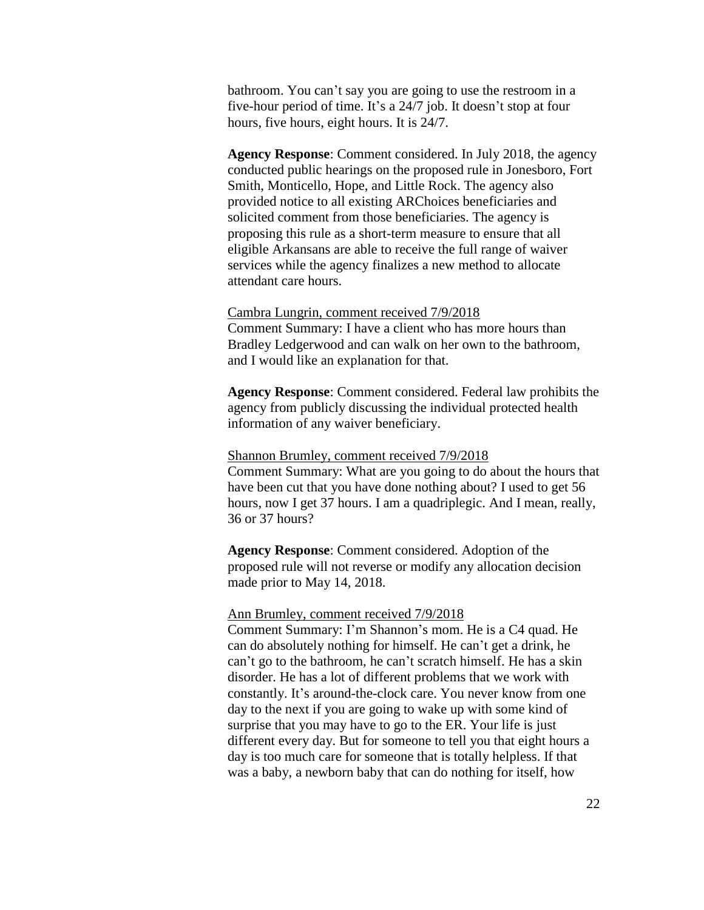bathroom. You can't say you are going to use the restroom in a five-hour period of time. It's a 24/7 job. It doesn't stop at four hours, five hours, eight hours. It is 24/7.

**Agency Response**: Comment considered. In July 2018, the agency conducted public hearings on the proposed rule in Jonesboro, Fort Smith, Monticello, Hope, and Little Rock. The agency also provided notice to all existing ARChoices beneficiaries and solicited comment from those beneficiaries. The agency is proposing this rule as a short-term measure to ensure that all eligible Arkansans are able to receive the full range of waiver services while the agency finalizes a new method to allocate attendant care hours.

#### Cambra Lungrin, comment received 7/9/2018

Comment Summary: I have a client who has more hours than Bradley Ledgerwood and can walk on her own to the bathroom, and I would like an explanation for that.

**Agency Response**: Comment considered. Federal law prohibits the agency from publicly discussing the individual protected health information of any waiver beneficiary.

### Shannon Brumley, comment received 7/9/2018

Comment Summary: What are you going to do about the hours that have been cut that you have done nothing about? I used to get 56 hours, now I get 37 hours. I am a quadriplegic. And I mean, really, 36 or 37 hours?

**Agency Response**: Comment considered. Adoption of the proposed rule will not reverse or modify any allocation decision made prior to May 14, 2018.

### Ann Brumley, comment received 7/9/2018

Comment Summary: I'm Shannon's mom. He is a C4 quad. He can do absolutely nothing for himself. He can't get a drink, he can't go to the bathroom, he can't scratch himself. He has a skin disorder. He has a lot of different problems that we work with constantly. It's around-the-clock care. You never know from one day to the next if you are going to wake up with some kind of surprise that you may have to go to the ER. Your life is just different every day. But for someone to tell you that eight hours a day is too much care for someone that is totally helpless. If that was a baby, a newborn baby that can do nothing for itself, how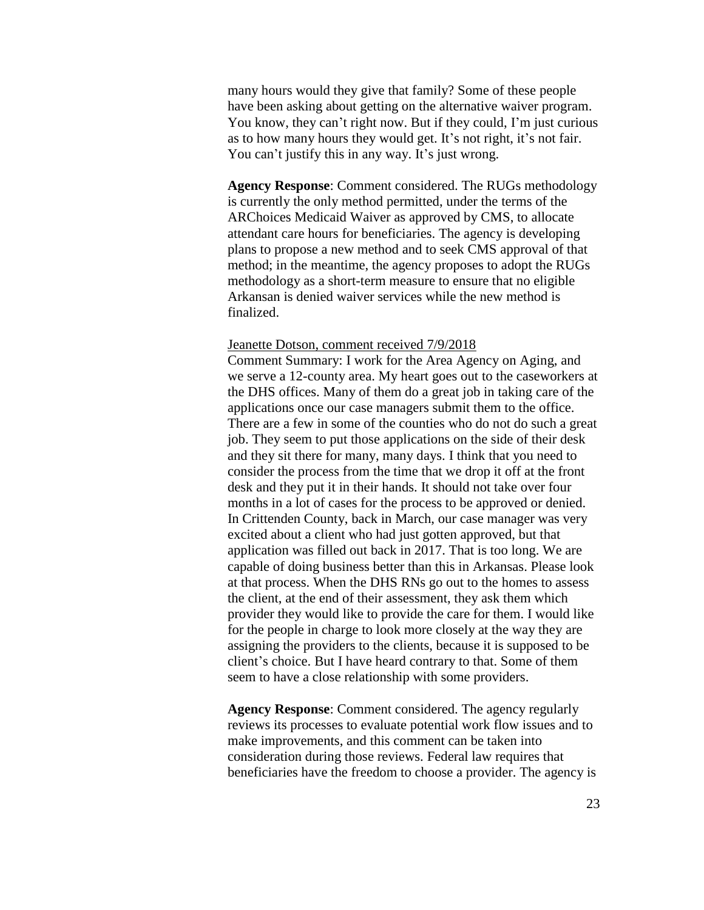many hours would they give that family? Some of these people have been asking about getting on the alternative waiver program. You know, they can't right now. But if they could, I'm just curious as to how many hours they would get. It's not right, it's not fair. You can't justify this in any way. It's just wrong.

**Agency Response**: Comment considered. The RUGs methodology is currently the only method permitted, under the terms of the ARChoices Medicaid Waiver as approved by CMS, to allocate attendant care hours for beneficiaries. The agency is developing plans to propose a new method and to seek CMS approval of that method; in the meantime, the agency proposes to adopt the RUGs methodology as a short-term measure to ensure that no eligible Arkansan is denied waiver services while the new method is finalized.

#### Jeanette Dotson, comment received 7/9/2018

Comment Summary: I work for the Area Agency on Aging, and we serve a 12-county area. My heart goes out to the caseworkers at the DHS offices. Many of them do a great job in taking care of the applications once our case managers submit them to the office. There are a few in some of the counties who do not do such a great job. They seem to put those applications on the side of their desk and they sit there for many, many days. I think that you need to consider the process from the time that we drop it off at the front desk and they put it in their hands. It should not take over four months in a lot of cases for the process to be approved or denied. In Crittenden County, back in March, our case manager was very excited about a client who had just gotten approved, but that application was filled out back in 2017. That is too long. We are capable of doing business better than this in Arkansas. Please look at that process. When the DHS RNs go out to the homes to assess the client, at the end of their assessment, they ask them which provider they would like to provide the care for them. I would like for the people in charge to look more closely at the way they are assigning the providers to the clients, because it is supposed to be client's choice. But I have heard contrary to that. Some of them seem to have a close relationship with some providers.

**Agency Response**: Comment considered. The agency regularly reviews its processes to evaluate potential work flow issues and to make improvements, and this comment can be taken into consideration during those reviews. Federal law requires that beneficiaries have the freedom to choose a provider. The agency is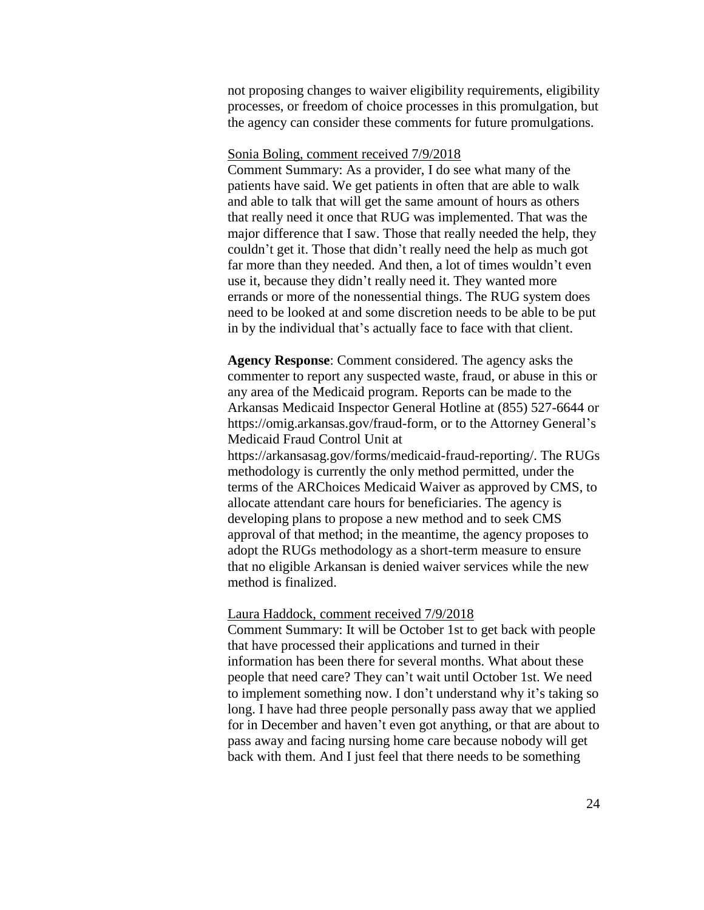not proposing changes to waiver eligibility requirements, eligibility processes, or freedom of choice processes in this promulgation, but the agency can consider these comments for future promulgations.

### Sonia Boling, comment received 7/9/2018

Comment Summary: As a provider, I do see what many of the patients have said. We get patients in often that are able to walk and able to talk that will get the same amount of hours as others that really need it once that RUG was implemented. That was the major difference that I saw. Those that really needed the help, they couldn't get it. Those that didn't really need the help as much got far more than they needed. And then, a lot of times wouldn't even use it, because they didn't really need it. They wanted more errands or more of the nonessential things. The RUG system does need to be looked at and some discretion needs to be able to be put in by the individual that's actually face to face with that client.

**Agency Response**: Comment considered. The agency asks the commenter to report any suspected waste, fraud, or abuse in this or any area of the Medicaid program. Reports can be made to the Arkansas Medicaid Inspector General Hotline at (855) 527-6644 or https://omig.arkansas.gov/fraud-form, or to the Attorney General's Medicaid Fraud Control Unit at https://arkansasag.gov/forms/medicaid-fraud-reporting/. The RUGs methodology is currently the only method permitted, under the terms of the ARChoices Medicaid Waiver as approved by CMS, to allocate attendant care hours for beneficiaries. The agency is developing plans to propose a new method and to seek CMS approval of that method; in the meantime, the agency proposes to adopt the RUGs methodology as a short-term measure to ensure that no eligible Arkansan is denied waiver services while the new method is finalized.

#### Laura Haddock, comment received 7/9/2018

Comment Summary: It will be October 1st to get back with people that have processed their applications and turned in their information has been there for several months. What about these people that need care? They can't wait until October 1st. We need to implement something now. I don't understand why it's taking so long. I have had three people personally pass away that we applied for in December and haven't even got anything, or that are about to pass away and facing nursing home care because nobody will get back with them. And I just feel that there needs to be something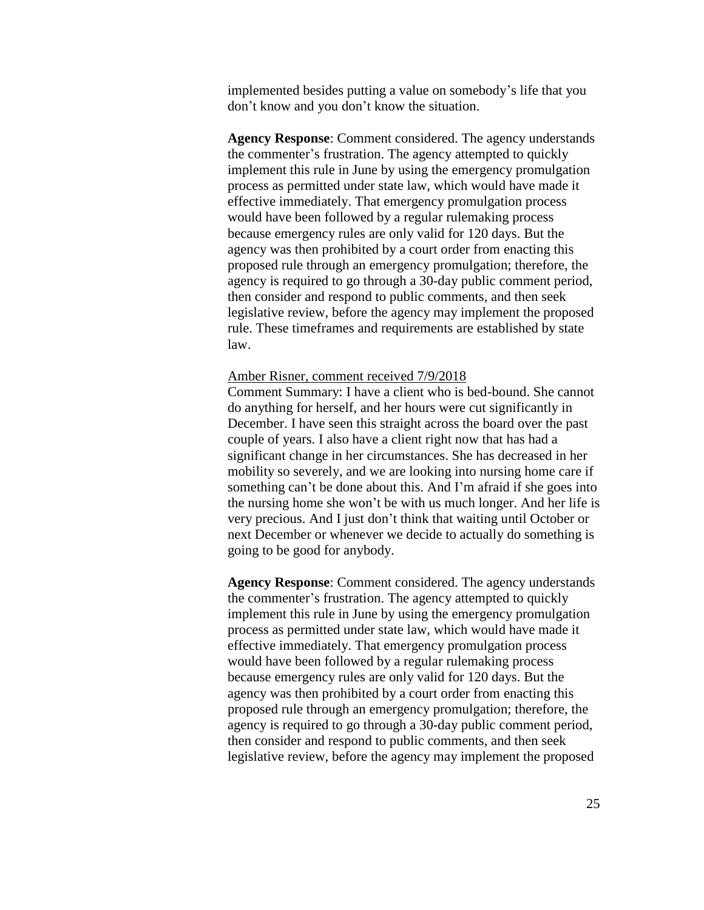implemented besides putting a value on somebody's life that you don't know and you don't know the situation.

**Agency Response**: Comment considered. The agency understands the commenter's frustration. The agency attempted to quickly implement this rule in June by using the emergency promulgation process as permitted under state law, which would have made it effective immediately. That emergency promulgation process would have been followed by a regular rulemaking process because emergency rules are only valid for 120 days. But the agency was then prohibited by a court order from enacting this proposed rule through an emergency promulgation; therefore, the agency is required to go through a 30-day public comment period, then consider and respond to public comments, and then seek legislative review, before the agency may implement the proposed rule. These timeframes and requirements are established by state law.

### Amber Risner, comment received 7/9/2018

Comment Summary: I have a client who is bed-bound. She cannot do anything for herself, and her hours were cut significantly in December. I have seen this straight across the board over the past couple of years. I also have a client right now that has had a significant change in her circumstances. She has decreased in her mobility so severely, and we are looking into nursing home care if something can't be done about this. And I'm afraid if she goes into the nursing home she won't be with us much longer. And her life is very precious. And I just don't think that waiting until October or next December or whenever we decide to actually do something is going to be good for anybody.

**Agency Response**: Comment considered. The agency understands the commenter's frustration. The agency attempted to quickly implement this rule in June by using the emergency promulgation process as permitted under state law, which would have made it effective immediately. That emergency promulgation process would have been followed by a regular rulemaking process because emergency rules are only valid for 120 days. But the agency was then prohibited by a court order from enacting this proposed rule through an emergency promulgation; therefore, the agency is required to go through a 30-day public comment period, then consider and respond to public comments, and then seek legislative review, before the agency may implement the proposed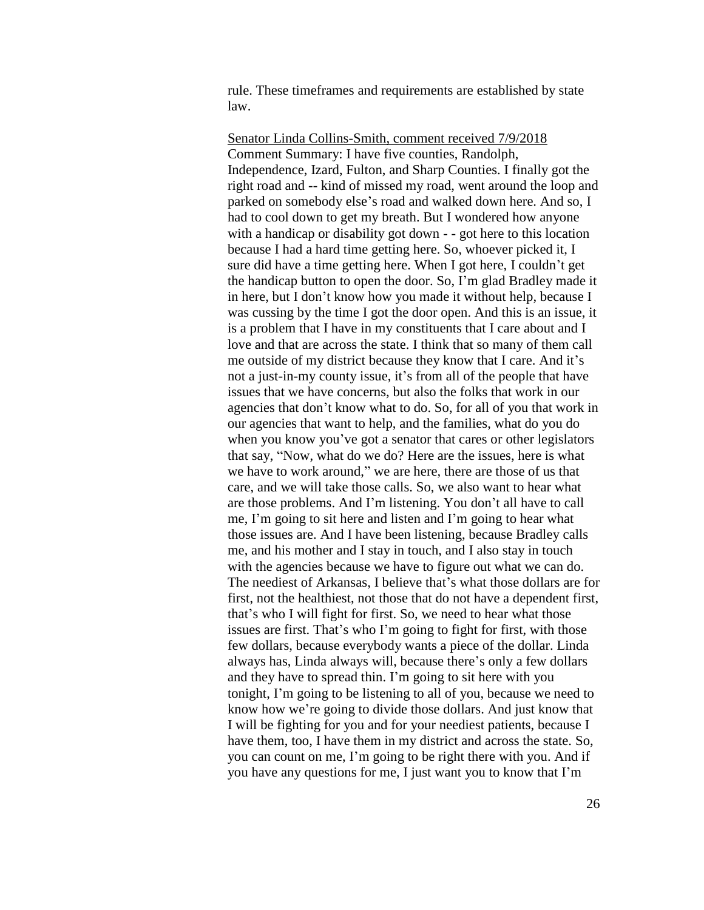rule. These timeframes and requirements are established by state law.

Senator Linda Collins-Smith, comment received 7/9/2018 Comment Summary: I have five counties, Randolph, Independence, Izard, Fulton, and Sharp Counties. I finally got the right road and -- kind of missed my road, went around the loop and parked on somebody else's road and walked down here. And so, I had to cool down to get my breath. But I wondered how anyone with a handicap or disability got down - - got here to this location because I had a hard time getting here. So, whoever picked it, I sure did have a time getting here. When I got here, I couldn't get the handicap button to open the door. So, I'm glad Bradley made it in here, but I don't know how you made it without help, because I was cussing by the time I got the door open. And this is an issue, it is a problem that I have in my constituents that I care about and I love and that are across the state. I think that so many of them call me outside of my district because they know that I care. And it's not a just-in-my county issue, it's from all of the people that have issues that we have concerns, but also the folks that work in our agencies that don't know what to do. So, for all of you that work in our agencies that want to help, and the families, what do you do when you know you've got a senator that cares or other legislators that say, "Now, what do we do? Here are the issues, here is what we have to work around," we are here, there are those of us that care, and we will take those calls. So, we also want to hear what are those problems. And I'm listening. You don't all have to call me, I'm going to sit here and listen and I'm going to hear what those issues are. And I have been listening, because Bradley calls me, and his mother and I stay in touch, and I also stay in touch with the agencies because we have to figure out what we can do. The neediest of Arkansas, I believe that's what those dollars are for first, not the healthiest, not those that do not have a dependent first, that's who I will fight for first. So, we need to hear what those issues are first. That's who I'm going to fight for first, with those few dollars, because everybody wants a piece of the dollar. Linda always has, Linda always will, because there's only a few dollars and they have to spread thin. I'm going to sit here with you tonight, I'm going to be listening to all of you, because we need to know how we're going to divide those dollars. And just know that I will be fighting for you and for your neediest patients, because I have them, too, I have them in my district and across the state. So, you can count on me, I'm going to be right there with you. And if you have any questions for me, I just want you to know that I'm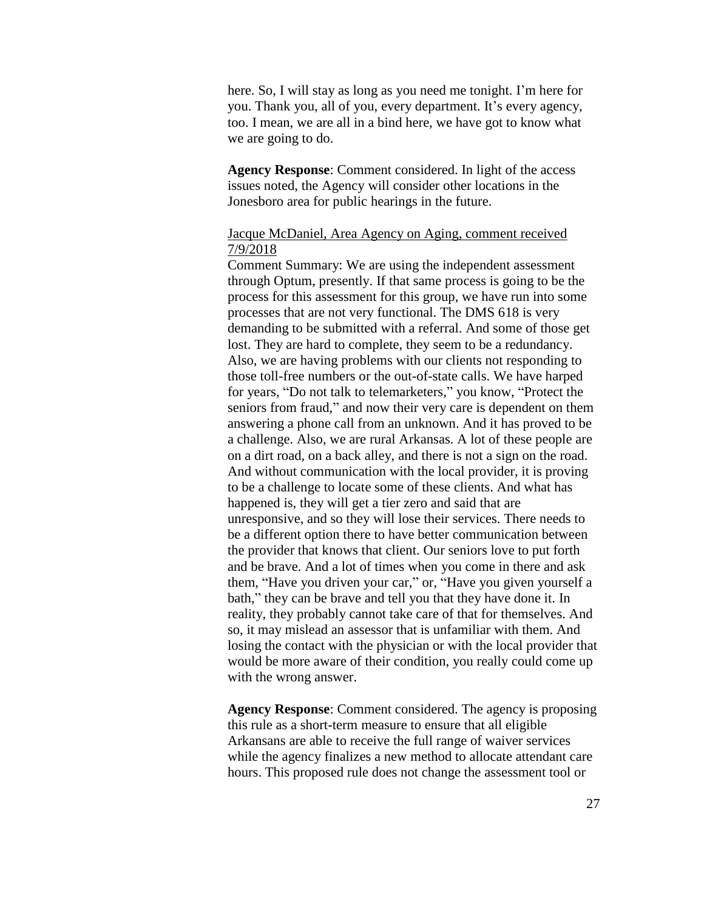here. So, I will stay as long as you need me tonight. I'm here for you. Thank you, all of you, every department. It's every agency, too. I mean, we are all in a bind here, we have got to know what we are going to do.

**Agency Response**: Comment considered. In light of the access issues noted, the Agency will consider other locations in the Jonesboro area for public hearings in the future.

### Jacque McDaniel, Area Agency on Aging, comment received 7/9/2018

Comment Summary: We are using the independent assessment through Optum, presently. If that same process is going to be the process for this assessment for this group, we have run into some processes that are not very functional. The DMS 618 is very demanding to be submitted with a referral. And some of those get lost. They are hard to complete, they seem to be a redundancy. Also, we are having problems with our clients not responding to those toll-free numbers or the out-of-state calls. We have harped for years, "Do not talk to telemarketers," you know, "Protect the seniors from fraud," and now their very care is dependent on them answering a phone call from an unknown. And it has proved to be a challenge. Also, we are rural Arkansas. A lot of these people are on a dirt road, on a back alley, and there is not a sign on the road. And without communication with the local provider, it is proving to be a challenge to locate some of these clients. And what has happened is, they will get a tier zero and said that are unresponsive, and so they will lose their services. There needs to be a different option there to have better communication between the provider that knows that client. Our seniors love to put forth and be brave. And a lot of times when you come in there and ask them, "Have you driven your car," or, "Have you given yourself a bath," they can be brave and tell you that they have done it. In reality, they probably cannot take care of that for themselves. And so, it may mislead an assessor that is unfamiliar with them. And losing the contact with the physician or with the local provider that would be more aware of their condition, you really could come up with the wrong answer.

**Agency Response**: Comment considered. The agency is proposing this rule as a short-term measure to ensure that all eligible Arkansans are able to receive the full range of waiver services while the agency finalizes a new method to allocate attendant care hours. This proposed rule does not change the assessment tool or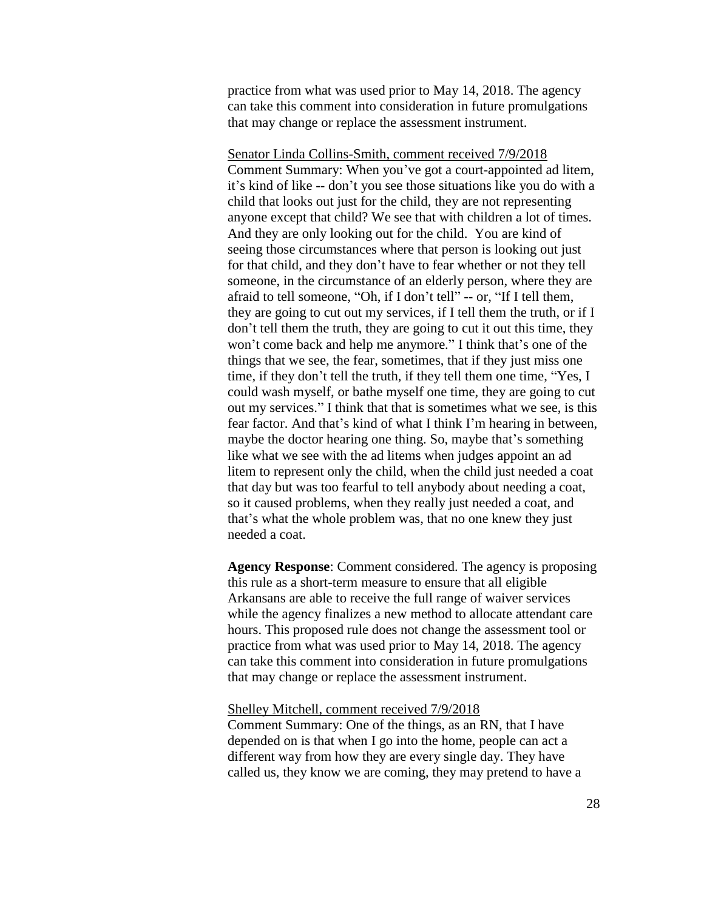practice from what was used prior to May 14, 2018. The agency can take this comment into consideration in future promulgations that may change or replace the assessment instrument.

Senator Linda Collins-Smith, comment received 7/9/2018 Comment Summary: When you've got a court-appointed ad litem, it's kind of like -- don't you see those situations like you do with a child that looks out just for the child, they are not representing anyone except that child? We see that with children a lot of times. And they are only looking out for the child. You are kind of seeing those circumstances where that person is looking out just for that child, and they don't have to fear whether or not they tell someone, in the circumstance of an elderly person, where they are afraid to tell someone, "Oh, if I don't tell" -- or, "If I tell them, they are going to cut out my services, if I tell them the truth, or if I don't tell them the truth, they are going to cut it out this time, they won't come back and help me anymore." I think that's one of the things that we see, the fear, sometimes, that if they just miss one time, if they don't tell the truth, if they tell them one time, "Yes, I could wash myself, or bathe myself one time, they are going to cut out my services." I think that that is sometimes what we see, is this fear factor. And that's kind of what I think I'm hearing in between, maybe the doctor hearing one thing. So, maybe that's something like what we see with the ad litems when judges appoint an ad litem to represent only the child, when the child just needed a coat that day but was too fearful to tell anybody about needing a coat, so it caused problems, when they really just needed a coat, and that's what the whole problem was, that no one knew they just needed a coat.

**Agency Response**: Comment considered. The agency is proposing this rule as a short-term measure to ensure that all eligible Arkansans are able to receive the full range of waiver services while the agency finalizes a new method to allocate attendant care hours. This proposed rule does not change the assessment tool or practice from what was used prior to May 14, 2018. The agency can take this comment into consideration in future promulgations that may change or replace the assessment instrument.

### Shelley Mitchell, comment received 7/9/2018

Comment Summary: One of the things, as an RN, that I have depended on is that when I go into the home, people can act a different way from how they are every single day. They have called us, they know we are coming, they may pretend to have a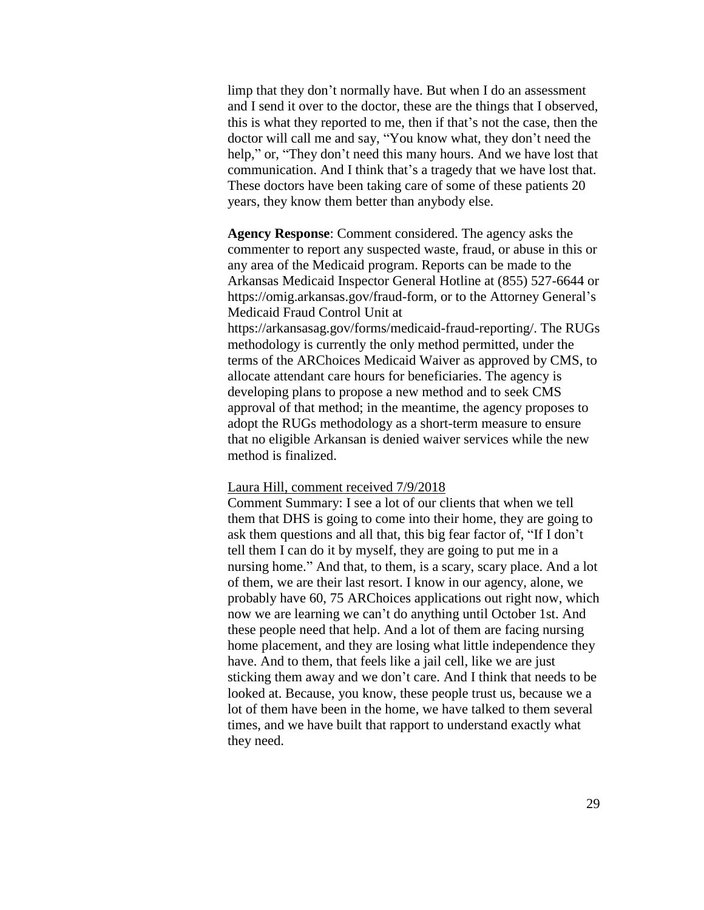limp that they don't normally have. But when I do an assessment and I send it over to the doctor, these are the things that I observed, this is what they reported to me, then if that's not the case, then the doctor will call me and say, "You know what, they don't need the help," or, "They don't need this many hours. And we have lost that communication. And I think that's a tragedy that we have lost that. These doctors have been taking care of some of these patients 20 years, they know them better than anybody else.

**Agency Response**: Comment considered. The agency asks the commenter to report any suspected waste, fraud, or abuse in this or any area of the Medicaid program. Reports can be made to the Arkansas Medicaid Inspector General Hotline at (855) 527-6644 or https://omig.arkansas.gov/fraud-form, or to the Attorney General's Medicaid Fraud Control Unit at https://arkansasag.gov/forms/medicaid-fraud-reporting/. The RUGs methodology is currently the only method permitted, under the terms of the ARChoices Medicaid Waiver as approved by CMS, to allocate attendant care hours for beneficiaries. The agency is developing plans to propose a new method and to seek CMS approval of that method; in the meantime, the agency proposes to adopt the RUGs methodology as a short-term measure to ensure that no eligible Arkansan is denied waiver services while the new method is finalized.

### Laura Hill, comment received 7/9/2018

Comment Summary: I see a lot of our clients that when we tell them that DHS is going to come into their home, they are going to ask them questions and all that, this big fear factor of, "If I don't tell them I can do it by myself, they are going to put me in a nursing home." And that, to them, is a scary, scary place. And a lot of them, we are their last resort. I know in our agency, alone, we probably have 60, 75 ARChoices applications out right now, which now we are learning we can't do anything until October 1st. And these people need that help. And a lot of them are facing nursing home placement, and they are losing what little independence they have. And to them, that feels like a jail cell, like we are just sticking them away and we don't care. And I think that needs to be looked at. Because, you know, these people trust us, because we a lot of them have been in the home, we have talked to them several times, and we have built that rapport to understand exactly what they need.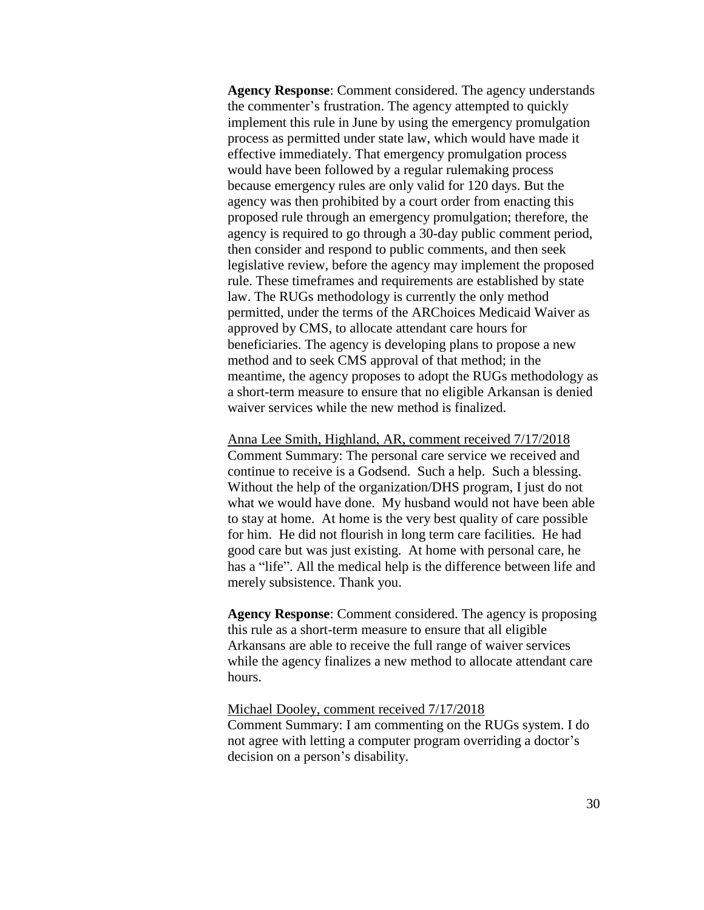**Agency Response**: Comment considered. The agency understands the commenter's frustration. The agency attempted to quickly implement this rule in June by using the emergency promulgation process as permitted under state law, which would have made it effective immediately. That emergency promulgation process would have been followed by a regular rulemaking process because emergency rules are only valid for 120 days. But the agency was then prohibited by a court order from enacting this proposed rule through an emergency promulgation; therefore, the agency is required to go through a 30-day public comment period, then consider and respond to public comments, and then seek legislative review, before the agency may implement the proposed rule. These timeframes and requirements are established by state law. The RUGs methodology is currently the only method permitted, under the terms of the ARChoices Medicaid Waiver as approved by CMS, to allocate attendant care hours for beneficiaries. The agency is developing plans to propose a new method and to seek CMS approval of that method; in the meantime, the agency proposes to adopt the RUGs methodology as a short-term measure to ensure that no eligible Arkansan is denied waiver services while the new method is finalized.

Anna Lee Smith, Highland, AR, comment received 7/17/2018 Comment Summary: The personal care service we received and continue to receive is a Godsend. Such a help. Such a blessing. Without the help of the organization/DHS program, I just do not what we would have done. My husband would not have been able to stay at home. At home is the very best quality of care possible for him. He did not flourish in long term care facilities. He had good care but was just existing. At home with personal care, he has a "life". All the medical help is the difference between life and merely subsistence. Thank you.

**Agency Response**: Comment considered. The agency is proposing this rule as a short-term measure to ensure that all eligible Arkansans are able to receive the full range of waiver services while the agency finalizes a new method to allocate attendant care hours.

### Michael Dooley, comment received 7/17/2018

Comment Summary: I am commenting on the RUGs system. I do not agree with letting a computer program overriding a doctor's decision on a person's disability.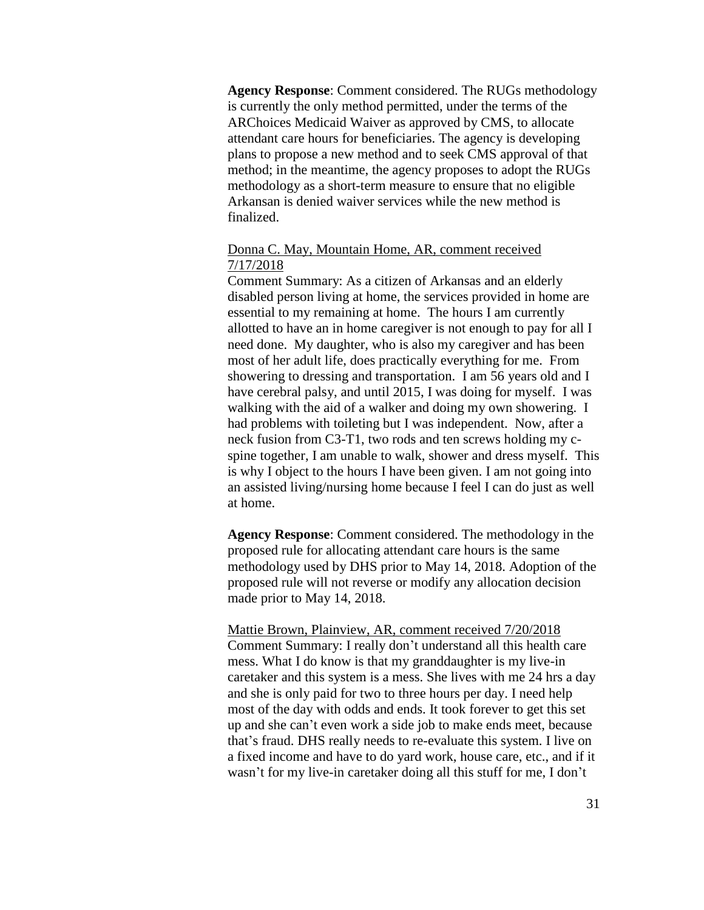**Agency Response**: Comment considered. The RUGs methodology is currently the only method permitted, under the terms of the ARChoices Medicaid Waiver as approved by CMS, to allocate attendant care hours for beneficiaries. The agency is developing plans to propose a new method and to seek CMS approval of that method; in the meantime, the agency proposes to adopt the RUGs methodology as a short-term measure to ensure that no eligible Arkansan is denied waiver services while the new method is finalized.

## Donna C. May, Mountain Home, AR, comment received 7/17/2018

Comment Summary: As a citizen of Arkansas and an elderly disabled person living at home, the services provided in home are essential to my remaining at home. The hours I am currently allotted to have an in home caregiver is not enough to pay for all I need done. My daughter, who is also my caregiver and has been most of her adult life, does practically everything for me. From showering to dressing and transportation. I am 56 years old and I have cerebral palsy, and until 2015, I was doing for myself. I was walking with the aid of a walker and doing my own showering. I had problems with toileting but I was independent. Now, after a neck fusion from C3-T1, two rods and ten screws holding my cspine together, I am unable to walk, shower and dress myself. This is why I object to the hours I have been given. I am not going into an assisted living/nursing home because I feel I can do just as well at home.

**Agency Response**: Comment considered. The methodology in the proposed rule for allocating attendant care hours is the same methodology used by DHS prior to May 14, 2018. Adoption of the proposed rule will not reverse or modify any allocation decision made prior to May 14, 2018.

Mattie Brown, Plainview, AR, comment received 7/20/2018 Comment Summary: I really don't understand all this health care mess. What I do know is that my granddaughter is my live-in caretaker and this system is a mess. She lives with me 24 hrs a day and she is only paid for two to three hours per day. I need help most of the day with odds and ends. It took forever to get this set up and she can't even work a side job to make ends meet, because that's fraud. DHS really needs to re-evaluate this system. I live on a fixed income and have to do yard work, house care, etc., and if it wasn't for my live-in caretaker doing all this stuff for me, I don't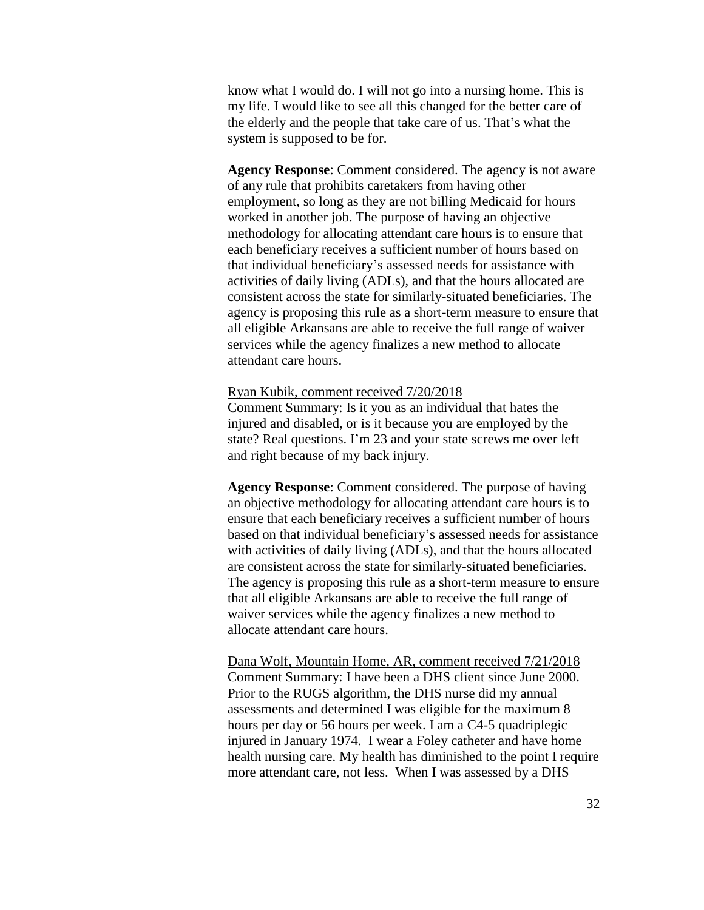know what I would do. I will not go into a nursing home. This is my life. I would like to see all this changed for the better care of the elderly and the people that take care of us. That's what the system is supposed to be for.

**Agency Response**: Comment considered. The agency is not aware of any rule that prohibits caretakers from having other employment, so long as they are not billing Medicaid for hours worked in another job. The purpose of having an objective methodology for allocating attendant care hours is to ensure that each beneficiary receives a sufficient number of hours based on that individual beneficiary's assessed needs for assistance with activities of daily living (ADLs), and that the hours allocated are consistent across the state for similarly-situated beneficiaries. The agency is proposing this rule as a short-term measure to ensure that all eligible Arkansans are able to receive the full range of waiver services while the agency finalizes a new method to allocate attendant care hours.

### Ryan Kubik, comment received 7/20/2018

Comment Summary: Is it you as an individual that hates the injured and disabled, or is it because you are employed by the state? Real questions. I'm 23 and your state screws me over left and right because of my back injury.

**Agency Response**: Comment considered. The purpose of having an objective methodology for allocating attendant care hours is to ensure that each beneficiary receives a sufficient number of hours based on that individual beneficiary's assessed needs for assistance with activities of daily living (ADLs), and that the hours allocated are consistent across the state for similarly-situated beneficiaries. The agency is proposing this rule as a short-term measure to ensure that all eligible Arkansans are able to receive the full range of waiver services while the agency finalizes a new method to allocate attendant care hours.

Dana Wolf, Mountain Home, AR, comment received 7/21/2018 Comment Summary: I have been a DHS client since June 2000. Prior to the RUGS algorithm, the DHS nurse did my annual assessments and determined I was eligible for the maximum 8 hours per day or 56 hours per week. I am a C4-5 quadriplegic injured in January 1974. I wear a Foley catheter and have home health nursing care. My health has diminished to the point I require more attendant care, not less. When I was assessed by a DHS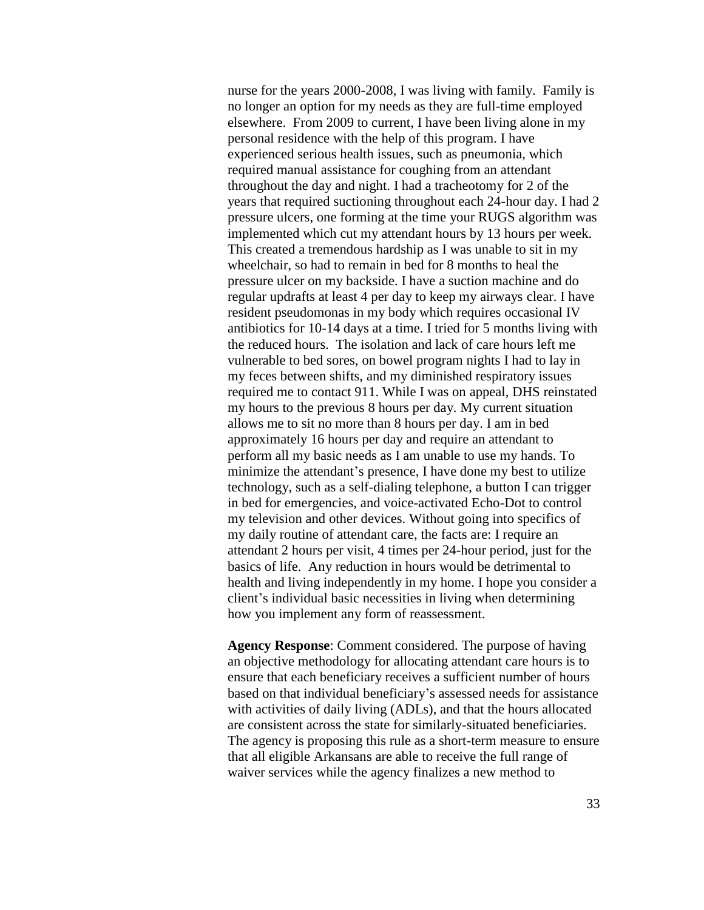nurse for the years 2000-2008, I was living with family. Family is no longer an option for my needs as they are full-time employed elsewhere. From 2009 to current, I have been living alone in my personal residence with the help of this program. I have experienced serious health issues, such as pneumonia, which required manual assistance for coughing from an attendant throughout the day and night. I had a tracheotomy for 2 of the years that required suctioning throughout each 24-hour day. I had 2 pressure ulcers, one forming at the time your RUGS algorithm was implemented which cut my attendant hours by 13 hours per week. This created a tremendous hardship as I was unable to sit in my wheelchair, so had to remain in bed for 8 months to heal the pressure ulcer on my backside. I have a suction machine and do regular updrafts at least 4 per day to keep my airways clear. I have resident pseudomonas in my body which requires occasional IV antibiotics for 10-14 days at a time. I tried for 5 months living with the reduced hours. The isolation and lack of care hours left me vulnerable to bed sores, on bowel program nights I had to lay in my feces between shifts, and my diminished respiratory issues required me to contact 911. While I was on appeal, DHS reinstated my hours to the previous 8 hours per day. My current situation allows me to sit no more than 8 hours per day. I am in bed approximately 16 hours per day and require an attendant to perform all my basic needs as I am unable to use my hands. To minimize the attendant's presence, I have done my best to utilize technology, such as a self-dialing telephone, a button I can trigger in bed for emergencies, and voice-activated Echo-Dot to control my television and other devices. Without going into specifics of my daily routine of attendant care, the facts are: I require an attendant 2 hours per visit, 4 times per 24-hour period, just for the basics of life. Any reduction in hours would be detrimental to health and living independently in my home. I hope you consider a client's individual basic necessities in living when determining how you implement any form of reassessment.

**Agency Response**: Comment considered. The purpose of having an objective methodology for allocating attendant care hours is to ensure that each beneficiary receives a sufficient number of hours based on that individual beneficiary's assessed needs for assistance with activities of daily living (ADLs), and that the hours allocated are consistent across the state for similarly-situated beneficiaries. The agency is proposing this rule as a short-term measure to ensure that all eligible Arkansans are able to receive the full range of waiver services while the agency finalizes a new method to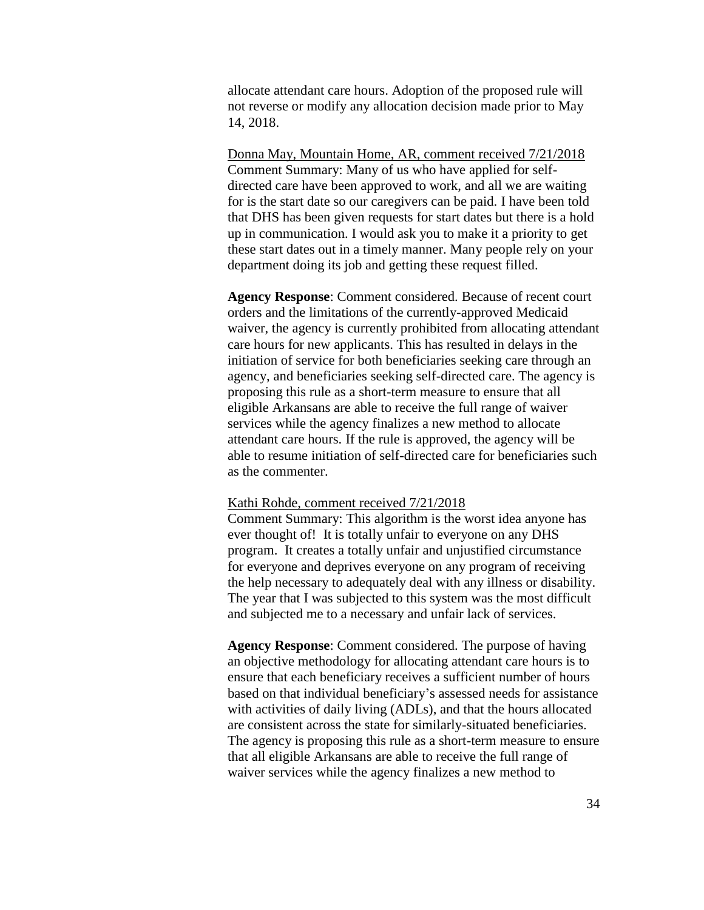allocate attendant care hours. Adoption of the proposed rule will not reverse or modify any allocation decision made prior to May 14, 2018.

Donna May, Mountain Home, AR, comment received 7/21/2018 Comment Summary: Many of us who have applied for selfdirected care have been approved to work, and all we are waiting for is the start date so our caregivers can be paid. I have been told that DHS has been given requests for start dates but there is a hold up in communication. I would ask you to make it a priority to get these start dates out in a timely manner. Many people rely on your department doing its job and getting these request filled.

**Agency Response**: Comment considered. Because of recent court orders and the limitations of the currently-approved Medicaid waiver, the agency is currently prohibited from allocating attendant care hours for new applicants. This has resulted in delays in the initiation of service for both beneficiaries seeking care through an agency, and beneficiaries seeking self-directed care. The agency is proposing this rule as a short-term measure to ensure that all eligible Arkansans are able to receive the full range of waiver services while the agency finalizes a new method to allocate attendant care hours. If the rule is approved, the agency will be able to resume initiation of self-directed care for beneficiaries such as the commenter.

#### Kathi Rohde, comment received 7/21/2018

Comment Summary: This algorithm is the worst idea anyone has ever thought of! It is totally unfair to everyone on any DHS program. It creates a totally unfair and unjustified circumstance for everyone and deprives everyone on any program of receiving the help necessary to adequately deal with any illness or disability. The year that I was subjected to this system was the most difficult and subjected me to a necessary and unfair lack of services.

**Agency Response**: Comment considered. The purpose of having an objective methodology for allocating attendant care hours is to ensure that each beneficiary receives a sufficient number of hours based on that individual beneficiary's assessed needs for assistance with activities of daily living (ADLs), and that the hours allocated are consistent across the state for similarly-situated beneficiaries. The agency is proposing this rule as a short-term measure to ensure that all eligible Arkansans are able to receive the full range of waiver services while the agency finalizes a new method to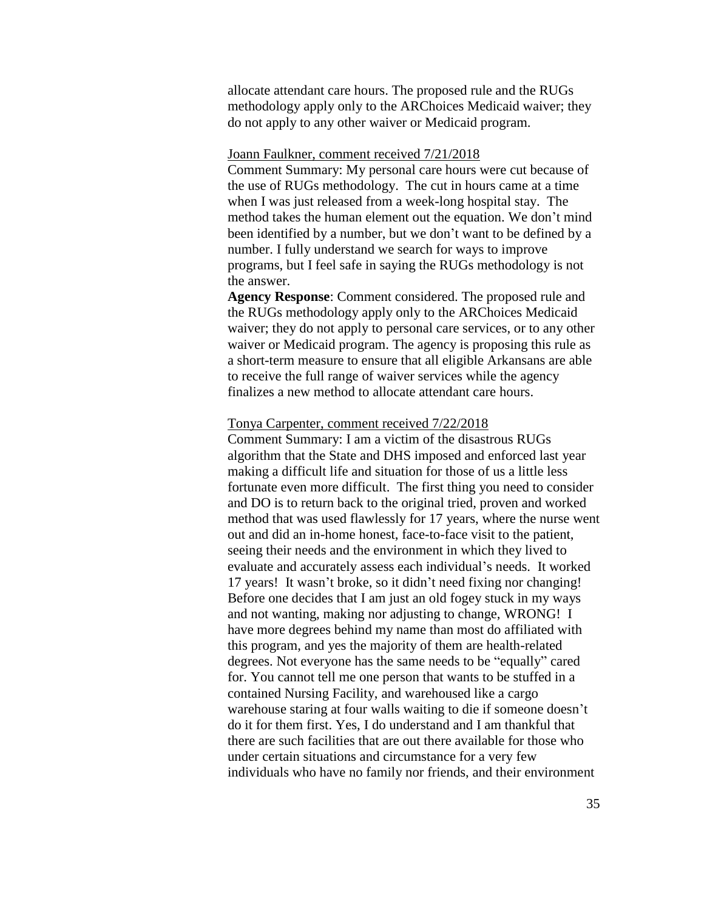allocate attendant care hours. The proposed rule and the RUGs methodology apply only to the ARChoices Medicaid waiver; they do not apply to any other waiver or Medicaid program.

#### Joann Faulkner, comment received 7/21/2018

Comment Summary: My personal care hours were cut because of the use of RUGs methodology. The cut in hours came at a time when I was just released from a week-long hospital stay. The method takes the human element out the equation. We don't mind been identified by a number, but we don't want to be defined by a number. I fully understand we search for ways to improve programs, but I feel safe in saying the RUGs methodology is not the answer.

**Agency Response**: Comment considered. The proposed rule and the RUGs methodology apply only to the ARChoices Medicaid waiver; they do not apply to personal care services, or to any other waiver or Medicaid program. The agency is proposing this rule as a short-term measure to ensure that all eligible Arkansans are able to receive the full range of waiver services while the agency finalizes a new method to allocate attendant care hours.

#### Tonya Carpenter, comment received 7/22/2018

Comment Summary: I am a victim of the disastrous RUGs algorithm that the State and DHS imposed and enforced last year making a difficult life and situation for those of us a little less fortunate even more difficult. The first thing you need to consider and DO is to return back to the original tried, proven and worked method that was used flawlessly for 17 years, where the nurse went out and did an in-home honest, face-to-face visit to the patient, seeing their needs and the environment in which they lived to evaluate and accurately assess each individual's needs. It worked 17 years! It wasn't broke, so it didn't need fixing nor changing! Before one decides that I am just an old fogey stuck in my ways and not wanting, making nor adjusting to change, WRONG! I have more degrees behind my name than most do affiliated with this program, and yes the majority of them are health-related degrees. Not everyone has the same needs to be "equally" cared for. You cannot tell me one person that wants to be stuffed in a contained Nursing Facility, and warehoused like a cargo warehouse staring at four walls waiting to die if someone doesn't do it for them first. Yes, I do understand and I am thankful that there are such facilities that are out there available for those who under certain situations and circumstance for a very few individuals who have no family nor friends, and their environment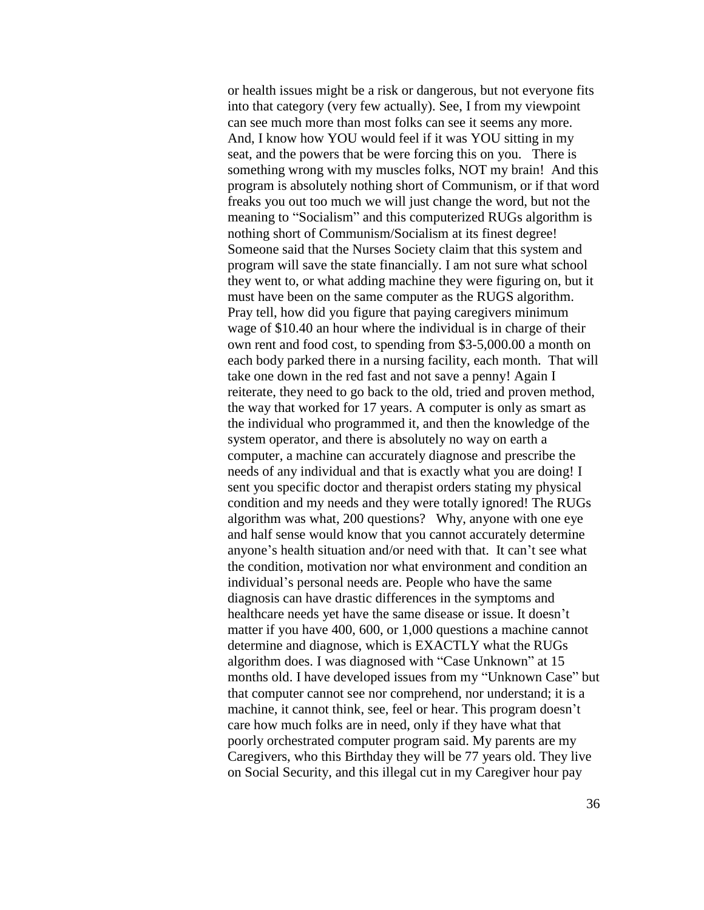or health issues might be a risk or dangerous, but not everyone fits into that category (very few actually). See, I from my viewpoint can see much more than most folks can see it seems any more. And, I know how YOU would feel if it was YOU sitting in my seat, and the powers that be were forcing this on you. There is something wrong with my muscles folks, NOT my brain! And this program is absolutely nothing short of Communism, or if that word freaks you out too much we will just change the word, but not the meaning to "Socialism" and this computerized RUGs algorithm is nothing short of Communism/Socialism at its finest degree! Someone said that the Nurses Society claim that this system and program will save the state financially. I am not sure what school they went to, or what adding machine they were figuring on, but it must have been on the same computer as the RUGS algorithm. Pray tell, how did you figure that paying caregivers minimum wage of \$10.40 an hour where the individual is in charge of their own rent and food cost, to spending from \$3-5,000.00 a month on each body parked there in a nursing facility, each month. That will take one down in the red fast and not save a penny! Again I reiterate, they need to go back to the old, tried and proven method, the way that worked for 17 years. A computer is only as smart as the individual who programmed it, and then the knowledge of the system operator, and there is absolutely no way on earth a computer, a machine can accurately diagnose and prescribe the needs of any individual and that is exactly what you are doing! I sent you specific doctor and therapist orders stating my physical condition and my needs and they were totally ignored! The RUGs algorithm was what, 200 questions? Why, anyone with one eye and half sense would know that you cannot accurately determine anyone's health situation and/or need with that. It can't see what the condition, motivation nor what environment and condition an individual's personal needs are. People who have the same diagnosis can have drastic differences in the symptoms and healthcare needs yet have the same disease or issue. It doesn't matter if you have 400, 600, or 1,000 questions a machine cannot determine and diagnose, which is EXACTLY what the RUGs algorithm does. I was diagnosed with "Case Unknown" at 15 months old. I have developed issues from my "Unknown Case" but that computer cannot see nor comprehend, nor understand; it is a machine, it cannot think, see, feel or hear. This program doesn't care how much folks are in need, only if they have what that poorly orchestrated computer program said. My parents are my Caregivers, who this Birthday they will be 77 years old. They live on Social Security, and this illegal cut in my Caregiver hour pay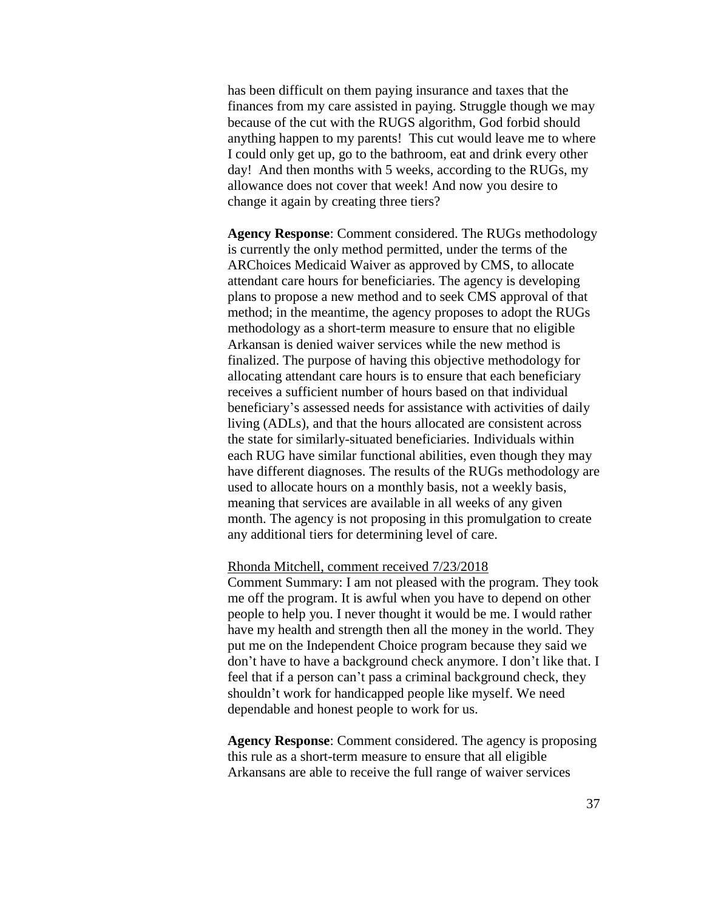has been difficult on them paying insurance and taxes that the finances from my care assisted in paying. Struggle though we may because of the cut with the RUGS algorithm, God forbid should anything happen to my parents! This cut would leave me to where I could only get up, go to the bathroom, eat and drink every other day! And then months with 5 weeks, according to the RUGs, my allowance does not cover that week! And now you desire to change it again by creating three tiers?

**Agency Response**: Comment considered. The RUGs methodology is currently the only method permitted, under the terms of the ARChoices Medicaid Waiver as approved by CMS, to allocate attendant care hours for beneficiaries. The agency is developing plans to propose a new method and to seek CMS approval of that method; in the meantime, the agency proposes to adopt the RUGs methodology as a short-term measure to ensure that no eligible Arkansan is denied waiver services while the new method is finalized. The purpose of having this objective methodology for allocating attendant care hours is to ensure that each beneficiary receives a sufficient number of hours based on that individual beneficiary's assessed needs for assistance with activities of daily living (ADLs), and that the hours allocated are consistent across the state for similarly-situated beneficiaries. Individuals within each RUG have similar functional abilities, even though they may have different diagnoses. The results of the RUGs methodology are used to allocate hours on a monthly basis, not a weekly basis, meaning that services are available in all weeks of any given month. The agency is not proposing in this promulgation to create any additional tiers for determining level of care.

### Rhonda Mitchell, comment received 7/23/2018

Comment Summary: I am not pleased with the program. They took me off the program. It is awful when you have to depend on other people to help you. I never thought it would be me. I would rather have my health and strength then all the money in the world. They put me on the Independent Choice program because they said we don't have to have a background check anymore. I don't like that. I feel that if a person can't pass a criminal background check, they shouldn't work for handicapped people like myself. We need dependable and honest people to work for us.

**Agency Response**: Comment considered. The agency is proposing this rule as a short-term measure to ensure that all eligible Arkansans are able to receive the full range of waiver services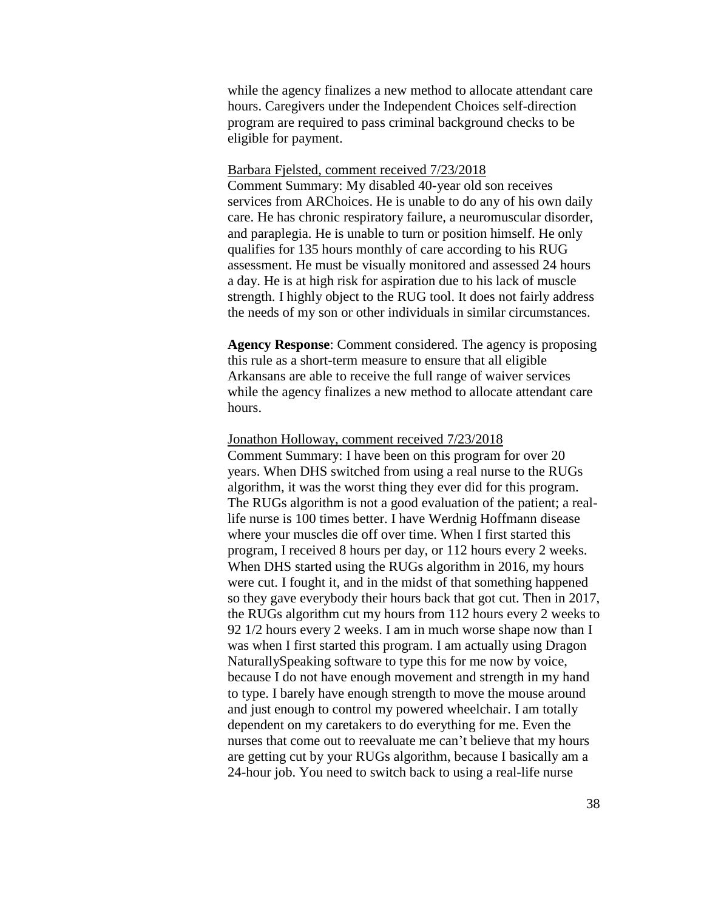while the agency finalizes a new method to allocate attendant care hours. Caregivers under the Independent Choices self-direction program are required to pass criminal background checks to be eligible for payment.

### Barbara Fjelsted, comment received 7/23/2018

Comment Summary: My disabled 40-year old son receives services from ARChoices. He is unable to do any of his own daily care. He has chronic respiratory failure, a neuromuscular disorder, and paraplegia. He is unable to turn or position himself. He only qualifies for 135 hours monthly of care according to his RUG assessment. He must be visually monitored and assessed 24 hours a day. He is at high risk for aspiration due to his lack of muscle strength. I highly object to the RUG tool. It does not fairly address the needs of my son or other individuals in similar circumstances.

**Agency Response**: Comment considered. The agency is proposing this rule as a short-term measure to ensure that all eligible Arkansans are able to receive the full range of waiver services while the agency finalizes a new method to allocate attendant care hours.

#### Jonathon Holloway, comment received 7/23/2018

Comment Summary: I have been on this program for over 20 years. When DHS switched from using a real nurse to the RUGs algorithm, it was the worst thing they ever did for this program. The RUGs algorithm is not a good evaluation of the patient; a reallife nurse is 100 times better. I have Werdnig Hoffmann disease where your muscles die off over time. When I first started this program, I received 8 hours per day, or 112 hours every 2 weeks. When DHS started using the RUGs algorithm in 2016, my hours were cut. I fought it, and in the midst of that something happened so they gave everybody their hours back that got cut. Then in 2017, the RUGs algorithm cut my hours from 112 hours every 2 weeks to 92 1/2 hours every 2 weeks. I am in much worse shape now than I was when I first started this program. I am actually using Dragon NaturallySpeaking software to type this for me now by voice, because I do not have enough movement and strength in my hand to type. I barely have enough strength to move the mouse around and just enough to control my powered wheelchair. I am totally dependent on my caretakers to do everything for me. Even the nurses that come out to reevaluate me can't believe that my hours are getting cut by your RUGs algorithm, because I basically am a 24-hour job. You need to switch back to using a real-life nurse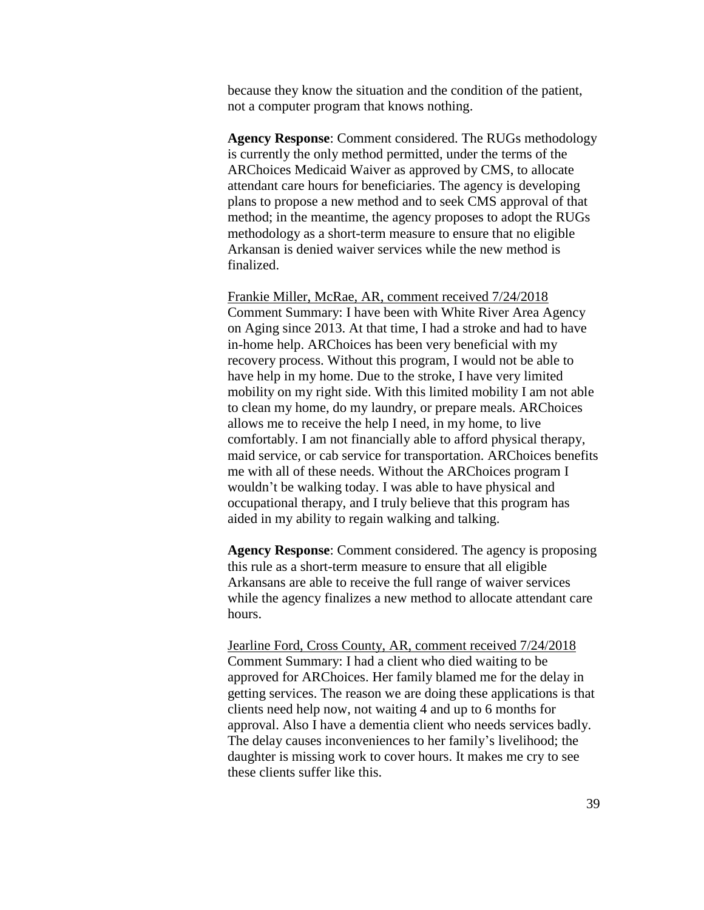because they know the situation and the condition of the patient, not a computer program that knows nothing.

**Agency Response**: Comment considered. The RUGs methodology is currently the only method permitted, under the terms of the ARChoices Medicaid Waiver as approved by CMS, to allocate attendant care hours for beneficiaries. The agency is developing plans to propose a new method and to seek CMS approval of that method; in the meantime, the agency proposes to adopt the RUGs methodology as a short-term measure to ensure that no eligible Arkansan is denied waiver services while the new method is finalized.

Frankie Miller, McRae, AR, comment received 7/24/2018 Comment Summary: I have been with White River Area Agency on Aging since 2013. At that time, I had a stroke and had to have in-home help. ARChoices has been very beneficial with my recovery process. Without this program, I would not be able to have help in my home. Due to the stroke, I have very limited mobility on my right side. With this limited mobility I am not able to clean my home, do my laundry, or prepare meals. ARChoices allows me to receive the help I need, in my home, to live comfortably. I am not financially able to afford physical therapy, maid service, or cab service for transportation. ARChoices benefits me with all of these needs. Without the ARChoices program I wouldn't be walking today. I was able to have physical and occupational therapy, and I truly believe that this program has aided in my ability to regain walking and talking.

**Agency Response**: Comment considered. The agency is proposing this rule as a short-term measure to ensure that all eligible Arkansans are able to receive the full range of waiver services while the agency finalizes a new method to allocate attendant care hours.

Jearline Ford, Cross County, AR, comment received 7/24/2018 Comment Summary: I had a client who died waiting to be approved for ARChoices. Her family blamed me for the delay in getting services. The reason we are doing these applications is that clients need help now, not waiting 4 and up to 6 months for approval. Also I have a dementia client who needs services badly. The delay causes inconveniences to her family's livelihood; the daughter is missing work to cover hours. It makes me cry to see these clients suffer like this.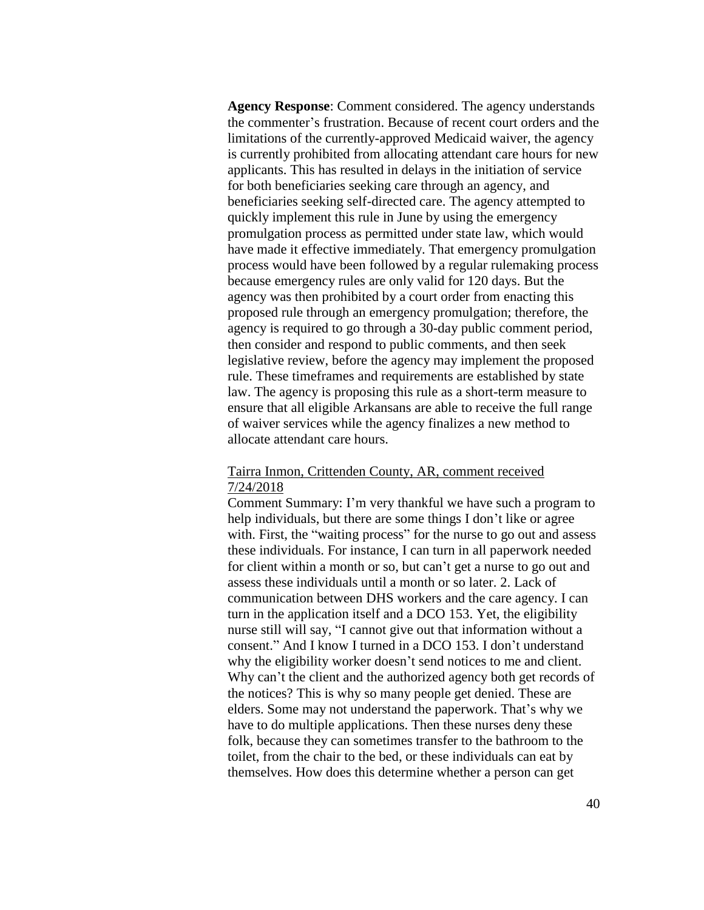**Agency Response**: Comment considered. The agency understands the commenter's frustration. Because of recent court orders and the limitations of the currently-approved Medicaid waiver, the agency is currently prohibited from allocating attendant care hours for new applicants. This has resulted in delays in the initiation of service for both beneficiaries seeking care through an agency, and beneficiaries seeking self-directed care. The agency attempted to quickly implement this rule in June by using the emergency promulgation process as permitted under state law, which would have made it effective immediately. That emergency promulgation process would have been followed by a regular rulemaking process because emergency rules are only valid for 120 days. But the agency was then prohibited by a court order from enacting this proposed rule through an emergency promulgation; therefore, the agency is required to go through a 30-day public comment period, then consider and respond to public comments, and then seek legislative review, before the agency may implement the proposed rule. These timeframes and requirements are established by state law. The agency is proposing this rule as a short-term measure to ensure that all eligible Arkansans are able to receive the full range of waiver services while the agency finalizes a new method to allocate attendant care hours.

## Tairra Inmon, Crittenden County, AR, comment received 7/24/2018

Comment Summary: I'm very thankful we have such a program to help individuals, but there are some things I don't like or agree with. First, the "waiting process" for the nurse to go out and assess these individuals. For instance, I can turn in all paperwork needed for client within a month or so, but can't get a nurse to go out and assess these individuals until a month or so later. 2. Lack of communication between DHS workers and the care agency. I can turn in the application itself and a DCO 153. Yet, the eligibility nurse still will say, "I cannot give out that information without a consent." And I know I turned in a DCO 153. I don't understand why the eligibility worker doesn't send notices to me and client. Why can't the client and the authorized agency both get records of the notices? This is why so many people get denied. These are elders. Some may not understand the paperwork. That's why we have to do multiple applications. Then these nurses deny these folk, because they can sometimes transfer to the bathroom to the toilet, from the chair to the bed, or these individuals can eat by themselves. How does this determine whether a person can get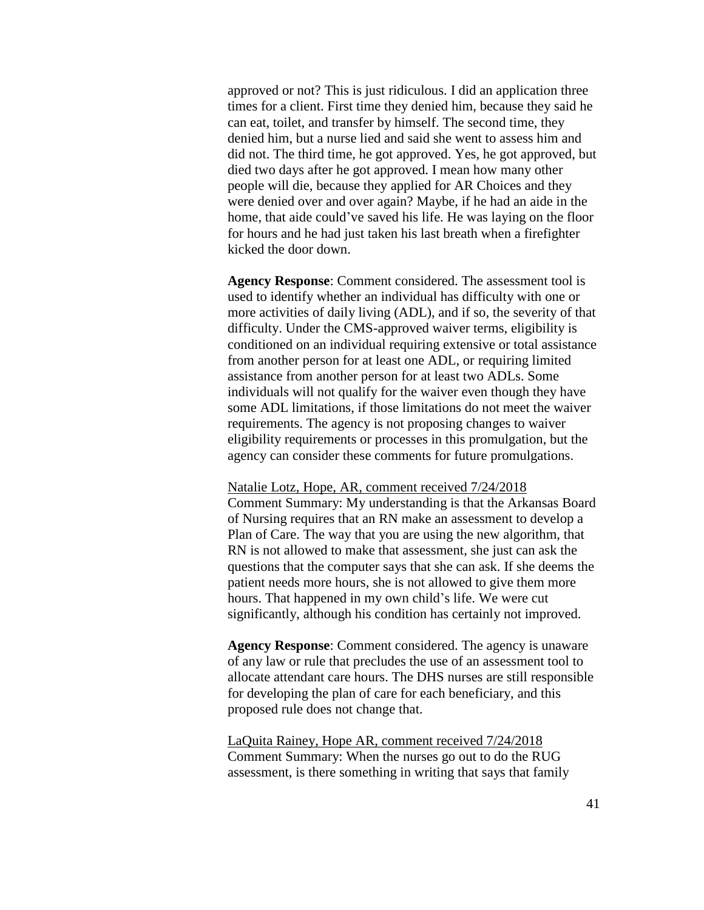approved or not? This is just ridiculous. I did an application three times for a client. First time they denied him, because they said he can eat, toilet, and transfer by himself. The second time, they denied him, but a nurse lied and said she went to assess him and did not. The third time, he got approved. Yes, he got approved, but died two days after he got approved. I mean how many other people will die, because they applied for AR Choices and they were denied over and over again? Maybe, if he had an aide in the home, that aide could've saved his life. He was laying on the floor for hours and he had just taken his last breath when a firefighter kicked the door down.

**Agency Response**: Comment considered. The assessment tool is used to identify whether an individual has difficulty with one or more activities of daily living (ADL), and if so, the severity of that difficulty. Under the CMS-approved waiver terms, eligibility is conditioned on an individual requiring extensive or total assistance from another person for at least one ADL, or requiring limited assistance from another person for at least two ADLs. Some individuals will not qualify for the waiver even though they have some ADL limitations, if those limitations do not meet the waiver requirements. The agency is not proposing changes to waiver eligibility requirements or processes in this promulgation, but the agency can consider these comments for future promulgations.

### Natalie Lotz, Hope, AR, comment received 7/24/2018

Comment Summary: My understanding is that the Arkansas Board of Nursing requires that an RN make an assessment to develop a Plan of Care. The way that you are using the new algorithm, that RN is not allowed to make that assessment, she just can ask the questions that the computer says that she can ask. If she deems the patient needs more hours, she is not allowed to give them more hours. That happened in my own child's life. We were cut significantly, although his condition has certainly not improved.

**Agency Response**: Comment considered. The agency is unaware of any law or rule that precludes the use of an assessment tool to allocate attendant care hours. The DHS nurses are still responsible for developing the plan of care for each beneficiary, and this proposed rule does not change that.

LaQuita Rainey, Hope AR, comment received 7/24/2018 Comment Summary: When the nurses go out to do the RUG assessment, is there something in writing that says that family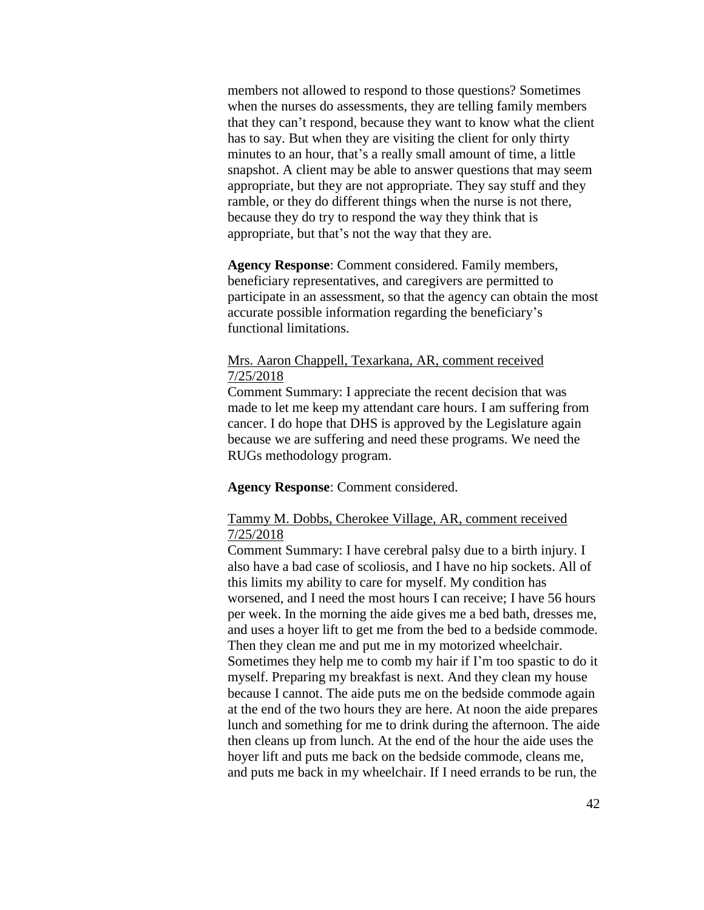members not allowed to respond to those questions? Sometimes when the nurses do assessments, they are telling family members that they can't respond, because they want to know what the client has to say. But when they are visiting the client for only thirty minutes to an hour, that's a really small amount of time, a little snapshot. A client may be able to answer questions that may seem appropriate, but they are not appropriate. They say stuff and they ramble, or they do different things when the nurse is not there, because they do try to respond the way they think that is appropriate, but that's not the way that they are.

**Agency Response**: Comment considered. Family members, beneficiary representatives, and caregivers are permitted to participate in an assessment, so that the agency can obtain the most accurate possible information regarding the beneficiary's functional limitations.

# Mrs. Aaron Chappell, Texarkana, AR, comment received 7/25/2018

Comment Summary: I appreciate the recent decision that was made to let me keep my attendant care hours. I am suffering from cancer. I do hope that DHS is approved by the Legislature again because we are suffering and need these programs. We need the RUGs methodology program.

**Agency Response**: Comment considered.

# Tammy M. Dobbs, Cherokee Village, AR, comment received 7/25/2018

Comment Summary: I have cerebral palsy due to a birth injury. I also have a bad case of scoliosis, and I have no hip sockets. All of this limits my ability to care for myself. My condition has worsened, and I need the most hours I can receive; I have 56 hours per week. In the morning the aide gives me a bed bath, dresses me, and uses a hoyer lift to get me from the bed to a bedside commode. Then they clean me and put me in my motorized wheelchair. Sometimes they help me to comb my hair if I'm too spastic to do it myself. Preparing my breakfast is next. And they clean my house because I cannot. The aide puts me on the bedside commode again at the end of the two hours they are here. At noon the aide prepares lunch and something for me to drink during the afternoon. The aide then cleans up from lunch. At the end of the hour the aide uses the hoyer lift and puts me back on the bedside commode, cleans me, and puts me back in my wheelchair. If I need errands to be run, the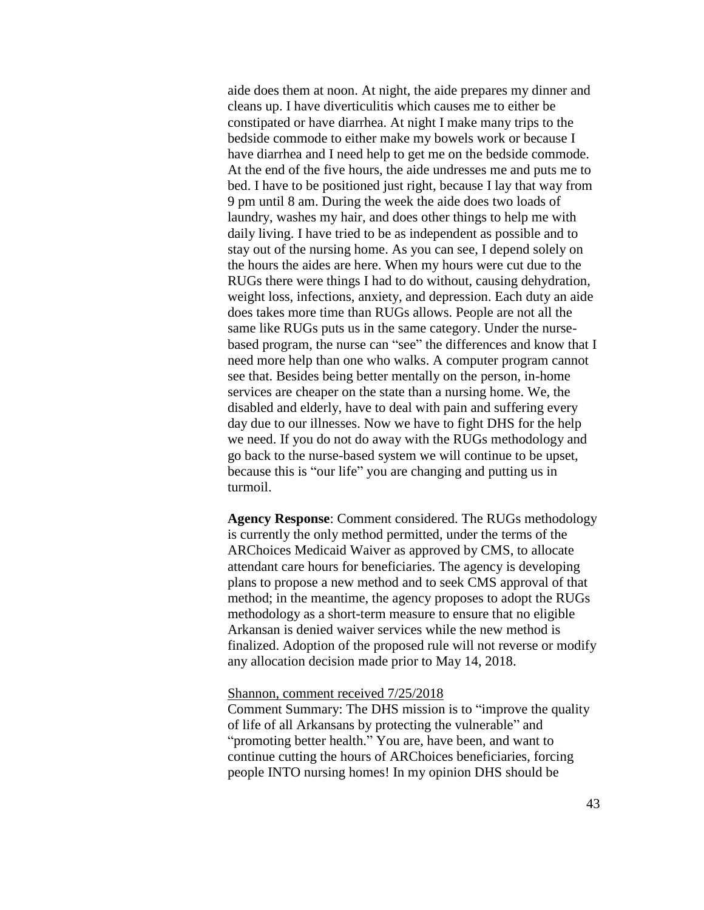aide does them at noon. At night, the aide prepares my dinner and cleans up. I have diverticulitis which causes me to either be constipated or have diarrhea. At night I make many trips to the bedside commode to either make my bowels work or because I have diarrhea and I need help to get me on the bedside commode. At the end of the five hours, the aide undresses me and puts me to bed. I have to be positioned just right, because I lay that way from 9 pm until 8 am. During the week the aide does two loads of laundry, washes my hair, and does other things to help me with daily living. I have tried to be as independent as possible and to stay out of the nursing home. As you can see, I depend solely on the hours the aides are here. When my hours were cut due to the RUGs there were things I had to do without, causing dehydration, weight loss, infections, anxiety, and depression. Each duty an aide does takes more time than RUGs allows. People are not all the same like RUGs puts us in the same category. Under the nursebased program, the nurse can "see" the differences and know that I need more help than one who walks. A computer program cannot see that. Besides being better mentally on the person, in-home services are cheaper on the state than a nursing home. We, the disabled and elderly, have to deal with pain and suffering every day due to our illnesses. Now we have to fight DHS for the help we need. If you do not do away with the RUGs methodology and go back to the nurse-based system we will continue to be upset, because this is "our life" you are changing and putting us in turmoil.

**Agency Response**: Comment considered. The RUGs methodology is currently the only method permitted, under the terms of the ARChoices Medicaid Waiver as approved by CMS, to allocate attendant care hours for beneficiaries. The agency is developing plans to propose a new method and to seek CMS approval of that method; in the meantime, the agency proposes to adopt the RUGs methodology as a short-term measure to ensure that no eligible Arkansan is denied waiver services while the new method is finalized. Adoption of the proposed rule will not reverse or modify any allocation decision made prior to May 14, 2018.

## Shannon, comment received 7/25/2018

Comment Summary: The DHS mission is to "improve the quality of life of all Arkansans by protecting the vulnerable" and "promoting better health." You are, have been, and want to continue cutting the hours of ARChoices beneficiaries, forcing people INTO nursing homes! In my opinion DHS should be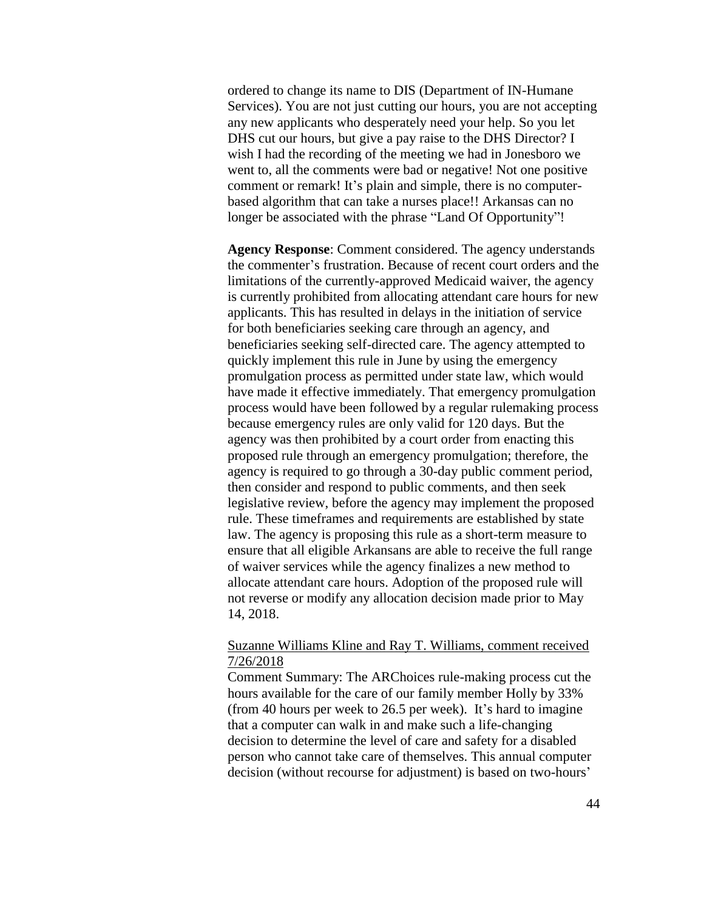ordered to change its name to DIS (Department of IN-Humane Services). You are not just cutting our hours, you are not accepting any new applicants who desperately need your help. So you let DHS cut our hours, but give a pay raise to the DHS Director? I wish I had the recording of the meeting we had in Jonesboro we went to, all the comments were bad or negative! Not one positive comment or remark! It's plain and simple, there is no computerbased algorithm that can take a nurses place!! Arkansas can no longer be associated with the phrase "Land Of Opportunity"!

**Agency Response**: Comment considered. The agency understands the commenter's frustration. Because of recent court orders and the limitations of the currently-approved Medicaid waiver, the agency is currently prohibited from allocating attendant care hours for new applicants. This has resulted in delays in the initiation of service for both beneficiaries seeking care through an agency, and beneficiaries seeking self-directed care. The agency attempted to quickly implement this rule in June by using the emergency promulgation process as permitted under state law, which would have made it effective immediately. That emergency promulgation process would have been followed by a regular rulemaking process because emergency rules are only valid for 120 days. But the agency was then prohibited by a court order from enacting this proposed rule through an emergency promulgation; therefore, the agency is required to go through a 30-day public comment period, then consider and respond to public comments, and then seek legislative review, before the agency may implement the proposed rule. These timeframes and requirements are established by state law. The agency is proposing this rule as a short-term measure to ensure that all eligible Arkansans are able to receive the full range of waiver services while the agency finalizes a new method to allocate attendant care hours. Adoption of the proposed rule will not reverse or modify any allocation decision made prior to May 14, 2018.

## Suzanne Williams Kline and Ray T. Williams, comment received 7/26/2018

Comment Summary: The ARChoices rule-making process cut the hours available for the care of our family member Holly by 33% (from 40 hours per week to 26.5 per week). It's hard to imagine that a computer can walk in and make such a life-changing decision to determine the level of care and safety for a disabled person who cannot take care of themselves. This annual computer decision (without recourse for adjustment) is based on two-hours'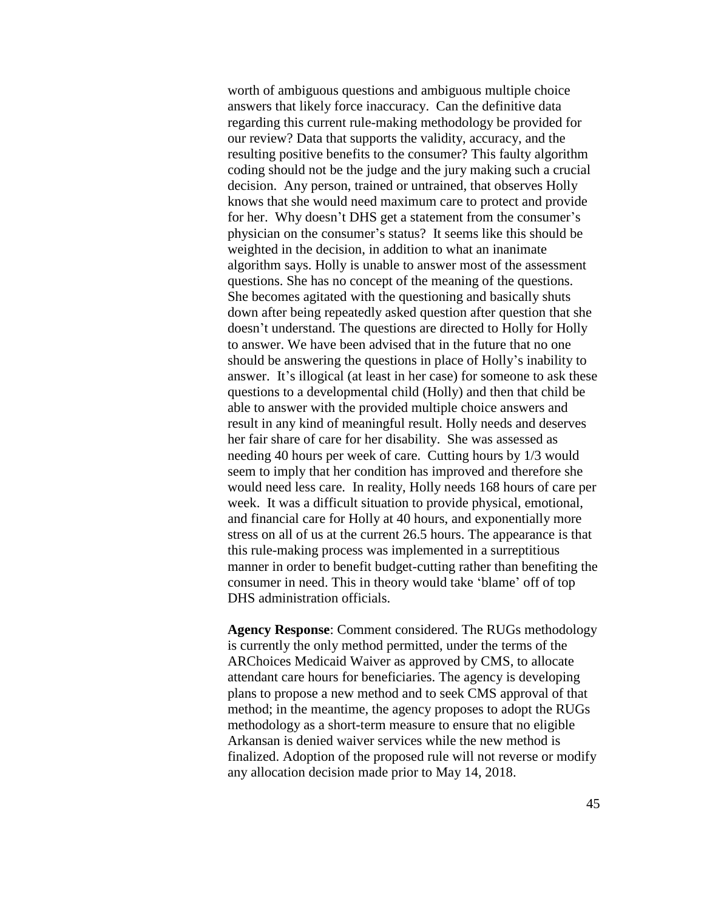worth of ambiguous questions and ambiguous multiple choice answers that likely force inaccuracy. Can the definitive data regarding this current rule-making methodology be provided for our review? Data that supports the validity, accuracy, and the resulting positive benefits to the consumer? This faulty algorithm coding should not be the judge and the jury making such a crucial decision. Any person, trained or untrained, that observes Holly knows that she would need maximum care to protect and provide for her. Why doesn't DHS get a statement from the consumer's physician on the consumer's status? It seems like this should be weighted in the decision, in addition to what an inanimate algorithm says. Holly is unable to answer most of the assessment questions. She has no concept of the meaning of the questions. She becomes agitated with the questioning and basically shuts down after being repeatedly asked question after question that she doesn't understand. The questions are directed to Holly for Holly to answer. We have been advised that in the future that no one should be answering the questions in place of Holly's inability to answer. It's illogical (at least in her case) for someone to ask these questions to a developmental child (Holly) and then that child be able to answer with the provided multiple choice answers and result in any kind of meaningful result. Holly needs and deserves her fair share of care for her disability. She was assessed as needing 40 hours per week of care. Cutting hours by 1/3 would seem to imply that her condition has improved and therefore she would need less care. In reality, Holly needs 168 hours of care per week. It was a difficult situation to provide physical, emotional, and financial care for Holly at 40 hours, and exponentially more stress on all of us at the current 26.5 hours. The appearance is that this rule-making process was implemented in a surreptitious manner in order to benefit budget-cutting rather than benefiting the consumer in need. This in theory would take 'blame' off of top DHS administration officials.

**Agency Response**: Comment considered. The RUGs methodology is currently the only method permitted, under the terms of the ARChoices Medicaid Waiver as approved by CMS, to allocate attendant care hours for beneficiaries. The agency is developing plans to propose a new method and to seek CMS approval of that method; in the meantime, the agency proposes to adopt the RUGs methodology as a short-term measure to ensure that no eligible Arkansan is denied waiver services while the new method is finalized. Adoption of the proposed rule will not reverse or modify any allocation decision made prior to May 14, 2018.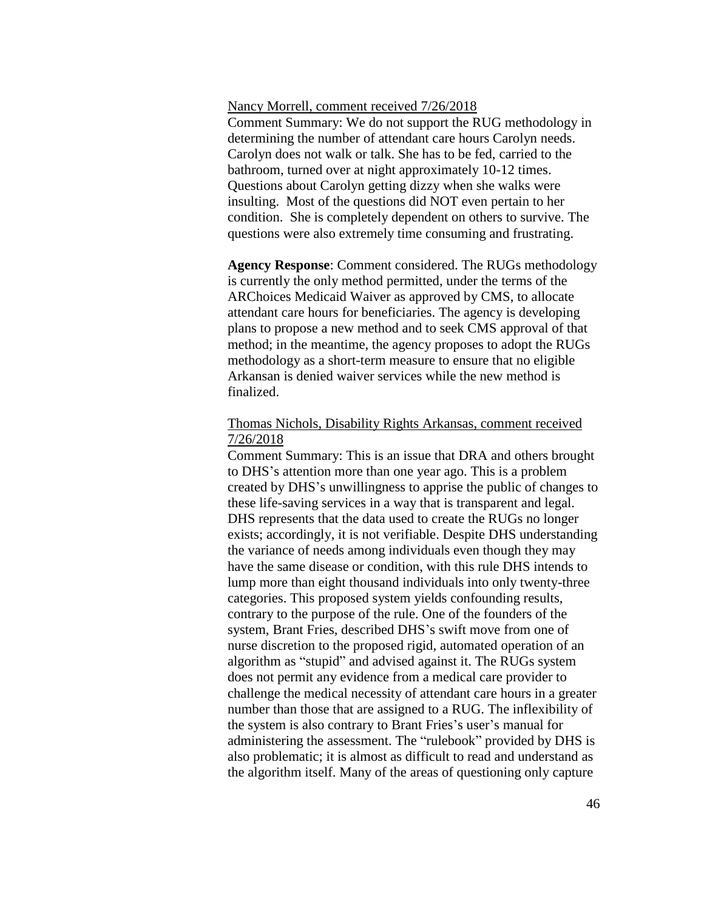### Nancy Morrell, comment received 7/26/2018

Comment Summary: We do not support the RUG methodology in determining the number of attendant care hours Carolyn needs. Carolyn does not walk or talk. She has to be fed, carried to the bathroom, turned over at night approximately 10-12 times. Questions about Carolyn getting dizzy when she walks were insulting. Most of the questions did NOT even pertain to her condition. She is completely dependent on others to survive. The questions were also extremely time consuming and frustrating.

**Agency Response**: Comment considered. The RUGs methodology is currently the only method permitted, under the terms of the ARChoices Medicaid Waiver as approved by CMS, to allocate attendant care hours for beneficiaries. The agency is developing plans to propose a new method and to seek CMS approval of that method; in the meantime, the agency proposes to adopt the RUGs methodology as a short-term measure to ensure that no eligible Arkansan is denied waiver services while the new method is finalized.

## Thomas Nichols, Disability Rights Arkansas, comment received 7/26/2018

Comment Summary: This is an issue that DRA and others brought to DHS's attention more than one year ago. This is a problem created by DHS's unwillingness to apprise the public of changes to these life-saving services in a way that is transparent and legal. DHS represents that the data used to create the RUGs no longer exists; accordingly, it is not verifiable. Despite DHS understanding the variance of needs among individuals even though they may have the same disease or condition, with this rule DHS intends to lump more than eight thousand individuals into only twenty-three categories. This proposed system yields confounding results, contrary to the purpose of the rule. One of the founders of the system, Brant Fries, described DHS's swift move from one of nurse discretion to the proposed rigid, automated operation of an algorithm as "stupid" and advised against it. The RUGs system does not permit any evidence from a medical care provider to challenge the medical necessity of attendant care hours in a greater number than those that are assigned to a RUG. The inflexibility of the system is also contrary to Brant Fries's user's manual for administering the assessment. The "rulebook" provided by DHS is also problematic; it is almost as difficult to read and understand as the algorithm itself. Many of the areas of questioning only capture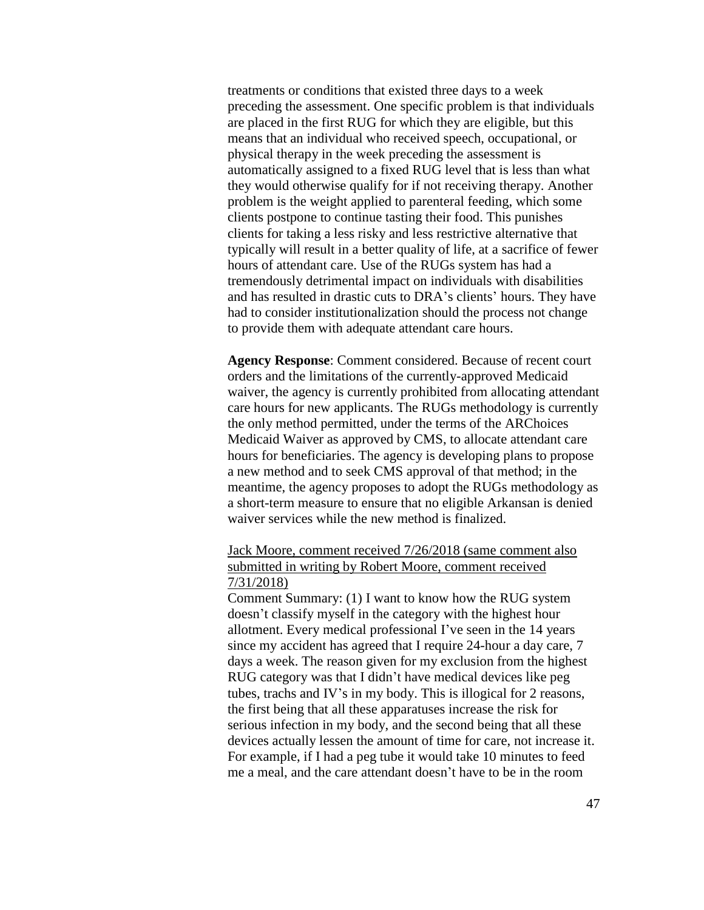treatments or conditions that existed three days to a week preceding the assessment. One specific problem is that individuals are placed in the first RUG for which they are eligible, but this means that an individual who received speech, occupational, or physical therapy in the week preceding the assessment is automatically assigned to a fixed RUG level that is less than what they would otherwise qualify for if not receiving therapy. Another problem is the weight applied to parenteral feeding, which some clients postpone to continue tasting their food. This punishes clients for taking a less risky and less restrictive alternative that typically will result in a better quality of life, at a sacrifice of fewer hours of attendant care. Use of the RUGs system has had a tremendously detrimental impact on individuals with disabilities and has resulted in drastic cuts to DRA's clients' hours. They have had to consider institutionalization should the process not change to provide them with adequate attendant care hours.

**Agency Response**: Comment considered. Because of recent court orders and the limitations of the currently-approved Medicaid waiver, the agency is currently prohibited from allocating attendant care hours for new applicants. The RUGs methodology is currently the only method permitted, under the terms of the ARChoices Medicaid Waiver as approved by CMS, to allocate attendant care hours for beneficiaries. The agency is developing plans to propose a new method and to seek CMS approval of that method; in the meantime, the agency proposes to adopt the RUGs methodology as a short-term measure to ensure that no eligible Arkansan is denied waiver services while the new method is finalized.

Jack Moore, comment received 7/26/2018 (same comment also submitted in writing by Robert Moore, comment received 7/31/2018)

Comment Summary: (1) I want to know how the RUG system doesn't classify myself in the category with the highest hour allotment. Every medical professional I've seen in the 14 years since my accident has agreed that I require 24-hour a day care, 7 days a week. The reason given for my exclusion from the highest RUG category was that I didn't have medical devices like peg tubes, trachs and IV's in my body. This is illogical for 2 reasons, the first being that all these apparatuses increase the risk for serious infection in my body, and the second being that all these devices actually lessen the amount of time for care, not increase it. For example, if I had a peg tube it would take 10 minutes to feed me a meal, and the care attendant doesn't have to be in the room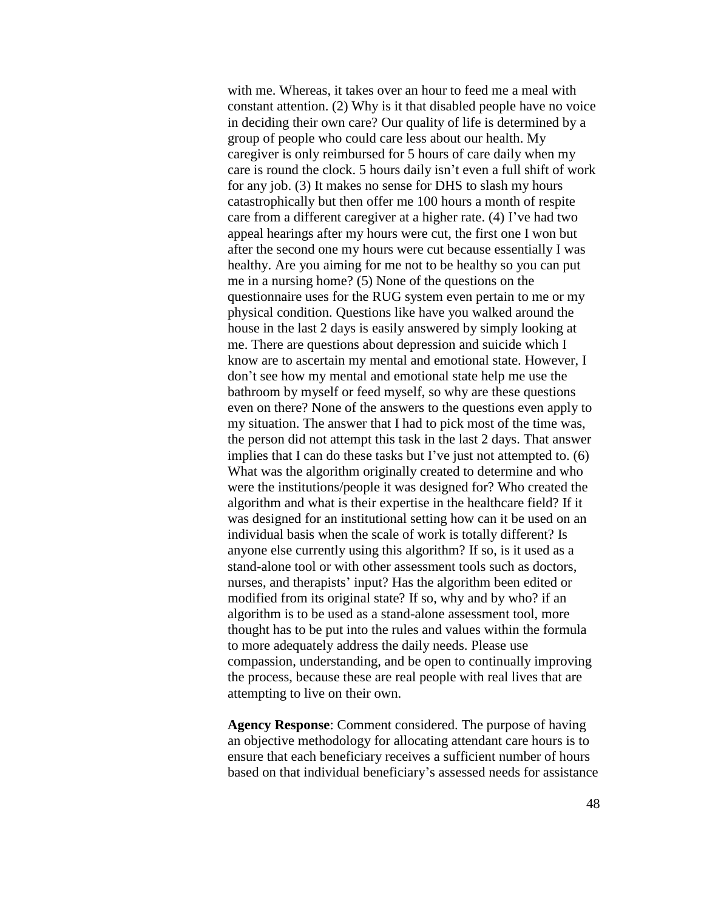with me. Whereas, it takes over an hour to feed me a meal with constant attention. (2) Why is it that disabled people have no voice in deciding their own care? Our quality of life is determined by a group of people who could care less about our health. My caregiver is only reimbursed for 5 hours of care daily when my care is round the clock. 5 hours daily isn't even a full shift of work for any job. (3) It makes no sense for DHS to slash my hours catastrophically but then offer me 100 hours a month of respite care from a different caregiver at a higher rate. (4) I've had two appeal hearings after my hours were cut, the first one I won but after the second one my hours were cut because essentially I was healthy. Are you aiming for me not to be healthy so you can put me in a nursing home? (5) None of the questions on the questionnaire uses for the RUG system even pertain to me or my physical condition. Questions like have you walked around the house in the last 2 days is easily answered by simply looking at me. There are questions about depression and suicide which I know are to ascertain my mental and emotional state. However, I don't see how my mental and emotional state help me use the bathroom by myself or feed myself, so why are these questions even on there? None of the answers to the questions even apply to my situation. The answer that I had to pick most of the time was, the person did not attempt this task in the last 2 days. That answer implies that I can do these tasks but I've just not attempted to. (6) What was the algorithm originally created to determine and who were the institutions/people it was designed for? Who created the algorithm and what is their expertise in the healthcare field? If it was designed for an institutional setting how can it be used on an individual basis when the scale of work is totally different? Is anyone else currently using this algorithm? If so, is it used as a stand-alone tool or with other assessment tools such as doctors, nurses, and therapists' input? Has the algorithm been edited or modified from its original state? If so, why and by who? if an algorithm is to be used as a stand-alone assessment tool, more thought has to be put into the rules and values within the formula to more adequately address the daily needs. Please use compassion, understanding, and be open to continually improving the process, because these are real people with real lives that are attempting to live on their own.

**Agency Response**: Comment considered. The purpose of having an objective methodology for allocating attendant care hours is to ensure that each beneficiary receives a sufficient number of hours based on that individual beneficiary's assessed needs for assistance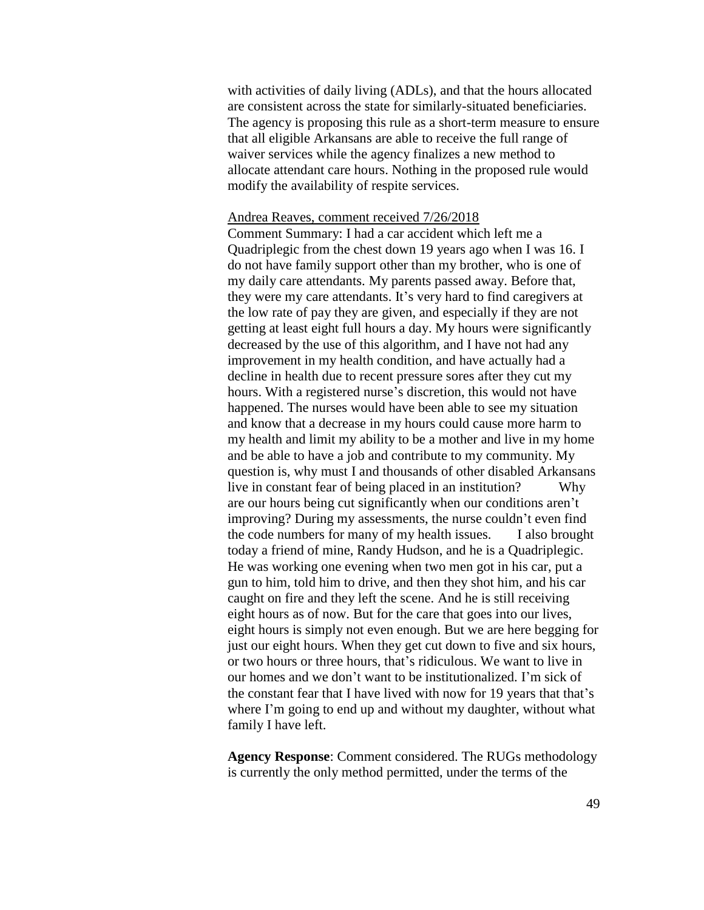with activities of daily living (ADLs), and that the hours allocated are consistent across the state for similarly-situated beneficiaries. The agency is proposing this rule as a short-term measure to ensure that all eligible Arkansans are able to receive the full range of waiver services while the agency finalizes a new method to allocate attendant care hours. Nothing in the proposed rule would modify the availability of respite services.

### Andrea Reaves, comment received 7/26/2018

Comment Summary: I had a car accident which left me a Quadriplegic from the chest down 19 years ago when I was 16. I do not have family support other than my brother, who is one of my daily care attendants. My parents passed away. Before that, they were my care attendants. It's very hard to find caregivers at the low rate of pay they are given, and especially if they are not getting at least eight full hours a day. My hours were significantly decreased by the use of this algorithm, and I have not had any improvement in my health condition, and have actually had a decline in health due to recent pressure sores after they cut my hours. With a registered nurse's discretion, this would not have happened. The nurses would have been able to see my situation and know that a decrease in my hours could cause more harm to my health and limit my ability to be a mother and live in my home and be able to have a job and contribute to my community. My question is, why must I and thousands of other disabled Arkansans live in constant fear of being placed in an institution? Why are our hours being cut significantly when our conditions aren't improving? During my assessments, the nurse couldn't even find the code numbers for many of my health issues. I also brought today a friend of mine, Randy Hudson, and he is a Quadriplegic. He was working one evening when two men got in his car, put a gun to him, told him to drive, and then they shot him, and his car caught on fire and they left the scene. And he is still receiving eight hours as of now. But for the care that goes into our lives, eight hours is simply not even enough. But we are here begging for just our eight hours. When they get cut down to five and six hours, or two hours or three hours, that's ridiculous. We want to live in our homes and we don't want to be institutionalized. I'm sick of the constant fear that I have lived with now for 19 years that that's where I'm going to end up and without my daughter, without what family I have left.

**Agency Response**: Comment considered. The RUGs methodology is currently the only method permitted, under the terms of the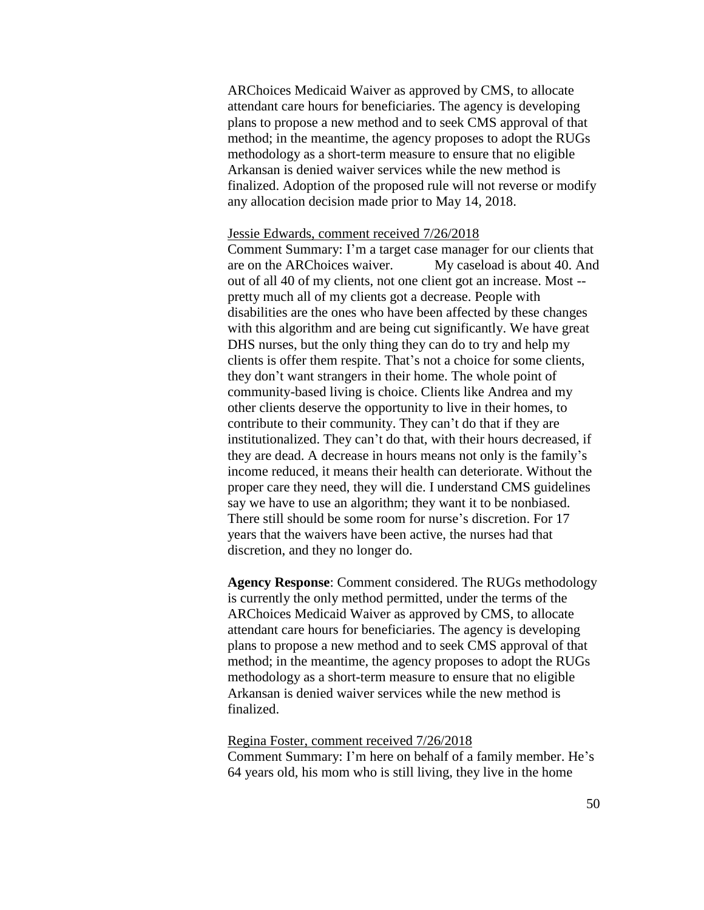ARChoices Medicaid Waiver as approved by CMS, to allocate attendant care hours for beneficiaries. The agency is developing plans to propose a new method and to seek CMS approval of that method; in the meantime, the agency proposes to adopt the RUGs methodology as a short-term measure to ensure that no eligible Arkansan is denied waiver services while the new method is finalized. Adoption of the proposed rule will not reverse or modify any allocation decision made prior to May 14, 2018.

### Jessie Edwards, comment received 7/26/2018

Comment Summary: I'm a target case manager for our clients that are on the ARChoices waiver. My caseload is about 40. And out of all 40 of my clients, not one client got an increase. Most - pretty much all of my clients got a decrease. People with disabilities are the ones who have been affected by these changes with this algorithm and are being cut significantly. We have great DHS nurses, but the only thing they can do to try and help my clients is offer them respite. That's not a choice for some clients, they don't want strangers in their home. The whole point of community-based living is choice. Clients like Andrea and my other clients deserve the opportunity to live in their homes, to contribute to their community. They can't do that if they are institutionalized. They can't do that, with their hours decreased, if they are dead. A decrease in hours means not only is the family's income reduced, it means their health can deteriorate. Without the proper care they need, they will die. I understand CMS guidelines say we have to use an algorithm; they want it to be nonbiased. There still should be some room for nurse's discretion. For 17 years that the waivers have been active, the nurses had that discretion, and they no longer do.

**Agency Response**: Comment considered. The RUGs methodology is currently the only method permitted, under the terms of the ARChoices Medicaid Waiver as approved by CMS, to allocate attendant care hours for beneficiaries. The agency is developing plans to propose a new method and to seek CMS approval of that method; in the meantime, the agency proposes to adopt the RUGs methodology as a short-term measure to ensure that no eligible Arkansan is denied waiver services while the new method is finalized.

### Regina Foster, comment received 7/26/2018

Comment Summary: I'm here on behalf of a family member. He's 64 years old, his mom who is still living, they live in the home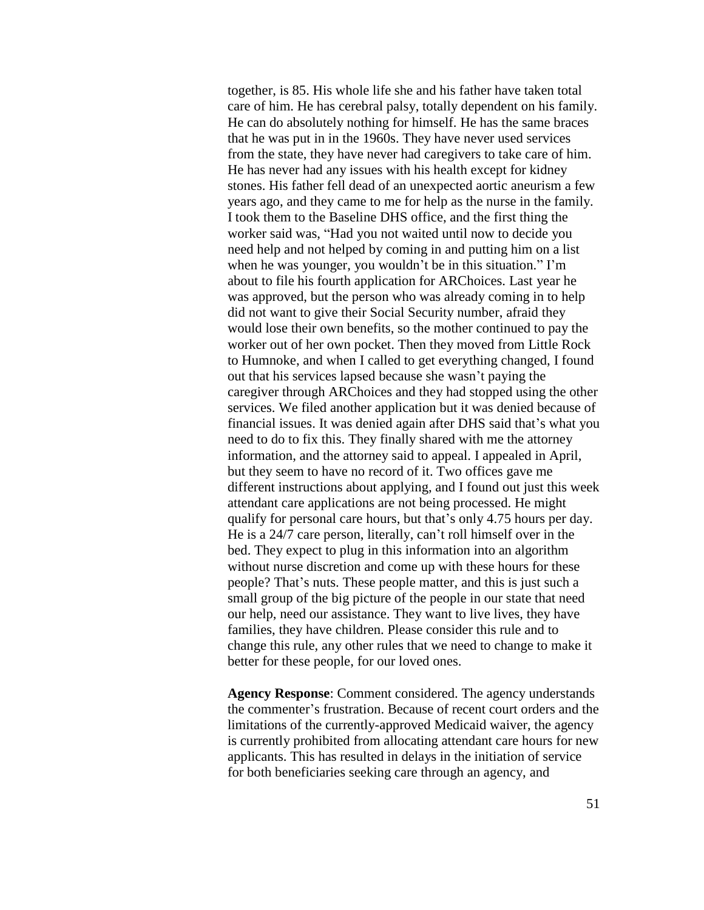together, is 85. His whole life she and his father have taken total care of him. He has cerebral palsy, totally dependent on his family. He can do absolutely nothing for himself. He has the same braces that he was put in in the 1960s. They have never used services from the state, they have never had caregivers to take care of him. He has never had any issues with his health except for kidney stones. His father fell dead of an unexpected aortic aneurism a few years ago, and they came to me for help as the nurse in the family. I took them to the Baseline DHS office, and the first thing the worker said was, "Had you not waited until now to decide you need help and not helped by coming in and putting him on a list when he was younger, you wouldn't be in this situation." I'm about to file his fourth application for ARChoices. Last year he was approved, but the person who was already coming in to help did not want to give their Social Security number, afraid they would lose their own benefits, so the mother continued to pay the worker out of her own pocket. Then they moved from Little Rock to Humnoke, and when I called to get everything changed, I found out that his services lapsed because she wasn't paying the caregiver through ARChoices and they had stopped using the other services. We filed another application but it was denied because of financial issues. It was denied again after DHS said that's what you need to do to fix this. They finally shared with me the attorney information, and the attorney said to appeal. I appealed in April, but they seem to have no record of it. Two offices gave me different instructions about applying, and I found out just this week attendant care applications are not being processed. He might qualify for personal care hours, but that's only 4.75 hours per day. He is a 24/7 care person, literally, can't roll himself over in the bed. They expect to plug in this information into an algorithm without nurse discretion and come up with these hours for these people? That's nuts. These people matter, and this is just such a small group of the big picture of the people in our state that need our help, need our assistance. They want to live lives, they have families, they have children. Please consider this rule and to change this rule, any other rules that we need to change to make it better for these people, for our loved ones.

**Agency Response**: Comment considered. The agency understands the commenter's frustration. Because of recent court orders and the limitations of the currently-approved Medicaid waiver, the agency is currently prohibited from allocating attendant care hours for new applicants. This has resulted in delays in the initiation of service for both beneficiaries seeking care through an agency, and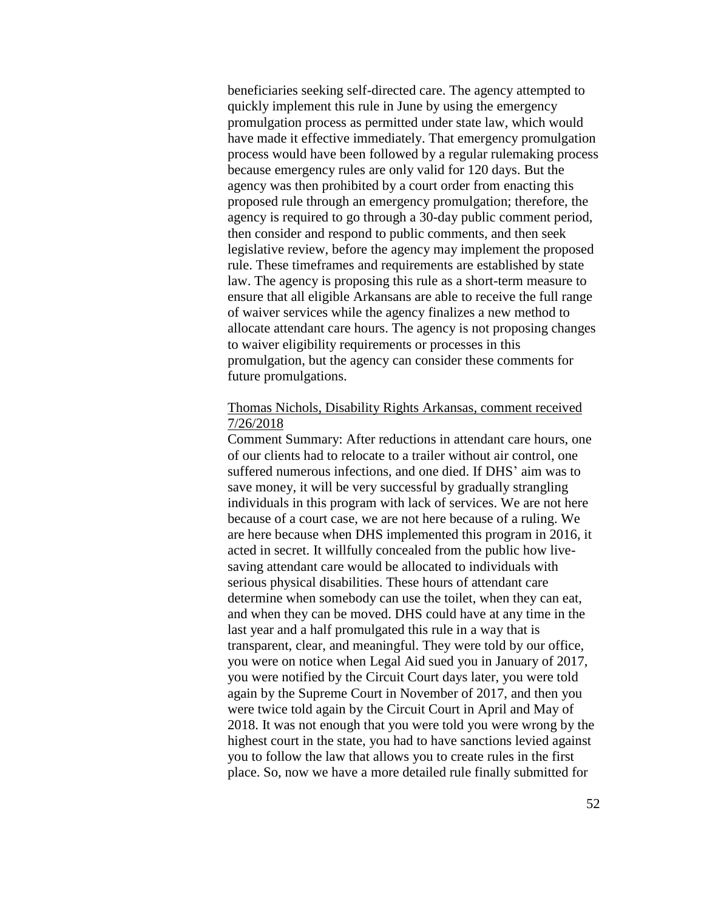beneficiaries seeking self-directed care. The agency attempted to quickly implement this rule in June by using the emergency promulgation process as permitted under state law, which would have made it effective immediately. That emergency promulgation process would have been followed by a regular rulemaking process because emergency rules are only valid for 120 days. But the agency was then prohibited by a court order from enacting this proposed rule through an emergency promulgation; therefore, the agency is required to go through a 30-day public comment period, then consider and respond to public comments, and then seek legislative review, before the agency may implement the proposed rule. These timeframes and requirements are established by state law. The agency is proposing this rule as a short-term measure to ensure that all eligible Arkansans are able to receive the full range of waiver services while the agency finalizes a new method to allocate attendant care hours. The agency is not proposing changes to waiver eligibility requirements or processes in this promulgation, but the agency can consider these comments for future promulgations.

## Thomas Nichols, Disability Rights Arkansas, comment received 7/26/2018

Comment Summary: After reductions in attendant care hours, one of our clients had to relocate to a trailer without air control, one suffered numerous infections, and one died. If DHS' aim was to save money, it will be very successful by gradually strangling individuals in this program with lack of services. We are not here because of a court case, we are not here because of a ruling. We are here because when DHS implemented this program in 2016, it acted in secret. It willfully concealed from the public how livesaving attendant care would be allocated to individuals with serious physical disabilities. These hours of attendant care determine when somebody can use the toilet, when they can eat, and when they can be moved. DHS could have at any time in the last year and a half promulgated this rule in a way that is transparent, clear, and meaningful. They were told by our office, you were on notice when Legal Aid sued you in January of 2017, you were notified by the Circuit Court days later, you were told again by the Supreme Court in November of 2017, and then you were twice told again by the Circuit Court in April and May of 2018. It was not enough that you were told you were wrong by the highest court in the state, you had to have sanctions levied against you to follow the law that allows you to create rules in the first place. So, now we have a more detailed rule finally submitted for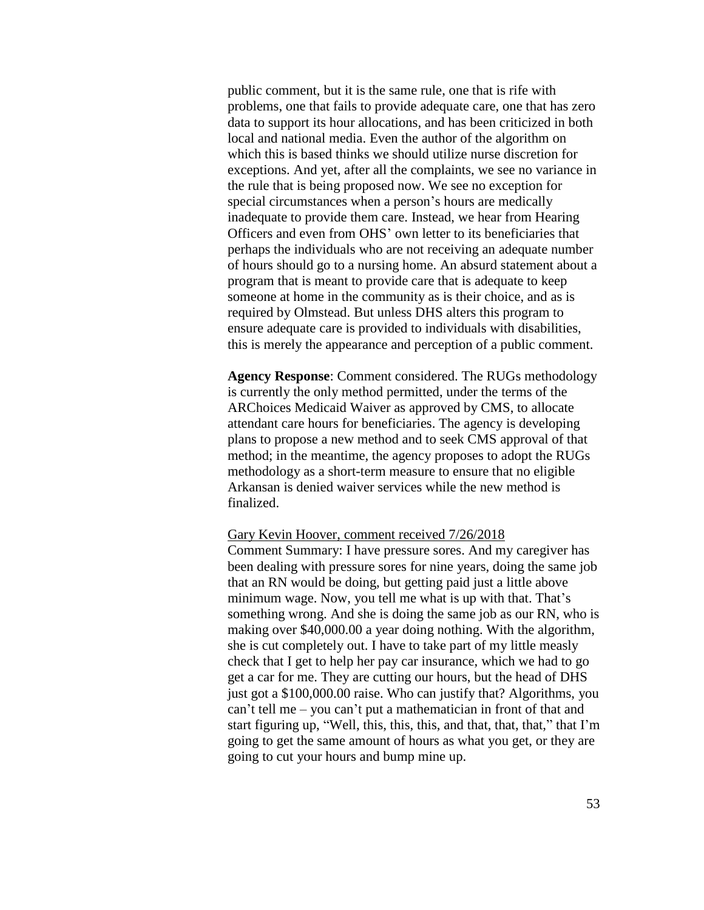public comment, but it is the same rule, one that is rife with problems, one that fails to provide adequate care, one that has zero data to support its hour allocations, and has been criticized in both local and national media. Even the author of the algorithm on which this is based thinks we should utilize nurse discretion for exceptions. And yet, after all the complaints, we see no variance in the rule that is being proposed now. We see no exception for special circumstances when a person's hours are medically inadequate to provide them care. Instead, we hear from Hearing Officers and even from OHS' own letter to its beneficiaries that perhaps the individuals who are not receiving an adequate number of hours should go to a nursing home. An absurd statement about a program that is meant to provide care that is adequate to keep someone at home in the community as is their choice, and as is required by Olmstead. But unless DHS alters this program to ensure adequate care is provided to individuals with disabilities, this is merely the appearance and perception of a public comment.

**Agency Response**: Comment considered. The RUGs methodology is currently the only method permitted, under the terms of the ARChoices Medicaid Waiver as approved by CMS, to allocate attendant care hours for beneficiaries. The agency is developing plans to propose a new method and to seek CMS approval of that method; in the meantime, the agency proposes to adopt the RUGs methodology as a short-term measure to ensure that no eligible Arkansan is denied waiver services while the new method is finalized.

#### Gary Kevin Hoover, comment received 7/26/2018

Comment Summary: I have pressure sores. And my caregiver has been dealing with pressure sores for nine years, doing the same job that an RN would be doing, but getting paid just a little above minimum wage. Now, you tell me what is up with that. That's something wrong. And she is doing the same job as our RN, who is making over \$40,000.00 a year doing nothing. With the algorithm, she is cut completely out. I have to take part of my little measly check that I get to help her pay car insurance, which we had to go get a car for me. They are cutting our hours, but the head of DHS just got a \$100,000.00 raise. Who can justify that? Algorithms, you can't tell me – you can't put a mathematician in front of that and start figuring up, "Well, this, this, this, and that, that, that," that I'm going to get the same amount of hours as what you get, or they are going to cut your hours and bump mine up.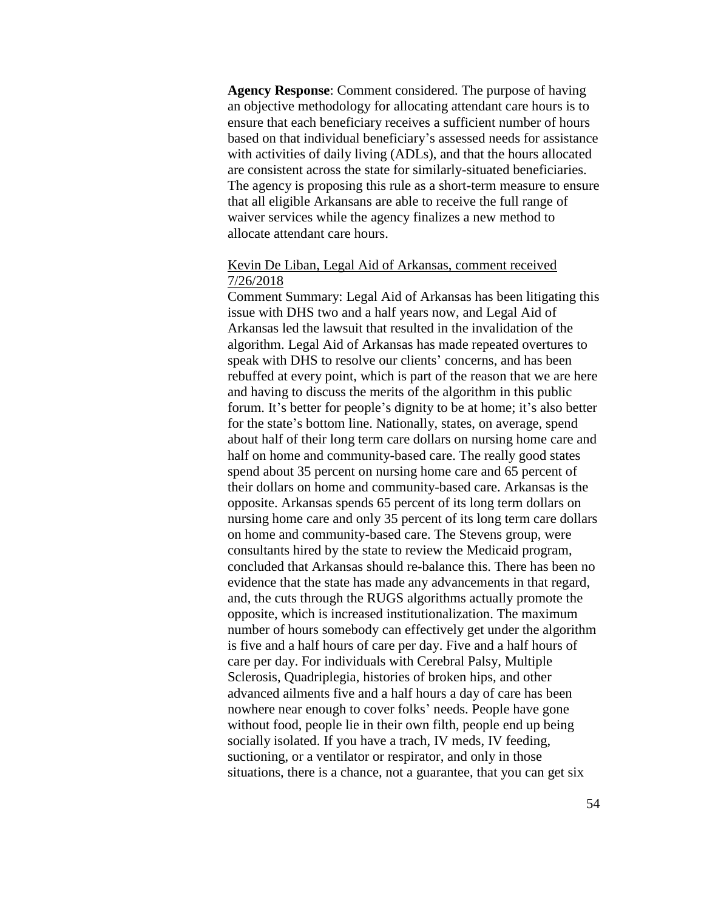**Agency Response**: Comment considered. The purpose of having an objective methodology for allocating attendant care hours is to ensure that each beneficiary receives a sufficient number of hours based on that individual beneficiary's assessed needs for assistance with activities of daily living (ADLs), and that the hours allocated are consistent across the state for similarly-situated beneficiaries. The agency is proposing this rule as a short-term measure to ensure that all eligible Arkansans are able to receive the full range of waiver services while the agency finalizes a new method to allocate attendant care hours.

# Kevin De Liban, Legal Aid of Arkansas, comment received 7/26/2018

Comment Summary: Legal Aid of Arkansas has been litigating this issue with DHS two and a half years now, and Legal Aid of Arkansas led the lawsuit that resulted in the invalidation of the algorithm. Legal Aid of Arkansas has made repeated overtures to speak with DHS to resolve our clients' concerns, and has been rebuffed at every point, which is part of the reason that we are here and having to discuss the merits of the algorithm in this public forum. It's better for people's dignity to be at home; it's also better for the state's bottom line. Nationally, states, on average, spend about half of their long term care dollars on nursing home care and half on home and community-based care. The really good states spend about 35 percent on nursing home care and 65 percent of their dollars on home and community-based care. Arkansas is the opposite. Arkansas spends 65 percent of its long term dollars on nursing home care and only 35 percent of its long term care dollars on home and community-based care. The Stevens group, were consultants hired by the state to review the Medicaid program, concluded that Arkansas should re-balance this. There has been no evidence that the state has made any advancements in that regard, and, the cuts through the RUGS algorithms actually promote the opposite, which is increased institutionalization. The maximum number of hours somebody can effectively get under the algorithm is five and a half hours of care per day. Five and a half hours of care per day. For individuals with Cerebral Palsy, Multiple Sclerosis, Quadriplegia, histories of broken hips, and other advanced ailments five and a half hours a day of care has been nowhere near enough to cover folks' needs. People have gone without food, people lie in their own filth, people end up being socially isolated. If you have a trach, IV meds, IV feeding, suctioning, or a ventilator or respirator, and only in those situations, there is a chance, not a guarantee, that you can get six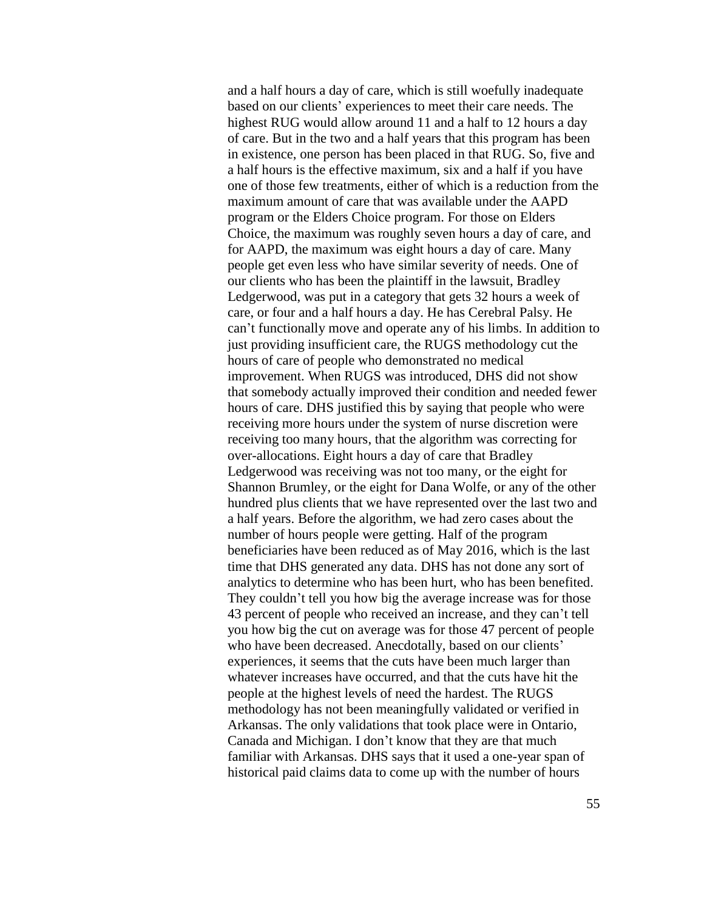and a half hours a day of care, which is still woefully inadequate based on our clients' experiences to meet their care needs. The highest RUG would allow around 11 and a half to 12 hours a day of care. But in the two and a half years that this program has been in existence, one person has been placed in that RUG. So, five and a half hours is the effective maximum, six and a half if you have one of those few treatments, either of which is a reduction from the maximum amount of care that was available under the AAPD program or the Elders Choice program. For those on Elders Choice, the maximum was roughly seven hours a day of care, and for AAPD, the maximum was eight hours a day of care. Many people get even less who have similar severity of needs. One of our clients who has been the plaintiff in the lawsuit, Bradley Ledgerwood, was put in a category that gets 32 hours a week of care, or four and a half hours a day. He has Cerebral Palsy. He can't functionally move and operate any of his limbs. In addition to just providing insufficient care, the RUGS methodology cut the hours of care of people who demonstrated no medical improvement. When RUGS was introduced, DHS did not show that somebody actually improved their condition and needed fewer hours of care. DHS justified this by saying that people who were receiving more hours under the system of nurse discretion were receiving too many hours, that the algorithm was correcting for over-allocations. Eight hours a day of care that Bradley Ledgerwood was receiving was not too many, or the eight for Shannon Brumley, or the eight for Dana Wolfe, or any of the other hundred plus clients that we have represented over the last two and a half years. Before the algorithm, we had zero cases about the number of hours people were getting. Half of the program beneficiaries have been reduced as of May 2016, which is the last time that DHS generated any data. DHS has not done any sort of analytics to determine who has been hurt, who has been benefited. They couldn't tell you how big the average increase was for those 43 percent of people who received an increase, and they can't tell you how big the cut on average was for those 47 percent of people who have been decreased. Anecdotally, based on our clients' experiences, it seems that the cuts have been much larger than whatever increases have occurred, and that the cuts have hit the people at the highest levels of need the hardest. The RUGS methodology has not been meaningfully validated or verified in Arkansas. The only validations that took place were in Ontario, Canada and Michigan. I don't know that they are that much familiar with Arkansas. DHS says that it used a one-year span of historical paid claims data to come up with the number of hours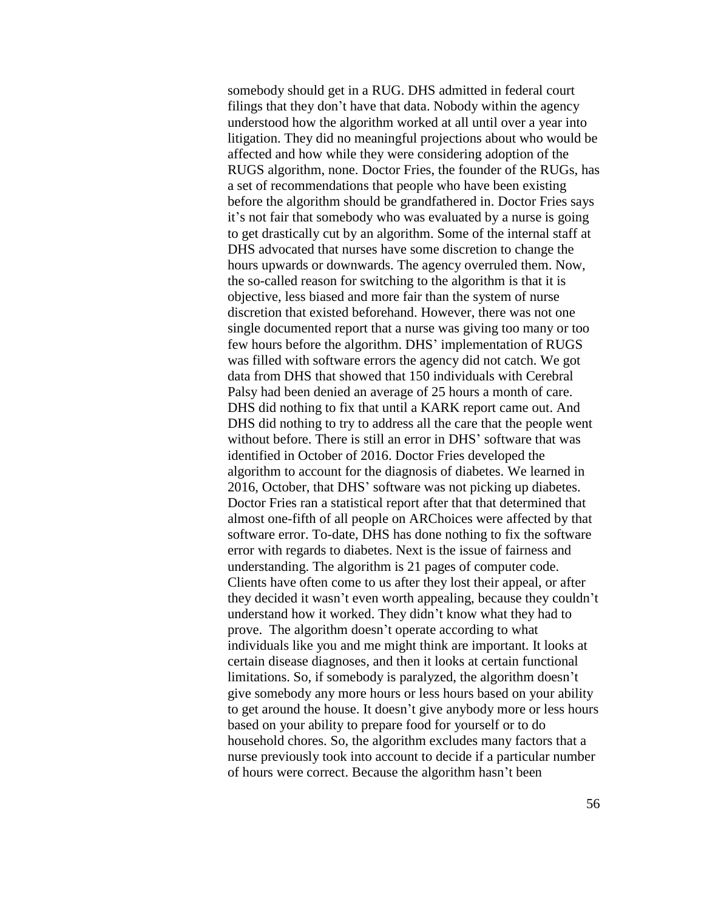somebody should get in a RUG. DHS admitted in federal court filings that they don't have that data. Nobody within the agency understood how the algorithm worked at all until over a year into litigation. They did no meaningful projections about who would be affected and how while they were considering adoption of the RUGS algorithm, none. Doctor Fries, the founder of the RUGs, has a set of recommendations that people who have been existing before the algorithm should be grandfathered in. Doctor Fries says it's not fair that somebody who was evaluated by a nurse is going to get drastically cut by an algorithm. Some of the internal staff at DHS advocated that nurses have some discretion to change the hours upwards or downwards. The agency overruled them. Now, the so-called reason for switching to the algorithm is that it is objective, less biased and more fair than the system of nurse discretion that existed beforehand. However, there was not one single documented report that a nurse was giving too many or too few hours before the algorithm. DHS' implementation of RUGS was filled with software errors the agency did not catch. We got data from DHS that showed that 150 individuals with Cerebral Palsy had been denied an average of 25 hours a month of care. DHS did nothing to fix that until a KARK report came out. And DHS did nothing to try to address all the care that the people went without before. There is still an error in DHS' software that was identified in October of 2016. Doctor Fries developed the algorithm to account for the diagnosis of diabetes. We learned in 2016, October, that DHS' software was not picking up diabetes. Doctor Fries ran a statistical report after that that determined that almost one-fifth of all people on ARChoices were affected by that software error. To-date, DHS has done nothing to fix the software error with regards to diabetes. Next is the issue of fairness and understanding. The algorithm is 21 pages of computer code. Clients have often come to us after they lost their appeal, or after they decided it wasn't even worth appealing, because they couldn't understand how it worked. They didn't know what they had to prove. The algorithm doesn't operate according to what individuals like you and me might think are important. It looks at certain disease diagnoses, and then it looks at certain functional limitations. So, if somebody is paralyzed, the algorithm doesn't give somebody any more hours or less hours based on your ability to get around the house. It doesn't give anybody more or less hours based on your ability to prepare food for yourself or to do household chores. So, the algorithm excludes many factors that a nurse previously took into account to decide if a particular number of hours were correct. Because the algorithm hasn't been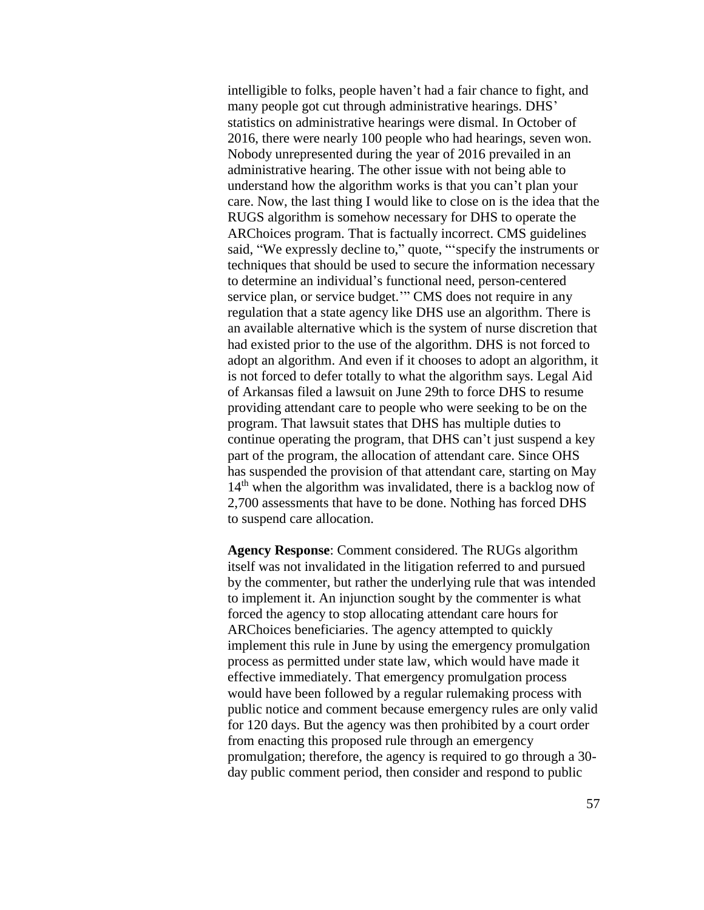intelligible to folks, people haven't had a fair chance to fight, and many people got cut through administrative hearings. DHS' statistics on administrative hearings were dismal. In October of 2016, there were nearly 100 people who had hearings, seven won. Nobody unrepresented during the year of 2016 prevailed in an administrative hearing. The other issue with not being able to understand how the algorithm works is that you can't plan your care. Now, the last thing I would like to close on is the idea that the RUGS algorithm is somehow necessary for DHS to operate the ARChoices program. That is factually incorrect. CMS guidelines said, "We expressly decline to," quote, "'specify the instruments or techniques that should be used to secure the information necessary to determine an individual's functional need, person-centered service plan, or service budget.'" CMS does not require in any regulation that a state agency like DHS use an algorithm. There is an available alternative which is the system of nurse discretion that had existed prior to the use of the algorithm. DHS is not forced to adopt an algorithm. And even if it chooses to adopt an algorithm, it is not forced to defer totally to what the algorithm says. Legal Aid of Arkansas filed a lawsuit on June 29th to force DHS to resume providing attendant care to people who were seeking to be on the program. That lawsuit states that DHS has multiple duties to continue operating the program, that DHS can't just suspend a key part of the program, the allocation of attendant care. Since OHS has suspended the provision of that attendant care, starting on May  $14<sup>th</sup>$  when the algorithm was invalidated, there is a backlog now of 2,700 assessments that have to be done. Nothing has forced DHS to suspend care allocation.

**Agency Response**: Comment considered. The RUGs algorithm itself was not invalidated in the litigation referred to and pursued by the commenter, but rather the underlying rule that was intended to implement it. An injunction sought by the commenter is what forced the agency to stop allocating attendant care hours for ARChoices beneficiaries. The agency attempted to quickly implement this rule in June by using the emergency promulgation process as permitted under state law, which would have made it effective immediately. That emergency promulgation process would have been followed by a regular rulemaking process with public notice and comment because emergency rules are only valid for 120 days. But the agency was then prohibited by a court order from enacting this proposed rule through an emergency promulgation; therefore, the agency is required to go through a 30 day public comment period, then consider and respond to public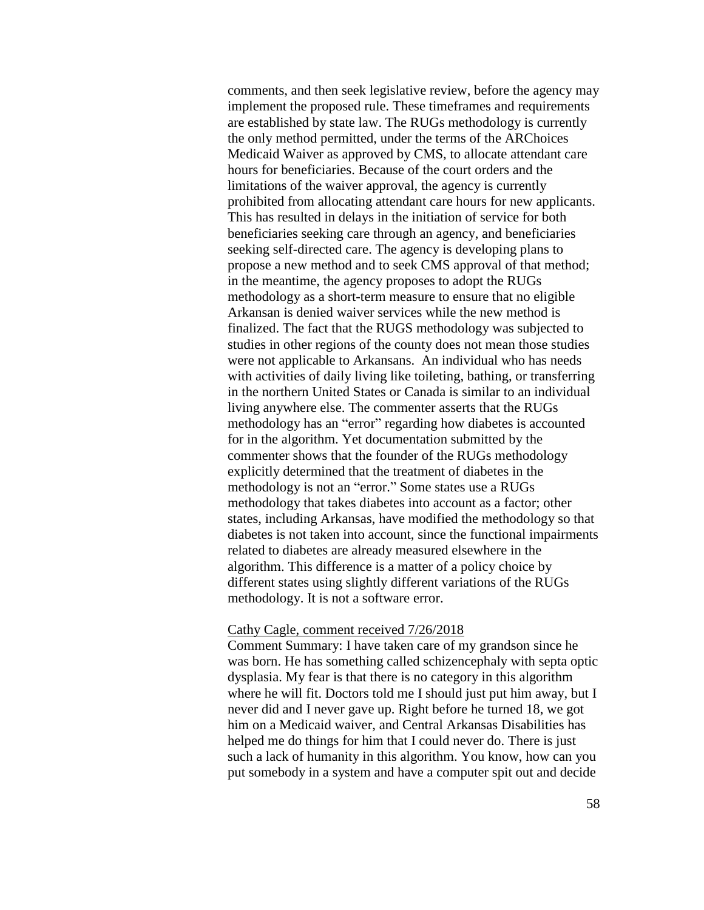comments, and then seek legislative review, before the agency may implement the proposed rule. These timeframes and requirements are established by state law. The RUGs methodology is currently the only method permitted, under the terms of the ARChoices Medicaid Waiver as approved by CMS, to allocate attendant care hours for beneficiaries. Because of the court orders and the limitations of the waiver approval, the agency is currently prohibited from allocating attendant care hours for new applicants. This has resulted in delays in the initiation of service for both beneficiaries seeking care through an agency, and beneficiaries seeking self-directed care. The agency is developing plans to propose a new method and to seek CMS approval of that method; in the meantime, the agency proposes to adopt the RUGs methodology as a short-term measure to ensure that no eligible Arkansan is denied waiver services while the new method is finalized. The fact that the RUGS methodology was subjected to studies in other regions of the county does not mean those studies were not applicable to Arkansans. An individual who has needs with activities of daily living like toileting, bathing, or transferring in the northern United States or Canada is similar to an individual living anywhere else. The commenter asserts that the RUGs methodology has an "error" regarding how diabetes is accounted for in the algorithm. Yet documentation submitted by the commenter shows that the founder of the RUGs methodology explicitly determined that the treatment of diabetes in the methodology is not an "error." Some states use a RUGs methodology that takes diabetes into account as a factor; other states, including Arkansas, have modified the methodology so that diabetes is not taken into account, since the functional impairments related to diabetes are already measured elsewhere in the algorithm. This difference is a matter of a policy choice by different states using slightly different variations of the RUGs methodology. It is not a software error.

#### Cathy Cagle, comment received 7/26/2018

Comment Summary: I have taken care of my grandson since he was born. He has something called schizencephaly with septa optic dysplasia. My fear is that there is no category in this algorithm where he will fit. Doctors told me I should just put him away, but I never did and I never gave up. Right before he turned 18, we got him on a Medicaid waiver, and Central Arkansas Disabilities has helped me do things for him that I could never do. There is just such a lack of humanity in this algorithm. You know, how can you put somebody in a system and have a computer spit out and decide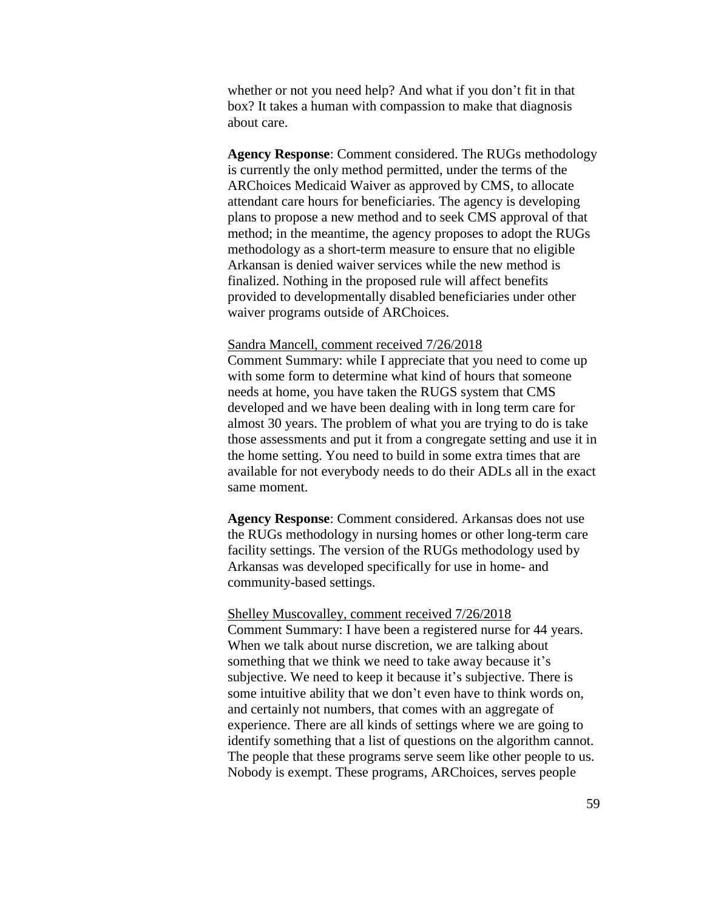whether or not you need help? And what if you don't fit in that box? It takes a human with compassion to make that diagnosis about care.

**Agency Response**: Comment considered. The RUGs methodology is currently the only method permitted, under the terms of the ARChoices Medicaid Waiver as approved by CMS, to allocate attendant care hours for beneficiaries. The agency is developing plans to propose a new method and to seek CMS approval of that method; in the meantime, the agency proposes to adopt the RUGs methodology as a short-term measure to ensure that no eligible Arkansan is denied waiver services while the new method is finalized. Nothing in the proposed rule will affect benefits provided to developmentally disabled beneficiaries under other waiver programs outside of ARChoices.

#### Sandra Mancell, comment received 7/26/2018

Comment Summary: while I appreciate that you need to come up with some form to determine what kind of hours that someone needs at home, you have taken the RUGS system that CMS developed and we have been dealing with in long term care for almost 30 years. The problem of what you are trying to do is take those assessments and put it from a congregate setting and use it in the home setting. You need to build in some extra times that are available for not everybody needs to do their ADLs all in the exact same moment.

**Agency Response**: Comment considered. Arkansas does not use the RUGs methodology in nursing homes or other long-term care facility settings. The version of the RUGs methodology used by Arkansas was developed specifically for use in home- and community-based settings.

### Shelley Muscovalley, comment received 7/26/2018

Comment Summary: I have been a registered nurse for 44 years. When we talk about nurse discretion, we are talking about something that we think we need to take away because it's subjective. We need to keep it because it's subjective. There is some intuitive ability that we don't even have to think words on, and certainly not numbers, that comes with an aggregate of experience. There are all kinds of settings where we are going to identify something that a list of questions on the algorithm cannot. The people that these programs serve seem like other people to us. Nobody is exempt. These programs, ARChoices, serves people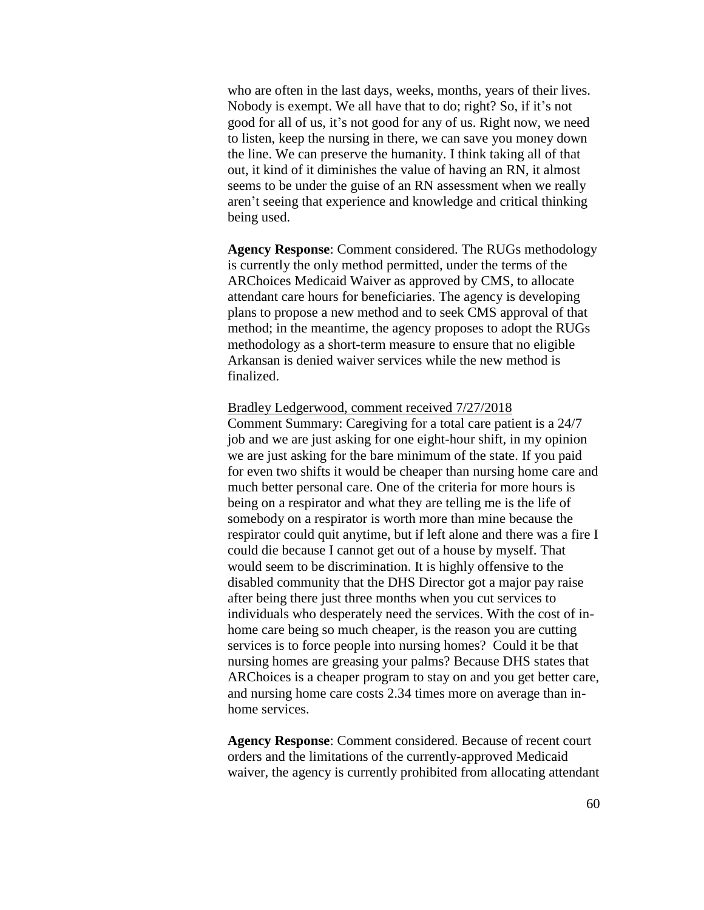who are often in the last days, weeks, months, years of their lives. Nobody is exempt. We all have that to do; right? So, if it's not good for all of us, it's not good for any of us. Right now, we need to listen, keep the nursing in there, we can save you money down the line. We can preserve the humanity. I think taking all of that out, it kind of it diminishes the value of having an RN, it almost seems to be under the guise of an RN assessment when we really aren't seeing that experience and knowledge and critical thinking being used.

**Agency Response**: Comment considered. The RUGs methodology is currently the only method permitted, under the terms of the ARChoices Medicaid Waiver as approved by CMS, to allocate attendant care hours for beneficiaries. The agency is developing plans to propose a new method and to seek CMS approval of that method; in the meantime, the agency proposes to adopt the RUGs methodology as a short-term measure to ensure that no eligible Arkansan is denied waiver services while the new method is finalized.

## Bradley Ledgerwood, comment received 7/27/2018

Comment Summary: Caregiving for a total care patient is a 24/7 job and we are just asking for one eight-hour shift, in my opinion we are just asking for the bare minimum of the state. If you paid for even two shifts it would be cheaper than nursing home care and much better personal care. One of the criteria for more hours is being on a respirator and what they are telling me is the life of somebody on a respirator is worth more than mine because the respirator could quit anytime, but if left alone and there was a fire I could die because I cannot get out of a house by myself. That would seem to be discrimination. It is highly offensive to the disabled community that the DHS Director got a major pay raise after being there just three months when you cut services to individuals who desperately need the services. With the cost of inhome care being so much cheaper, is the reason you are cutting services is to force people into nursing homes? Could it be that nursing homes are greasing your palms? Because DHS states that ARChoices is a cheaper program to stay on and you get better care, and nursing home care costs 2.34 times more on average than inhome services.

**Agency Response**: Comment considered. Because of recent court orders and the limitations of the currently-approved Medicaid waiver, the agency is currently prohibited from allocating attendant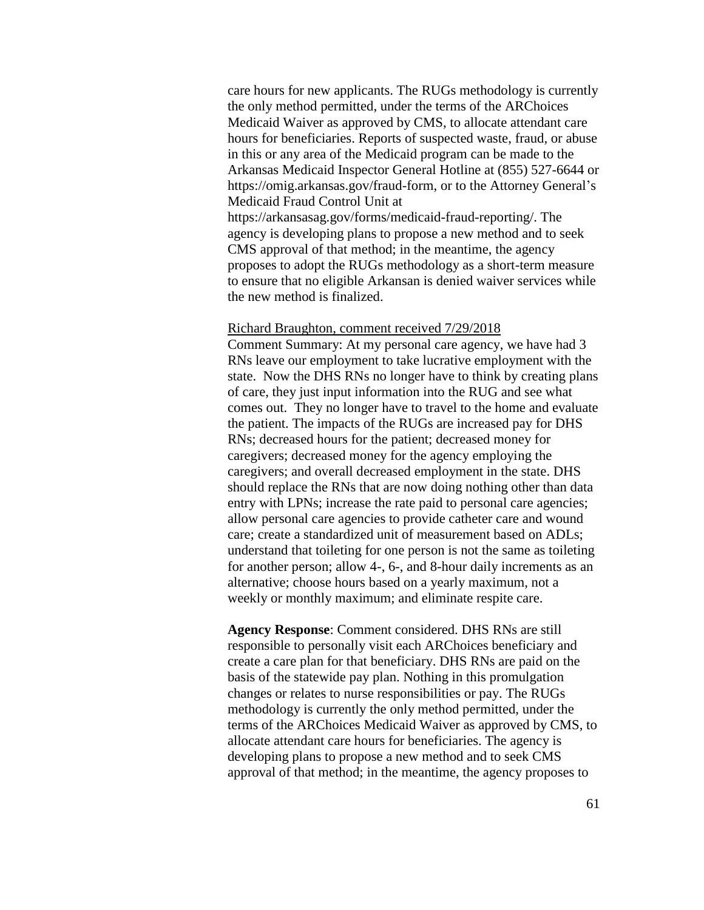care hours for new applicants. The RUGs methodology is currently the only method permitted, under the terms of the ARChoices Medicaid Waiver as approved by CMS, to allocate attendant care hours for beneficiaries. Reports of suspected waste, fraud, or abuse in this or any area of the Medicaid program can be made to the Arkansas Medicaid Inspector General Hotline at (855) 527-6644 or https://omig.arkansas.gov/fraud-form, or to the Attorney General's Medicaid Fraud Control Unit at https://arkansasag.gov/forms/medicaid-fraud-reporting/. The agency is developing plans to propose a new method and to seek CMS approval of that method; in the meantime, the agency proposes to adopt the RUGs methodology as a short-term measure to ensure that no eligible Arkansan is denied waiver services while the new method is finalized.

### Richard Braughton, comment received 7/29/2018

Comment Summary: At my personal care agency, we have had 3 RNs leave our employment to take lucrative employment with the state. Now the DHS RNs no longer have to think by creating plans of care, they just input information into the RUG and see what comes out. They no longer have to travel to the home and evaluate the patient. The impacts of the RUGs are increased pay for DHS RNs; decreased hours for the patient; decreased money for caregivers; decreased money for the agency employing the caregivers; and overall decreased employment in the state. DHS should replace the RNs that are now doing nothing other than data entry with LPNs; increase the rate paid to personal care agencies; allow personal care agencies to provide catheter care and wound care; create a standardized unit of measurement based on ADLs; understand that toileting for one person is not the same as toileting for another person; allow 4-, 6-, and 8-hour daily increments as an alternative; choose hours based on a yearly maximum, not a weekly or monthly maximum; and eliminate respite care.

**Agency Response**: Comment considered. DHS RNs are still responsible to personally visit each ARChoices beneficiary and create a care plan for that beneficiary. DHS RNs are paid on the basis of the statewide pay plan. Nothing in this promulgation changes or relates to nurse responsibilities or pay. The RUGs methodology is currently the only method permitted, under the terms of the ARChoices Medicaid Waiver as approved by CMS, to allocate attendant care hours for beneficiaries. The agency is developing plans to propose a new method and to seek CMS approval of that method; in the meantime, the agency proposes to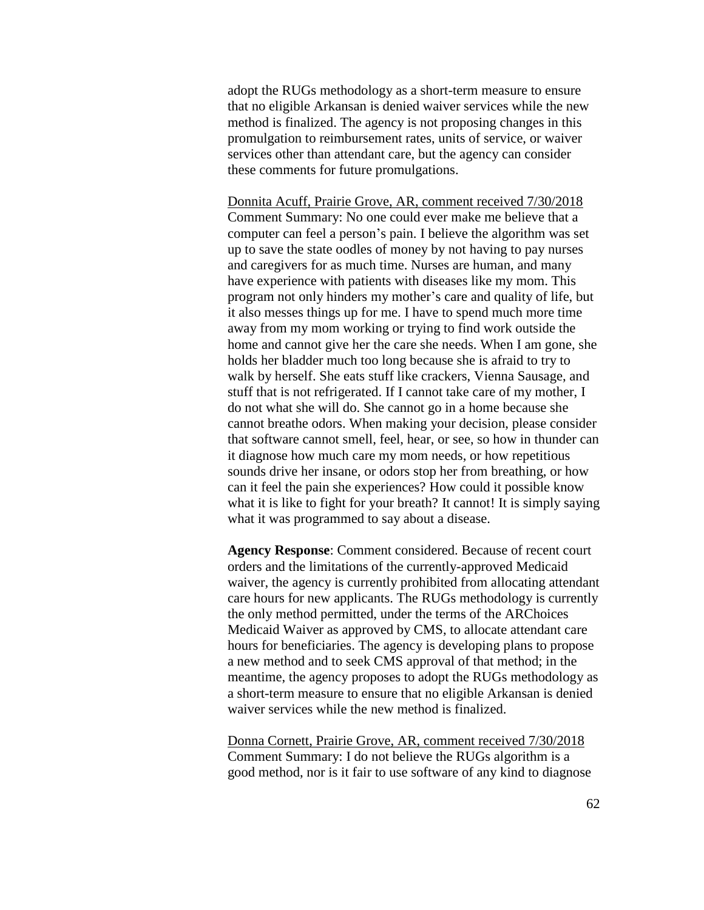adopt the RUGs methodology as a short-term measure to ensure that no eligible Arkansan is denied waiver services while the new method is finalized. The agency is not proposing changes in this promulgation to reimbursement rates, units of service, or waiver services other than attendant care, but the agency can consider these comments for future promulgations.

Donnita Acuff, Prairie Grove, AR, comment received 7/30/2018 Comment Summary: No one could ever make me believe that a computer can feel a person's pain. I believe the algorithm was set up to save the state oodles of money by not having to pay nurses and caregivers for as much time. Nurses are human, and many have experience with patients with diseases like my mom. This program not only hinders my mother's care and quality of life, but it also messes things up for me. I have to spend much more time away from my mom working or trying to find work outside the home and cannot give her the care she needs. When I am gone, she holds her bladder much too long because she is afraid to try to walk by herself. She eats stuff like crackers, Vienna Sausage, and stuff that is not refrigerated. If I cannot take care of my mother, I do not what she will do. She cannot go in a home because she cannot breathe odors. When making your decision, please consider that software cannot smell, feel, hear, or see, so how in thunder can it diagnose how much care my mom needs, or how repetitious sounds drive her insane, or odors stop her from breathing, or how can it feel the pain she experiences? How could it possible know what it is like to fight for your breath? It cannot! It is simply saying what it was programmed to say about a disease.

**Agency Response**: Comment considered. Because of recent court orders and the limitations of the currently-approved Medicaid waiver, the agency is currently prohibited from allocating attendant care hours for new applicants. The RUGs methodology is currently the only method permitted, under the terms of the ARChoices Medicaid Waiver as approved by CMS, to allocate attendant care hours for beneficiaries. The agency is developing plans to propose a new method and to seek CMS approval of that method; in the meantime, the agency proposes to adopt the RUGs methodology as a short-term measure to ensure that no eligible Arkansan is denied waiver services while the new method is finalized.

Donna Cornett, Prairie Grove, AR, comment received 7/30/2018 Comment Summary: I do not believe the RUGs algorithm is a good method, nor is it fair to use software of any kind to diagnose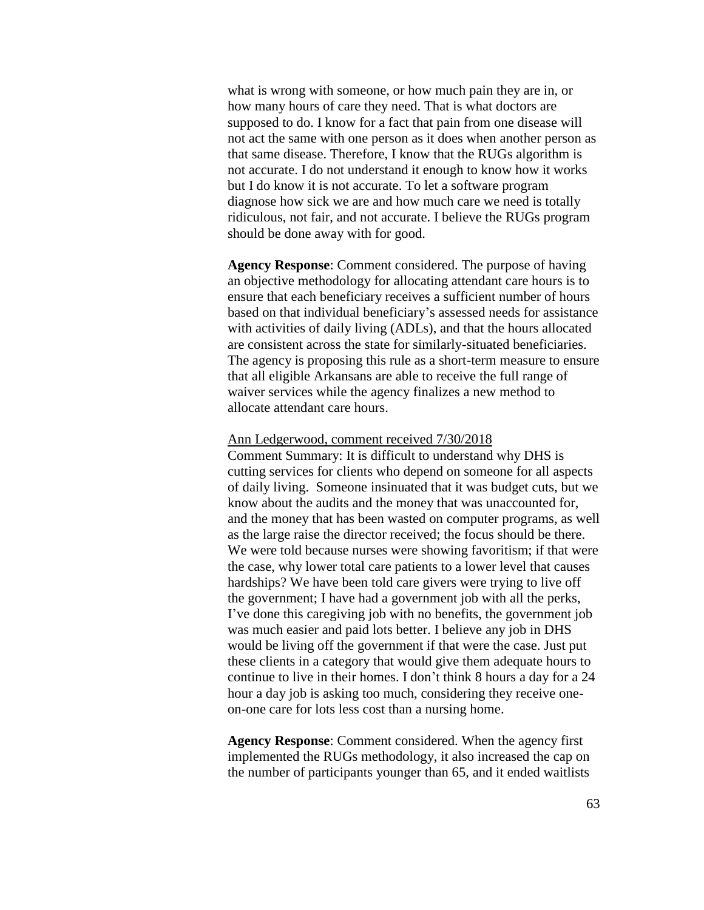what is wrong with someone, or how much pain they are in, or how many hours of care they need. That is what doctors are supposed to do. I know for a fact that pain from one disease will not act the same with one person as it does when another person as that same disease. Therefore, I know that the RUGs algorithm is not accurate. I do not understand it enough to know how it works but I do know it is not accurate. To let a software program diagnose how sick we are and how much care we need is totally ridiculous, not fair, and not accurate. I believe the RUGs program should be done away with for good.

**Agency Response**: Comment considered. The purpose of having an objective methodology for allocating attendant care hours is to ensure that each beneficiary receives a sufficient number of hours based on that individual beneficiary's assessed needs for assistance with activities of daily living (ADLs), and that the hours allocated are consistent across the state for similarly-situated beneficiaries. The agency is proposing this rule as a short-term measure to ensure that all eligible Arkansans are able to receive the full range of waiver services while the agency finalizes a new method to allocate attendant care hours.

#### Ann Ledgerwood, comment received 7/30/2018

Comment Summary: It is difficult to understand why DHS is cutting services for clients who depend on someone for all aspects of daily living. Someone insinuated that it was budget cuts, but we know about the audits and the money that was unaccounted for, and the money that has been wasted on computer programs, as well as the large raise the director received; the focus should be there. We were told because nurses were showing favoritism; if that were the case, why lower total care patients to a lower level that causes hardships? We have been told care givers were trying to live off the government; I have had a government job with all the perks, I've done this caregiving job with no benefits, the government job was much easier and paid lots better. I believe any job in DHS would be living off the government if that were the case. Just put these clients in a category that would give them adequate hours to continue to live in their homes. I don't think 8 hours a day for a 24 hour a day job is asking too much, considering they receive oneon-one care for lots less cost than a nursing home.

**Agency Response**: Comment considered. When the agency first implemented the RUGs methodology, it also increased the cap on the number of participants younger than 65, and it ended waitlists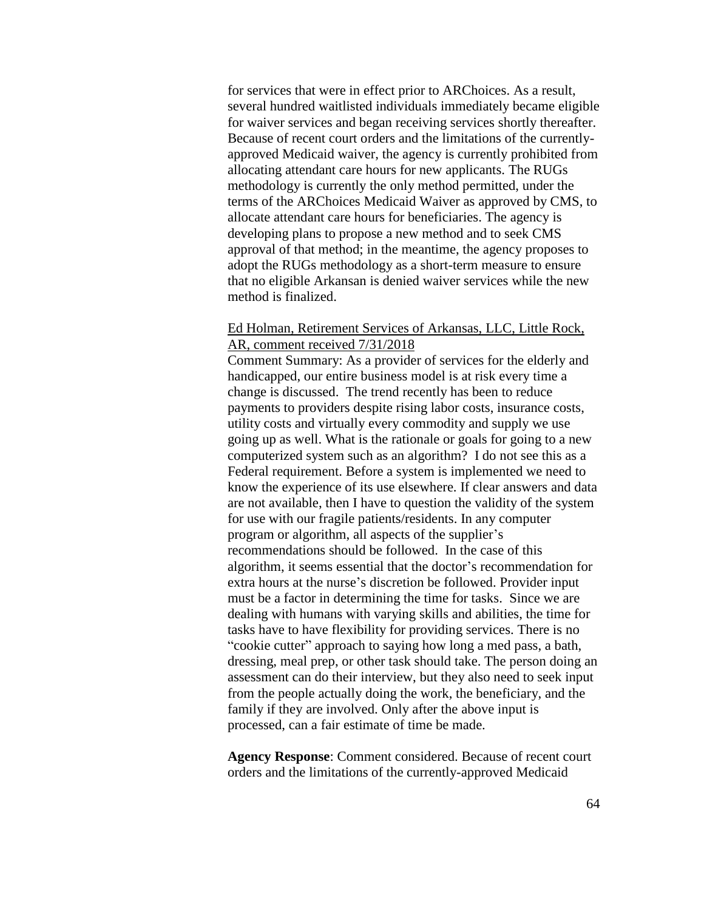for services that were in effect prior to ARChoices. As a result, several hundred waitlisted individuals immediately became eligible for waiver services and began receiving services shortly thereafter. Because of recent court orders and the limitations of the currentlyapproved Medicaid waiver, the agency is currently prohibited from allocating attendant care hours for new applicants. The RUGs methodology is currently the only method permitted, under the terms of the ARChoices Medicaid Waiver as approved by CMS, to allocate attendant care hours for beneficiaries. The agency is developing plans to propose a new method and to seek CMS approval of that method; in the meantime, the agency proposes to adopt the RUGs methodology as a short-term measure to ensure that no eligible Arkansan is denied waiver services while the new method is finalized.

# Ed Holman, Retirement Services of Arkansas, LLC, Little Rock, AR, comment received 7/31/2018

Comment Summary: As a provider of services for the elderly and handicapped, our entire business model is at risk every time a change is discussed. The trend recently has been to reduce payments to providers despite rising labor costs, insurance costs, utility costs and virtually every commodity and supply we use going up as well. What is the rationale or goals for going to a new computerized system such as an algorithm? I do not see this as a Federal requirement. Before a system is implemented we need to know the experience of its use elsewhere. If clear answers and data are not available, then I have to question the validity of the system for use with our fragile patients/residents. In any computer program or algorithm, all aspects of the supplier's recommendations should be followed. In the case of this algorithm, it seems essential that the doctor's recommendation for extra hours at the nurse's discretion be followed. Provider input must be a factor in determining the time for tasks. Since we are dealing with humans with varying skills and abilities, the time for tasks have to have flexibility for providing services. There is no "cookie cutter" approach to saying how long a med pass, a bath, dressing, meal prep, or other task should take. The person doing an assessment can do their interview, but they also need to seek input from the people actually doing the work, the beneficiary, and the family if they are involved. Only after the above input is processed, can a fair estimate of time be made.

**Agency Response**: Comment considered. Because of recent court orders and the limitations of the currently-approved Medicaid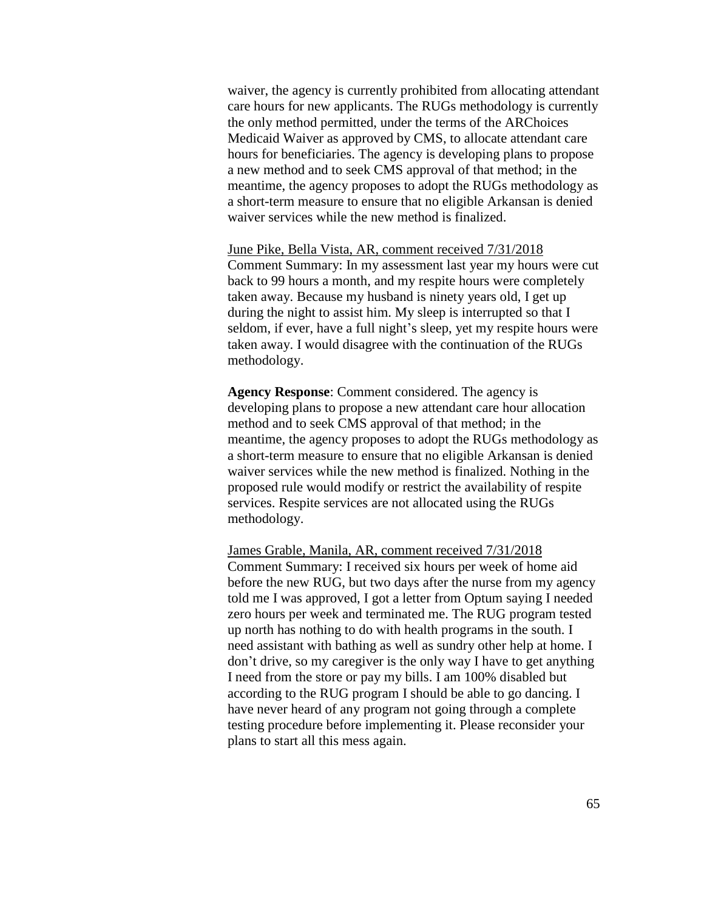waiver, the agency is currently prohibited from allocating attendant care hours for new applicants. The RUGs methodology is currently the only method permitted, under the terms of the ARChoices Medicaid Waiver as approved by CMS, to allocate attendant care hours for beneficiaries. The agency is developing plans to propose a new method and to seek CMS approval of that method; in the meantime, the agency proposes to adopt the RUGs methodology as a short-term measure to ensure that no eligible Arkansan is denied waiver services while the new method is finalized.

June Pike, Bella Vista, AR, comment received 7/31/2018 Comment Summary: In my assessment last year my hours were cut back to 99 hours a month, and my respite hours were completely taken away. Because my husband is ninety years old, I get up during the night to assist him. My sleep is interrupted so that I seldom, if ever, have a full night's sleep, yet my respite hours were taken away. I would disagree with the continuation of the RUGs methodology.

**Agency Response**: Comment considered. The agency is developing plans to propose a new attendant care hour allocation method and to seek CMS approval of that method; in the meantime, the agency proposes to adopt the RUGs methodology as a short-term measure to ensure that no eligible Arkansan is denied waiver services while the new method is finalized. Nothing in the proposed rule would modify or restrict the availability of respite services. Respite services are not allocated using the RUGs methodology.

James Grable, Manila, AR, comment received 7/31/2018 Comment Summary: I received six hours per week of home aid before the new RUG, but two days after the nurse from my agency told me I was approved, I got a letter from Optum saying I needed zero hours per week and terminated me. The RUG program tested up north has nothing to do with health programs in the south. I need assistant with bathing as well as sundry other help at home. I don't drive, so my caregiver is the only way I have to get anything I need from the store or pay my bills. I am 100% disabled but according to the RUG program I should be able to go dancing. I have never heard of any program not going through a complete testing procedure before implementing it. Please reconsider your plans to start all this mess again.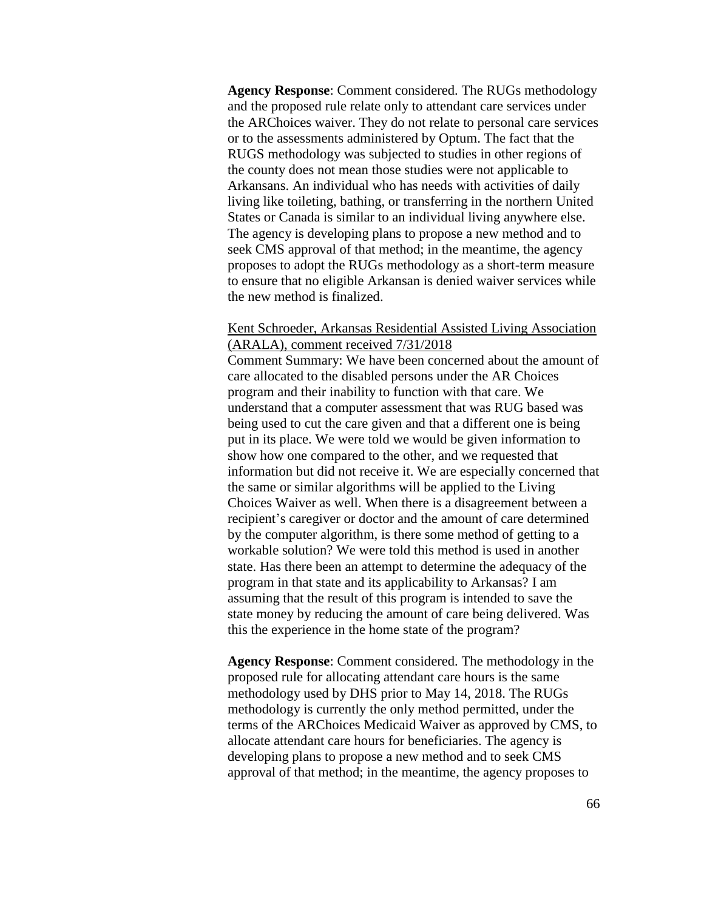**Agency Response**: Comment considered. The RUGs methodology and the proposed rule relate only to attendant care services under the ARChoices waiver. They do not relate to personal care services or to the assessments administered by Optum. The fact that the RUGS methodology was subjected to studies in other regions of the county does not mean those studies were not applicable to Arkansans. An individual who has needs with activities of daily living like toileting, bathing, or transferring in the northern United States or Canada is similar to an individual living anywhere else. The agency is developing plans to propose a new method and to seek CMS approval of that method; in the meantime, the agency proposes to adopt the RUGs methodology as a short-term measure to ensure that no eligible Arkansan is denied waiver services while the new method is finalized.

# Kent Schroeder, Arkansas Residential Assisted Living Association (ARALA), comment received 7/31/2018

Comment Summary: We have been concerned about the amount of care allocated to the disabled persons under the AR Choices program and their inability to function with that care. We understand that a computer assessment that was RUG based was being used to cut the care given and that a different one is being put in its place. We were told we would be given information to show how one compared to the other, and we requested that information but did not receive it. We are especially concerned that the same or similar algorithms will be applied to the Living Choices Waiver as well. When there is a disagreement between a recipient's caregiver or doctor and the amount of care determined by the computer algorithm, is there some method of getting to a workable solution? We were told this method is used in another state. Has there been an attempt to determine the adequacy of the program in that state and its applicability to Arkansas? I am assuming that the result of this program is intended to save the state money by reducing the amount of care being delivered. Was this the experience in the home state of the program?

**Agency Response**: Comment considered. The methodology in the proposed rule for allocating attendant care hours is the same methodology used by DHS prior to May 14, 2018. The RUGs methodology is currently the only method permitted, under the terms of the ARChoices Medicaid Waiver as approved by CMS, to allocate attendant care hours for beneficiaries. The agency is developing plans to propose a new method and to seek CMS approval of that method; in the meantime, the agency proposes to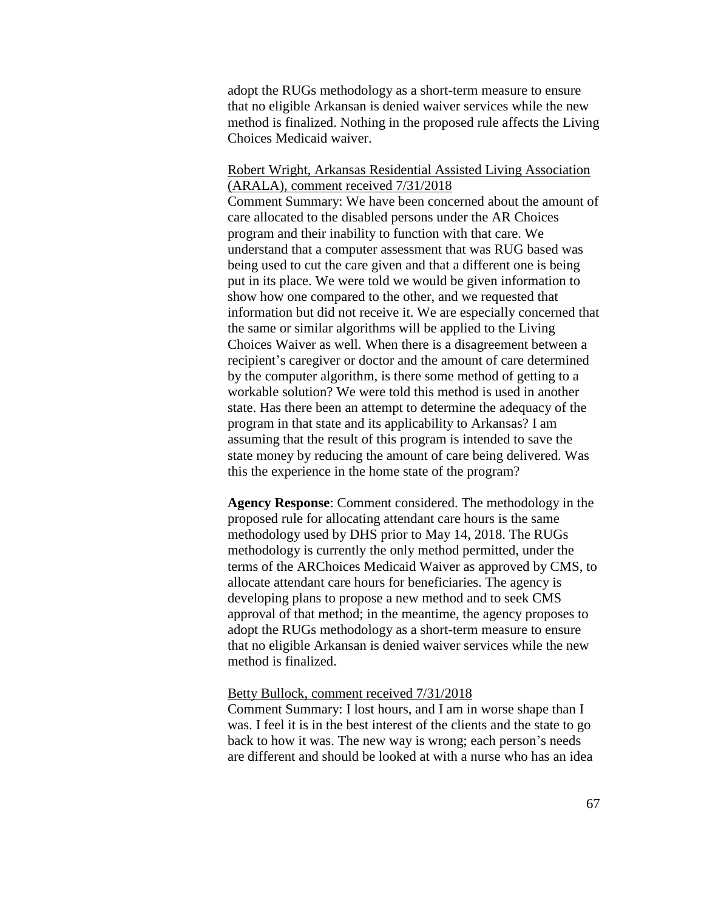adopt the RUGs methodology as a short-term measure to ensure that no eligible Arkansan is denied waiver services while the new method is finalized. Nothing in the proposed rule affects the Living Choices Medicaid waiver.

## Robert Wright, Arkansas Residential Assisted Living Association (ARALA), comment received 7/31/2018

Comment Summary: We have been concerned about the amount of care allocated to the disabled persons under the AR Choices program and their inability to function with that care. We understand that a computer assessment that was RUG based was being used to cut the care given and that a different one is being put in its place. We were told we would be given information to show how one compared to the other, and we requested that information but did not receive it. We are especially concerned that the same or similar algorithms will be applied to the Living Choices Waiver as well. When there is a disagreement between a recipient's caregiver or doctor and the amount of care determined by the computer algorithm, is there some method of getting to a workable solution? We were told this method is used in another state. Has there been an attempt to determine the adequacy of the program in that state and its applicability to Arkansas? I am assuming that the result of this program is intended to save the state money by reducing the amount of care being delivered. Was this the experience in the home state of the program?

**Agency Response**: Comment considered. The methodology in the proposed rule for allocating attendant care hours is the same methodology used by DHS prior to May 14, 2018. The RUGs methodology is currently the only method permitted, under the terms of the ARChoices Medicaid Waiver as approved by CMS, to allocate attendant care hours for beneficiaries. The agency is developing plans to propose a new method and to seek CMS approval of that method; in the meantime, the agency proposes to adopt the RUGs methodology as a short-term measure to ensure that no eligible Arkansan is denied waiver services while the new method is finalized.

## Betty Bullock, comment received 7/31/2018

Comment Summary: I lost hours, and I am in worse shape than I was. I feel it is in the best interest of the clients and the state to go back to how it was. The new way is wrong; each person's needs are different and should be looked at with a nurse who has an idea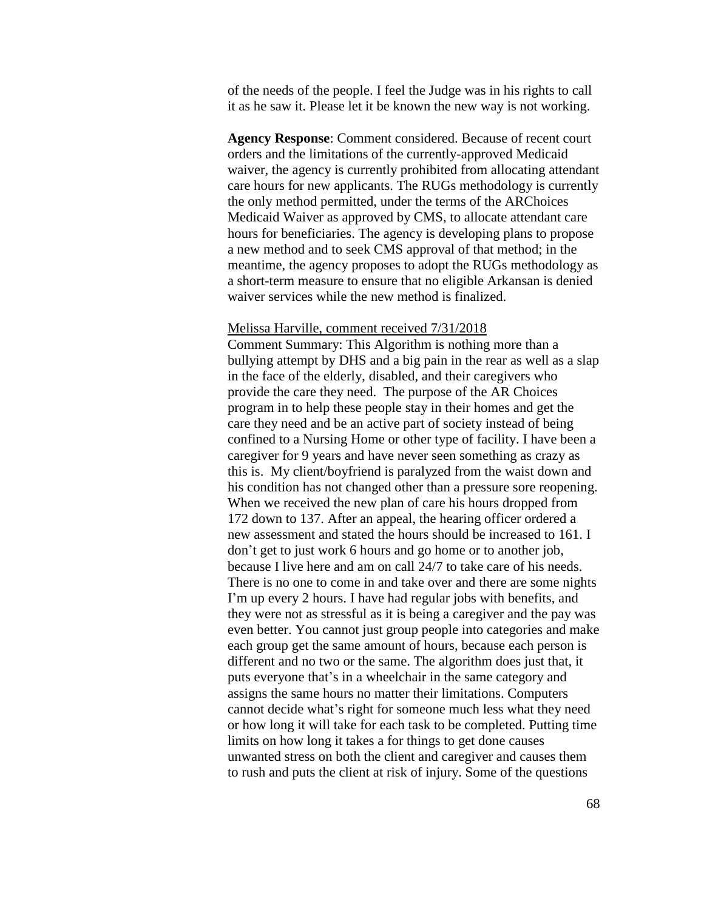of the needs of the people. I feel the Judge was in his rights to call it as he saw it. Please let it be known the new way is not working.

**Agency Response**: Comment considered. Because of recent court orders and the limitations of the currently-approved Medicaid waiver, the agency is currently prohibited from allocating attendant care hours for new applicants. The RUGs methodology is currently the only method permitted, under the terms of the ARChoices Medicaid Waiver as approved by CMS, to allocate attendant care hours for beneficiaries. The agency is developing plans to propose a new method and to seek CMS approval of that method; in the meantime, the agency proposes to adopt the RUGs methodology as a short-term measure to ensure that no eligible Arkansan is denied waiver services while the new method is finalized.

#### Melissa Harville, comment received 7/31/2018

Comment Summary: This Algorithm is nothing more than a bullying attempt by DHS and a big pain in the rear as well as a slap in the face of the elderly, disabled, and their caregivers who provide the care they need. The purpose of the AR Choices program in to help these people stay in their homes and get the care they need and be an active part of society instead of being confined to a Nursing Home or other type of facility. I have been a caregiver for 9 years and have never seen something as crazy as this is. My client/boyfriend is paralyzed from the waist down and his condition has not changed other than a pressure sore reopening. When we received the new plan of care his hours dropped from 172 down to 137. After an appeal, the hearing officer ordered a new assessment and stated the hours should be increased to 161. I don't get to just work 6 hours and go home or to another job, because I live here and am on call 24/7 to take care of his needs. There is no one to come in and take over and there are some nights I'm up every 2 hours. I have had regular jobs with benefits, and they were not as stressful as it is being a caregiver and the pay was even better. You cannot just group people into categories and make each group get the same amount of hours, because each person is different and no two or the same. The algorithm does just that, it puts everyone that's in a wheelchair in the same category and assigns the same hours no matter their limitations. Computers cannot decide what's right for someone much less what they need or how long it will take for each task to be completed. Putting time limits on how long it takes a for things to get done causes unwanted stress on both the client and caregiver and causes them to rush and puts the client at risk of injury. Some of the questions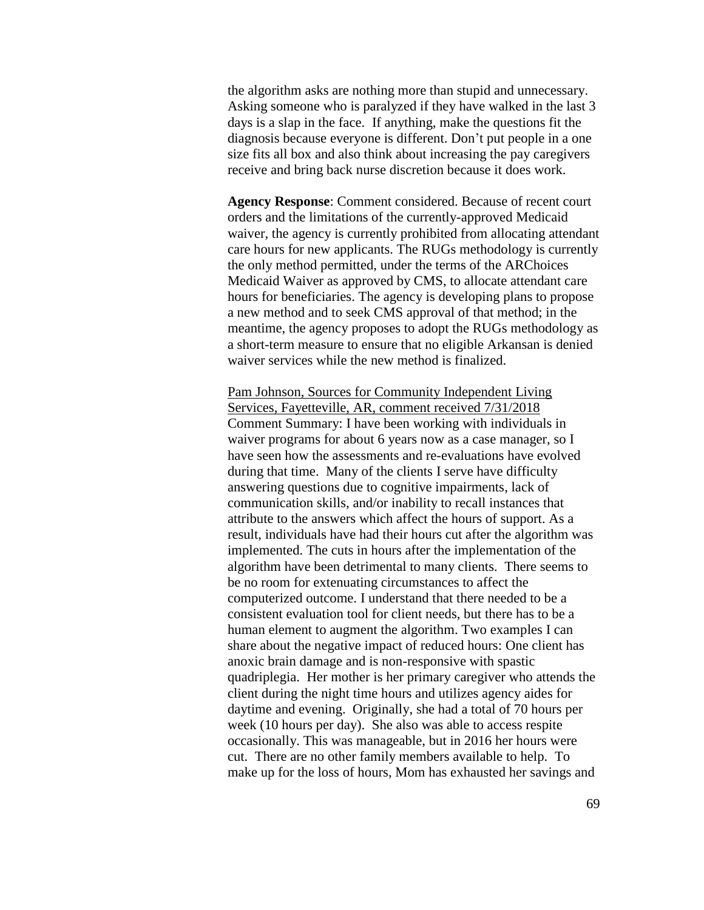the algorithm asks are nothing more than stupid and unnecessary. Asking someone who is paralyzed if they have walked in the last 3 days is a slap in the face. If anything, make the questions fit the diagnosis because everyone is different. Don't put people in a one size fits all box and also think about increasing the pay caregivers receive and bring back nurse discretion because it does work.

**Agency Response**: Comment considered. Because of recent court orders and the limitations of the currently-approved Medicaid waiver, the agency is currently prohibited from allocating attendant care hours for new applicants. The RUGs methodology is currently the only method permitted, under the terms of the ARChoices Medicaid Waiver as approved by CMS, to allocate attendant care hours for beneficiaries. The agency is developing plans to propose a new method and to seek CMS approval of that method; in the meantime, the agency proposes to adopt the RUGs methodology as a short-term measure to ensure that no eligible Arkansan is denied waiver services while the new method is finalized.

Pam Johnson, Sources for Community Independent Living Services, Fayetteville, AR, comment received 7/31/2018 Comment Summary: I have been working with individuals in waiver programs for about 6 years now as a case manager, so I have seen how the assessments and re-evaluations have evolved during that time. Many of the clients I serve have difficulty answering questions due to cognitive impairments, lack of communication skills, and/or inability to recall instances that attribute to the answers which affect the hours of support. As a result, individuals have had their hours cut after the algorithm was implemented. The cuts in hours after the implementation of the algorithm have been detrimental to many clients. There seems to be no room for extenuating circumstances to affect the computerized outcome. I understand that there needed to be a consistent evaluation tool for client needs, but there has to be a human element to augment the algorithm. Two examples I can share about the negative impact of reduced hours: One client has anoxic brain damage and is non-responsive with spastic quadriplegia. Her mother is her primary caregiver who attends the client during the night time hours and utilizes agency aides for daytime and evening. Originally, she had a total of 70 hours per week (10 hours per day). She also was able to access respite occasionally. This was manageable, but in 2016 her hours were cut. There are no other family members available to help. To make up for the loss of hours, Mom has exhausted her savings and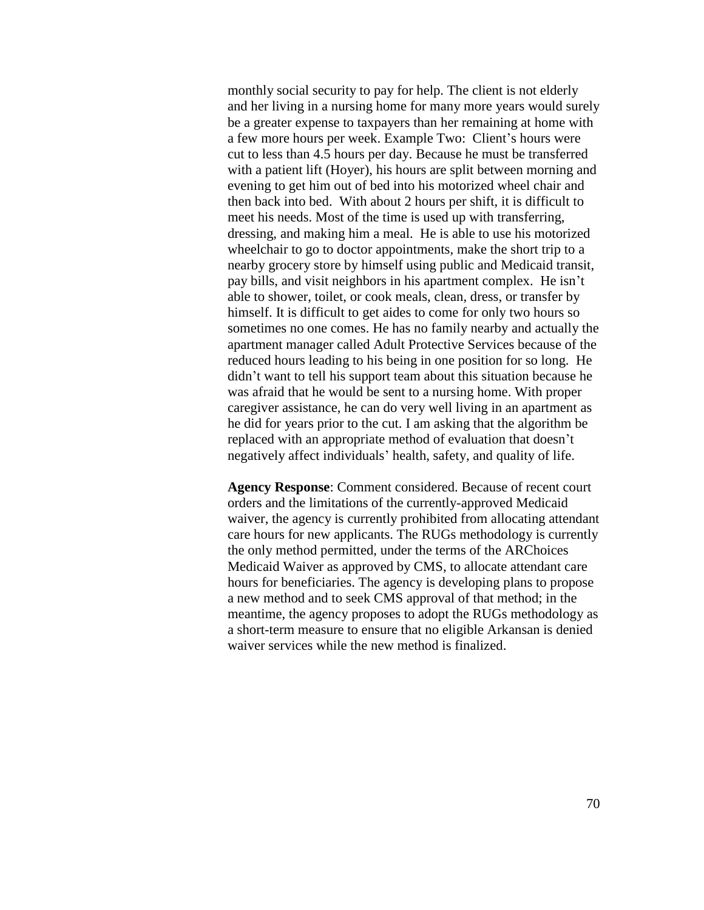monthly social security to pay for help. The client is not elderly and her living in a nursing home for many more years would surely be a greater expense to taxpayers than her remaining at home with a few more hours per week. Example Two: Client's hours were cut to less than 4.5 hours per day. Because he must be transferred with a patient lift (Hoyer), his hours are split between morning and evening to get him out of bed into his motorized wheel chair and then back into bed. With about 2 hours per shift, it is difficult to meet his needs. Most of the time is used up with transferring, dressing, and making him a meal. He is able to use his motorized wheelchair to go to doctor appointments, make the short trip to a nearby grocery store by himself using public and Medicaid transit, pay bills, and visit neighbors in his apartment complex. He isn't able to shower, toilet, or cook meals, clean, dress, or transfer by himself. It is difficult to get aides to come for only two hours so sometimes no one comes. He has no family nearby and actually the apartment manager called Adult Protective Services because of the reduced hours leading to his being in one position for so long. He didn't want to tell his support team about this situation because he was afraid that he would be sent to a nursing home. With proper caregiver assistance, he can do very well living in an apartment as he did for years prior to the cut. I am asking that the algorithm be replaced with an appropriate method of evaluation that doesn't negatively affect individuals' health, safety, and quality of life.

**Agency Response**: Comment considered. Because of recent court orders and the limitations of the currently-approved Medicaid waiver, the agency is currently prohibited from allocating attendant care hours for new applicants. The RUGs methodology is currently the only method permitted, under the terms of the ARChoices Medicaid Waiver as approved by CMS, to allocate attendant care hours for beneficiaries. The agency is developing plans to propose a new method and to seek CMS approval of that method; in the meantime, the agency proposes to adopt the RUGs methodology as a short-term measure to ensure that no eligible Arkansan is denied waiver services while the new method is finalized.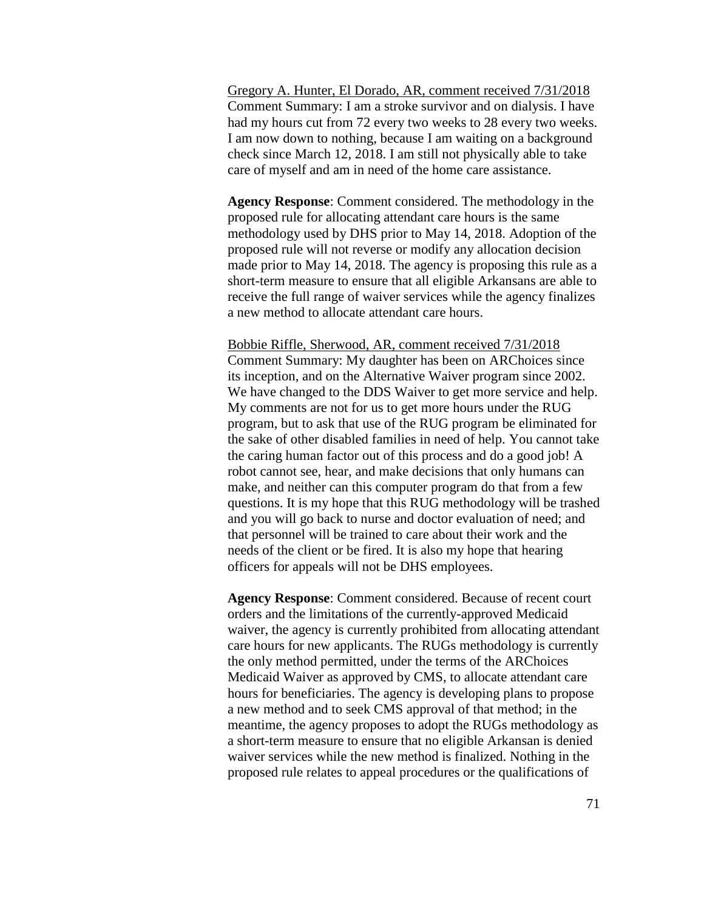Gregory A. Hunter, El Dorado, AR, comment received 7/31/2018 Comment Summary: I am a stroke survivor and on dialysis. I have had my hours cut from 72 every two weeks to 28 every two weeks. I am now down to nothing, because I am waiting on a background check since March 12, 2018. I am still not physically able to take care of myself and am in need of the home care assistance.

**Agency Response**: Comment considered. The methodology in the proposed rule for allocating attendant care hours is the same methodology used by DHS prior to May 14, 2018. Adoption of the proposed rule will not reverse or modify any allocation decision made prior to May 14, 2018. The agency is proposing this rule as a short-term measure to ensure that all eligible Arkansans are able to receive the full range of waiver services while the agency finalizes a new method to allocate attendant care hours.

Bobbie Riffle, Sherwood, AR, comment received 7/31/2018 Comment Summary: My daughter has been on ARChoices since its inception, and on the Alternative Waiver program since 2002. We have changed to the DDS Waiver to get more service and help. My comments are not for us to get more hours under the RUG program, but to ask that use of the RUG program be eliminated for the sake of other disabled families in need of help. You cannot take the caring human factor out of this process and do a good job! A robot cannot see, hear, and make decisions that only humans can make, and neither can this computer program do that from a few questions. It is my hope that this RUG methodology will be trashed and you will go back to nurse and doctor evaluation of need; and that personnel will be trained to care about their work and the needs of the client or be fired. It is also my hope that hearing officers for appeals will not be DHS employees.

**Agency Response**: Comment considered. Because of recent court orders and the limitations of the currently-approved Medicaid waiver, the agency is currently prohibited from allocating attendant care hours for new applicants. The RUGs methodology is currently the only method permitted, under the terms of the ARChoices Medicaid Waiver as approved by CMS, to allocate attendant care hours for beneficiaries. The agency is developing plans to propose a new method and to seek CMS approval of that method; in the meantime, the agency proposes to adopt the RUGs methodology as a short-term measure to ensure that no eligible Arkansan is denied waiver services while the new method is finalized. Nothing in the proposed rule relates to appeal procedures or the qualifications of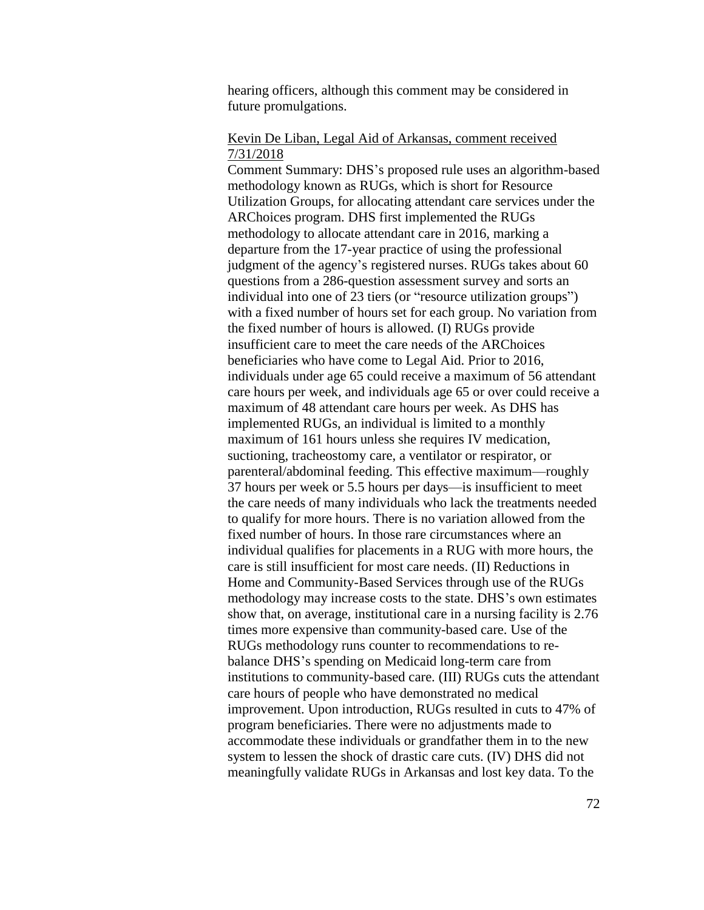hearing officers, although this comment may be considered in future promulgations.

## Kevin De Liban, Legal Aid of Arkansas, comment received 7/31/2018

Comment Summary: DHS's proposed rule uses an algorithm-based methodology known as RUGs, which is short for Resource Utilization Groups, for allocating attendant care services under the ARChoices program. DHS first implemented the RUGs methodology to allocate attendant care in 2016, marking a departure from the 17-year practice of using the professional judgment of the agency's registered nurses. RUGs takes about 60 questions from a 286-question assessment survey and sorts an individual into one of 23 tiers (or "resource utilization groups") with a fixed number of hours set for each group. No variation from the fixed number of hours is allowed. (I) RUGs provide insufficient care to meet the care needs of the ARChoices beneficiaries who have come to Legal Aid. Prior to 2016, individuals under age 65 could receive a maximum of 56 attendant care hours per week, and individuals age 65 or over could receive a maximum of 48 attendant care hours per week. As DHS has implemented RUGs, an individual is limited to a monthly maximum of 161 hours unless she requires IV medication, suctioning, tracheostomy care, a ventilator or respirator, or parenteral/abdominal feeding. This effective maximum—roughly 37 hours per week or 5.5 hours per days—is insufficient to meet the care needs of many individuals who lack the treatments needed to qualify for more hours. There is no variation allowed from the fixed number of hours. In those rare circumstances where an individual qualifies for placements in a RUG with more hours, the care is still insufficient for most care needs. (II) Reductions in Home and Community-Based Services through use of the RUGs methodology may increase costs to the state. DHS's own estimates show that, on average, institutional care in a nursing facility is 2.76 times more expensive than community-based care. Use of the RUGs methodology runs counter to recommendations to rebalance DHS's spending on Medicaid long-term care from institutions to community-based care. (III) RUGs cuts the attendant care hours of people who have demonstrated no medical improvement. Upon introduction, RUGs resulted in cuts to 47% of program beneficiaries. There were no adjustments made to accommodate these individuals or grandfather them in to the new system to lessen the shock of drastic care cuts. (IV) DHS did not meaningfully validate RUGs in Arkansas and lost key data. To the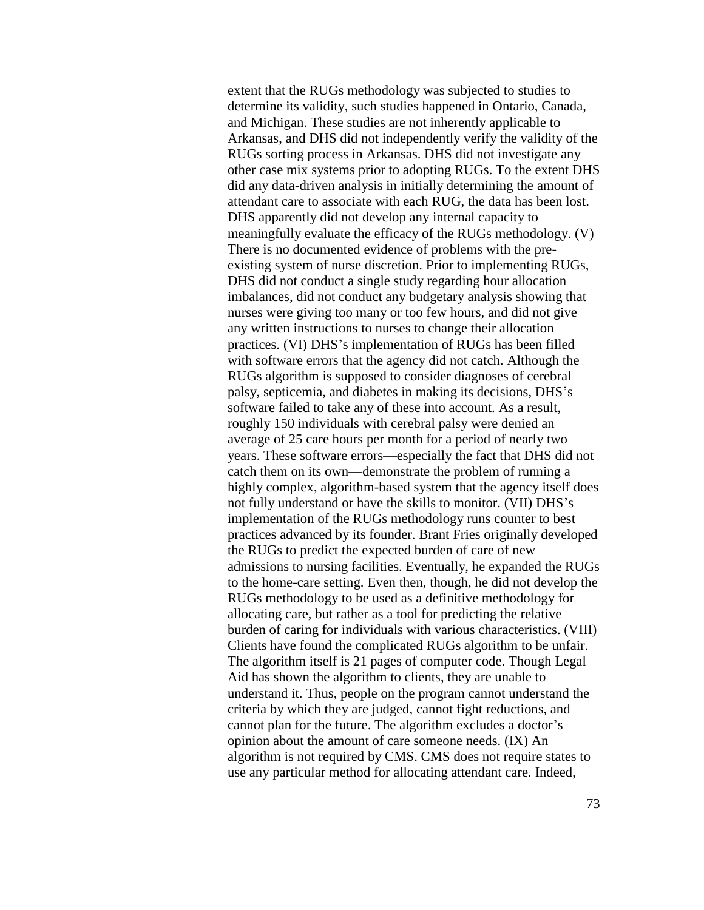extent that the RUGs methodology was subjected to studies to determine its validity, such studies happened in Ontario, Canada, and Michigan. These studies are not inherently applicable to Arkansas, and DHS did not independently verify the validity of the RUGs sorting process in Arkansas. DHS did not investigate any other case mix systems prior to adopting RUGs. To the extent DHS did any data-driven analysis in initially determining the amount of attendant care to associate with each RUG, the data has been lost. DHS apparently did not develop any internal capacity to meaningfully evaluate the efficacy of the RUGs methodology. (V) There is no documented evidence of problems with the preexisting system of nurse discretion. Prior to implementing RUGs, DHS did not conduct a single study regarding hour allocation imbalances, did not conduct any budgetary analysis showing that nurses were giving too many or too few hours, and did not give any written instructions to nurses to change their allocation practices. (VI) DHS's implementation of RUGs has been filled with software errors that the agency did not catch. Although the RUGs algorithm is supposed to consider diagnoses of cerebral palsy, septicemia, and diabetes in making its decisions, DHS's software failed to take any of these into account. As a result, roughly 150 individuals with cerebral palsy were denied an average of 25 care hours per month for a period of nearly two years. These software errors—especially the fact that DHS did not catch them on its own—demonstrate the problem of running a highly complex, algorithm-based system that the agency itself does not fully understand or have the skills to monitor. (VII) DHS's implementation of the RUGs methodology runs counter to best practices advanced by its founder. Brant Fries originally developed the RUGs to predict the expected burden of care of new admissions to nursing facilities. Eventually, he expanded the RUGs to the home-care setting. Even then, though, he did not develop the RUGs methodology to be used as a definitive methodology for allocating care, but rather as a tool for predicting the relative burden of caring for individuals with various characteristics. (VIII) Clients have found the complicated RUGs algorithm to be unfair. The algorithm itself is 21 pages of computer code. Though Legal Aid has shown the algorithm to clients, they are unable to understand it. Thus, people on the program cannot understand the criteria by which they are judged, cannot fight reductions, and cannot plan for the future. The algorithm excludes a doctor's opinion about the amount of care someone needs. (IX) An algorithm is not required by CMS. CMS does not require states to use any particular method for allocating attendant care. Indeed,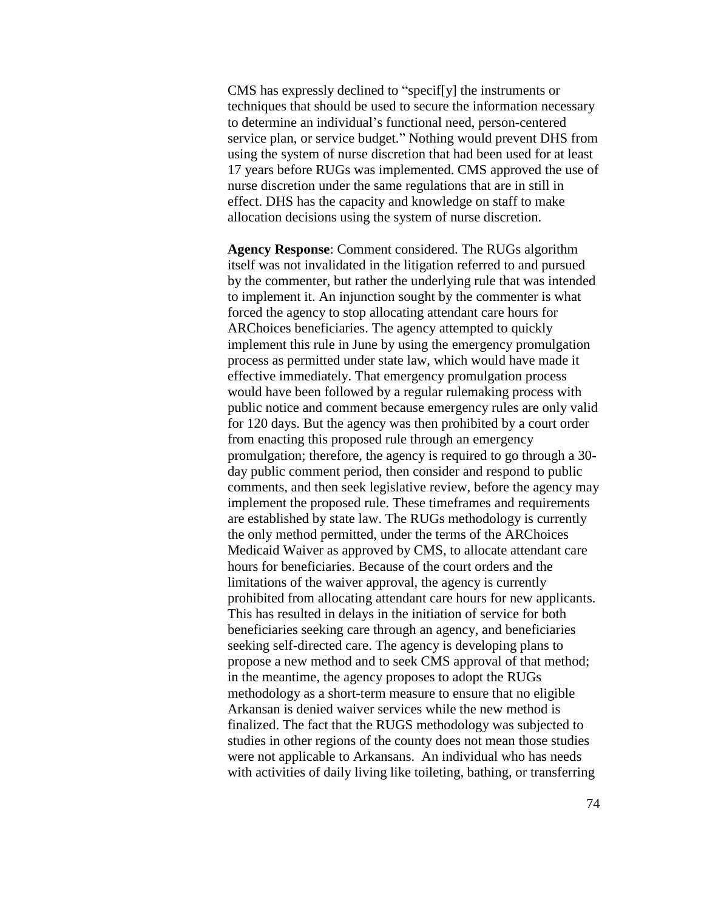CMS has expressly declined to "specif[y] the instruments or techniques that should be used to secure the information necessary to determine an individual's functional need, person-centered service plan, or service budget." Nothing would prevent DHS from using the system of nurse discretion that had been used for at least 17 years before RUGs was implemented. CMS approved the use of nurse discretion under the same regulations that are in still in effect. DHS has the capacity and knowledge on staff to make allocation decisions using the system of nurse discretion.

**Agency Response**: Comment considered. The RUGs algorithm itself was not invalidated in the litigation referred to and pursued by the commenter, but rather the underlying rule that was intended to implement it. An injunction sought by the commenter is what forced the agency to stop allocating attendant care hours for ARChoices beneficiaries. The agency attempted to quickly implement this rule in June by using the emergency promulgation process as permitted under state law, which would have made it effective immediately. That emergency promulgation process would have been followed by a regular rulemaking process with public notice and comment because emergency rules are only valid for 120 days. But the agency was then prohibited by a court order from enacting this proposed rule through an emergency promulgation; therefore, the agency is required to go through a 30 day public comment period, then consider and respond to public comments, and then seek legislative review, before the agency may implement the proposed rule. These timeframes and requirements are established by state law. The RUGs methodology is currently the only method permitted, under the terms of the ARChoices Medicaid Waiver as approved by CMS, to allocate attendant care hours for beneficiaries. Because of the court orders and the limitations of the waiver approval, the agency is currently prohibited from allocating attendant care hours for new applicants. This has resulted in delays in the initiation of service for both beneficiaries seeking care through an agency, and beneficiaries seeking self-directed care. The agency is developing plans to propose a new method and to seek CMS approval of that method; in the meantime, the agency proposes to adopt the RUGs methodology as a short-term measure to ensure that no eligible Arkansan is denied waiver services while the new method is finalized. The fact that the RUGS methodology was subjected to studies in other regions of the county does not mean those studies were not applicable to Arkansans. An individual who has needs with activities of daily living like toileting, bathing, or transferring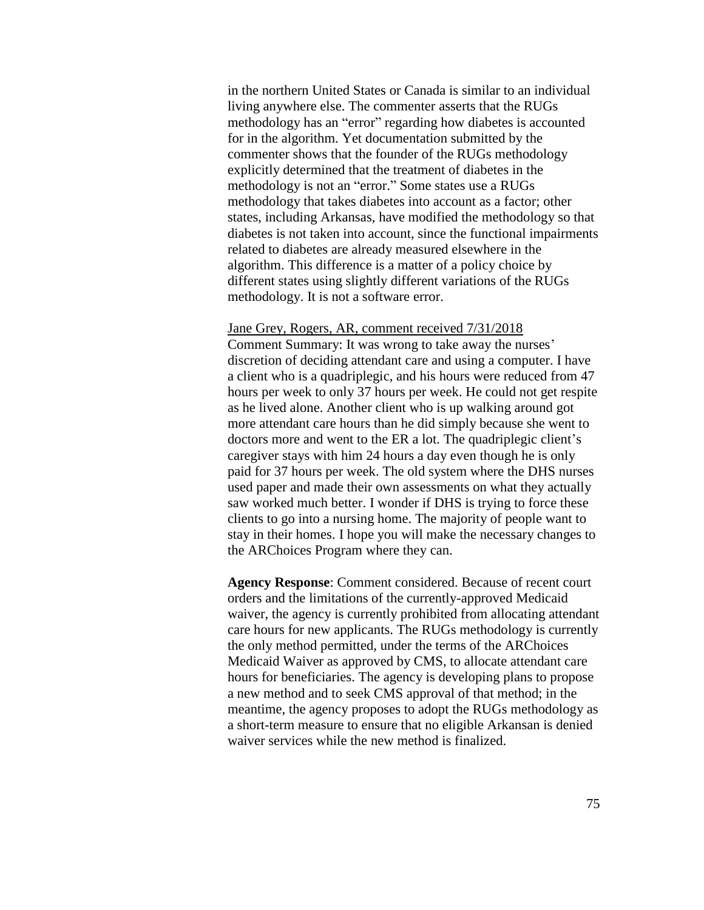in the northern United States or Canada is similar to an individual living anywhere else. The commenter asserts that the RUGs methodology has an "error" regarding how diabetes is accounted for in the algorithm. Yet documentation submitted by the commenter shows that the founder of the RUGs methodology explicitly determined that the treatment of diabetes in the methodology is not an "error." Some states use a RUGs methodology that takes diabetes into account as a factor; other states, including Arkansas, have modified the methodology so that diabetes is not taken into account, since the functional impairments related to diabetes are already measured elsewhere in the algorithm. This difference is a matter of a policy choice by different states using slightly different variations of the RUGs methodology. It is not a software error.

## Jane Grey, Rogers, AR, comment received 7/31/2018

Comment Summary: It was wrong to take away the nurses' discretion of deciding attendant care and using a computer. I have a client who is a quadriplegic, and his hours were reduced from 47 hours per week to only 37 hours per week. He could not get respite as he lived alone. Another client who is up walking around got more attendant care hours than he did simply because she went to doctors more and went to the ER a lot. The quadriplegic client's caregiver stays with him 24 hours a day even though he is only paid for 37 hours per week. The old system where the DHS nurses used paper and made their own assessments on what they actually saw worked much better. I wonder if DHS is trying to force these clients to go into a nursing home. The majority of people want to stay in their homes. I hope you will make the necessary changes to the ARChoices Program where they can.

**Agency Response**: Comment considered. Because of recent court orders and the limitations of the currently-approved Medicaid waiver, the agency is currently prohibited from allocating attendant care hours for new applicants. The RUGs methodology is currently the only method permitted, under the terms of the ARChoices Medicaid Waiver as approved by CMS, to allocate attendant care hours for beneficiaries. The agency is developing plans to propose a new method and to seek CMS approval of that method; in the meantime, the agency proposes to adopt the RUGs methodology as a short-term measure to ensure that no eligible Arkansan is denied waiver services while the new method is finalized.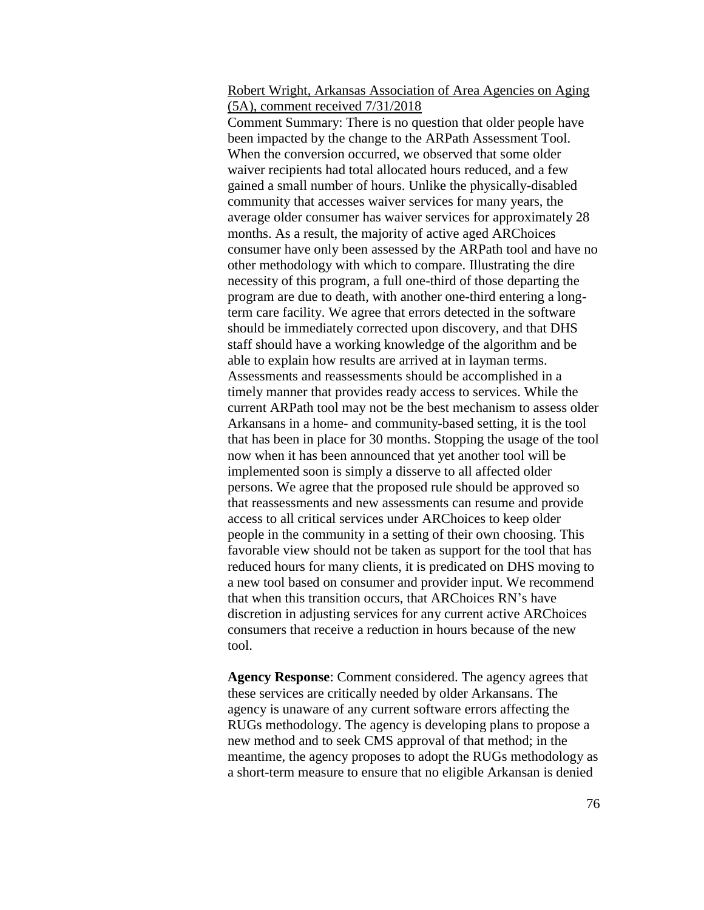## Robert Wright, Arkansas Association of Area Agencies on Aging (5A), comment received 7/31/2018

Comment Summary: There is no question that older people have been impacted by the change to the ARPath Assessment Tool. When the conversion occurred, we observed that some older waiver recipients had total allocated hours reduced, and a few gained a small number of hours. Unlike the physically-disabled community that accesses waiver services for many years, the average older consumer has waiver services for approximately 28 months. As a result, the majority of active aged ARChoices consumer have only been assessed by the ARPath tool and have no other methodology with which to compare. Illustrating the dire necessity of this program, a full one-third of those departing the program are due to death, with another one-third entering a longterm care facility. We agree that errors detected in the software should be immediately corrected upon discovery, and that DHS staff should have a working knowledge of the algorithm and be able to explain how results are arrived at in layman terms. Assessments and reassessments should be accomplished in a timely manner that provides ready access to services. While the current ARPath tool may not be the best mechanism to assess older Arkansans in a home- and community-based setting, it is the tool that has been in place for 30 months. Stopping the usage of the tool now when it has been announced that yet another tool will be implemented soon is simply a disserve to all affected older persons. We agree that the proposed rule should be approved so that reassessments and new assessments can resume and provide access to all critical services under ARChoices to keep older people in the community in a setting of their own choosing. This favorable view should not be taken as support for the tool that has reduced hours for many clients, it is predicated on DHS moving to a new tool based on consumer and provider input. We recommend that when this transition occurs, that ARChoices RN's have discretion in adjusting services for any current active ARChoices consumers that receive a reduction in hours because of the new tool.

**Agency Response**: Comment considered. The agency agrees that these services are critically needed by older Arkansans. The agency is unaware of any current software errors affecting the RUGs methodology. The agency is developing plans to propose a new method and to seek CMS approval of that method; in the meantime, the agency proposes to adopt the RUGs methodology as a short-term measure to ensure that no eligible Arkansan is denied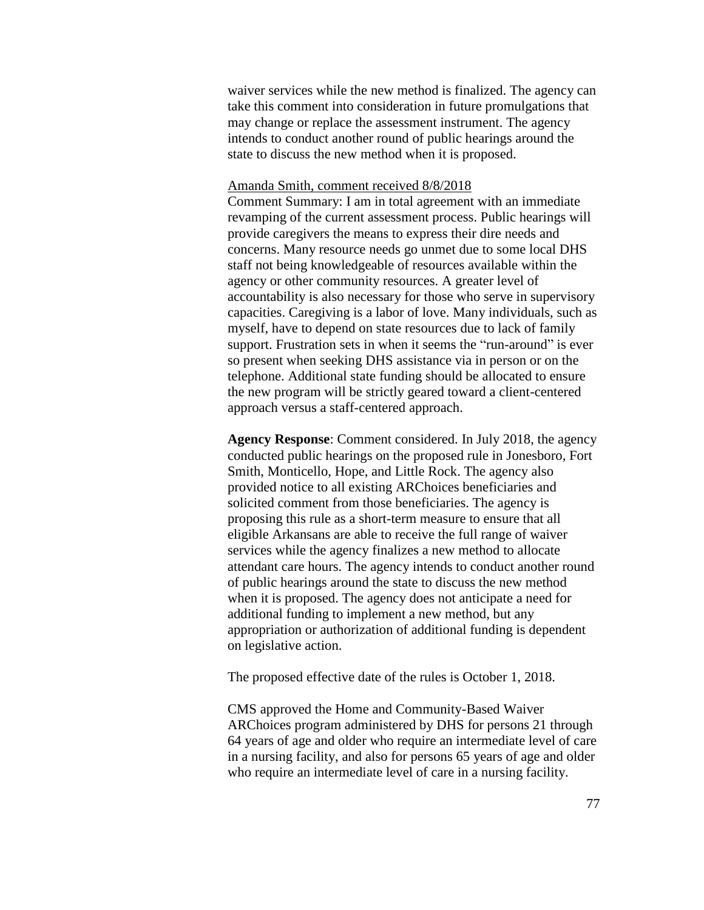waiver services while the new method is finalized. The agency can take this comment into consideration in future promulgations that may change or replace the assessment instrument. The agency intends to conduct another round of public hearings around the state to discuss the new method when it is proposed.

## Amanda Smith, comment received 8/8/2018

Comment Summary: I am in total agreement with an immediate revamping of the current assessment process. Public hearings will provide caregivers the means to express their dire needs and concerns. Many resource needs go unmet due to some local DHS staff not being knowledgeable of resources available within the agency or other community resources. A greater level of accountability is also necessary for those who serve in supervisory capacities. Caregiving is a labor of love. Many individuals, such as myself, have to depend on state resources due to lack of family support. Frustration sets in when it seems the "run-around" is ever so present when seeking DHS assistance via in person or on the telephone. Additional state funding should be allocated to ensure the new program will be strictly geared toward a client-centered approach versus a staff-centered approach.

**Agency Response**: Comment considered. In July 2018, the agency conducted public hearings on the proposed rule in Jonesboro, Fort Smith, Monticello, Hope, and Little Rock. The agency also provided notice to all existing ARChoices beneficiaries and solicited comment from those beneficiaries. The agency is proposing this rule as a short-term measure to ensure that all eligible Arkansans are able to receive the full range of waiver services while the agency finalizes a new method to allocate attendant care hours. The agency intends to conduct another round of public hearings around the state to discuss the new method when it is proposed. The agency does not anticipate a need for additional funding to implement a new method, but any appropriation or authorization of additional funding is dependent on legislative action.

The proposed effective date of the rules is October 1, 2018.

CMS approved the Home and Community-Based Waiver ARChoices program administered by DHS for persons 21 through 64 years of age and older who require an intermediate level of care in a nursing facility, and also for persons 65 years of age and older who require an intermediate level of care in a nursing facility.